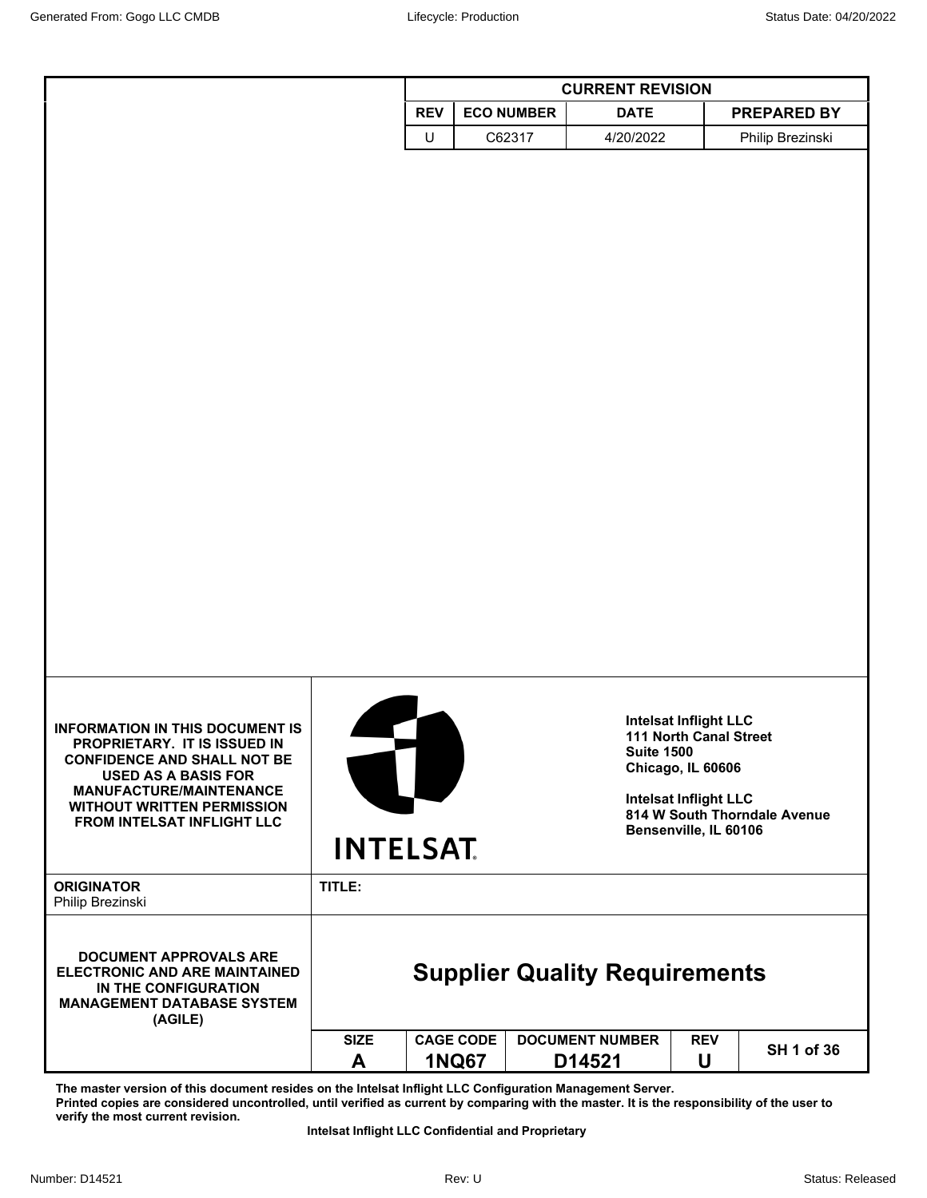|                                                                                                                                                                                                                                                                      |                  | <b>CURRENT REVISION</b>          |                                      |                                                                                                                                                    |                              |  |
|----------------------------------------------------------------------------------------------------------------------------------------------------------------------------------------------------------------------------------------------------------------------|------------------|----------------------------------|--------------------------------------|----------------------------------------------------------------------------------------------------------------------------------------------------|------------------------------|--|
|                                                                                                                                                                                                                                                                      |                  | <b>REV</b>                       | <b>ECO NUMBER</b><br><b>DATE</b>     |                                                                                                                                                    | <b>PREPARED BY</b>           |  |
|                                                                                                                                                                                                                                                                      |                  | $\sf U$                          | C62317<br>4/20/2022                  |                                                                                                                                                    | Philip Brezinski             |  |
|                                                                                                                                                                                                                                                                      |                  |                                  |                                      |                                                                                                                                                    |                              |  |
| <b>INFORMATION IN THIS DOCUMENT IS</b><br>PROPRIETARY. IT IS ISSUED IN<br><b>CONFIDENCE AND SHALL NOT BE</b><br><b>USED AS A BASIS FOR</b><br><b>MANUFACTURE/MAINTENANCE</b><br><b>WITHOUT WRITTEN PERMISSION</b><br>FROM INTELSAT INFLIGHT LLC<br><b>ORIGINATOR</b> | TITLE:           | <b>INTELSAT</b>                  |                                      | <b>Intelsat Inflight LLC</b><br>111 North Canal Street<br><b>Suite 1500</b><br>Chicago, IL 60606<br>Intelsat Inflight LLC<br>Bensenville, IL 60106 | 814 W South Thorndale Avenue |  |
| Philip Brezinski<br><b>DOCUMENT APPROVALS ARE</b><br><b>ELECTRONIC AND ARE MAINTAINED</b><br>IN THE CONFIGURATION<br><b>MANAGEMENT DATABASE SYSTEM</b><br>(AGILE)                                                                                                    |                  |                                  | <b>Supplier Quality Requirements</b> |                                                                                                                                                    |                              |  |
|                                                                                                                                                                                                                                                                      | <b>SIZE</b><br>A | <b>CAGE CODE</b><br><b>1NQ67</b> | <b>DOCUMENT NUMBER</b><br>D14521     | <b>REV</b><br>U                                                                                                                                    | SH 1 of 36                   |  |

**The master version of this document resides on the Intelsat Inflight LLC Configuration Management Server. Printed copies are considered uncontrolled, until verified as current by comparing with the master. It is the responsibility of the user to verify the most current revision.**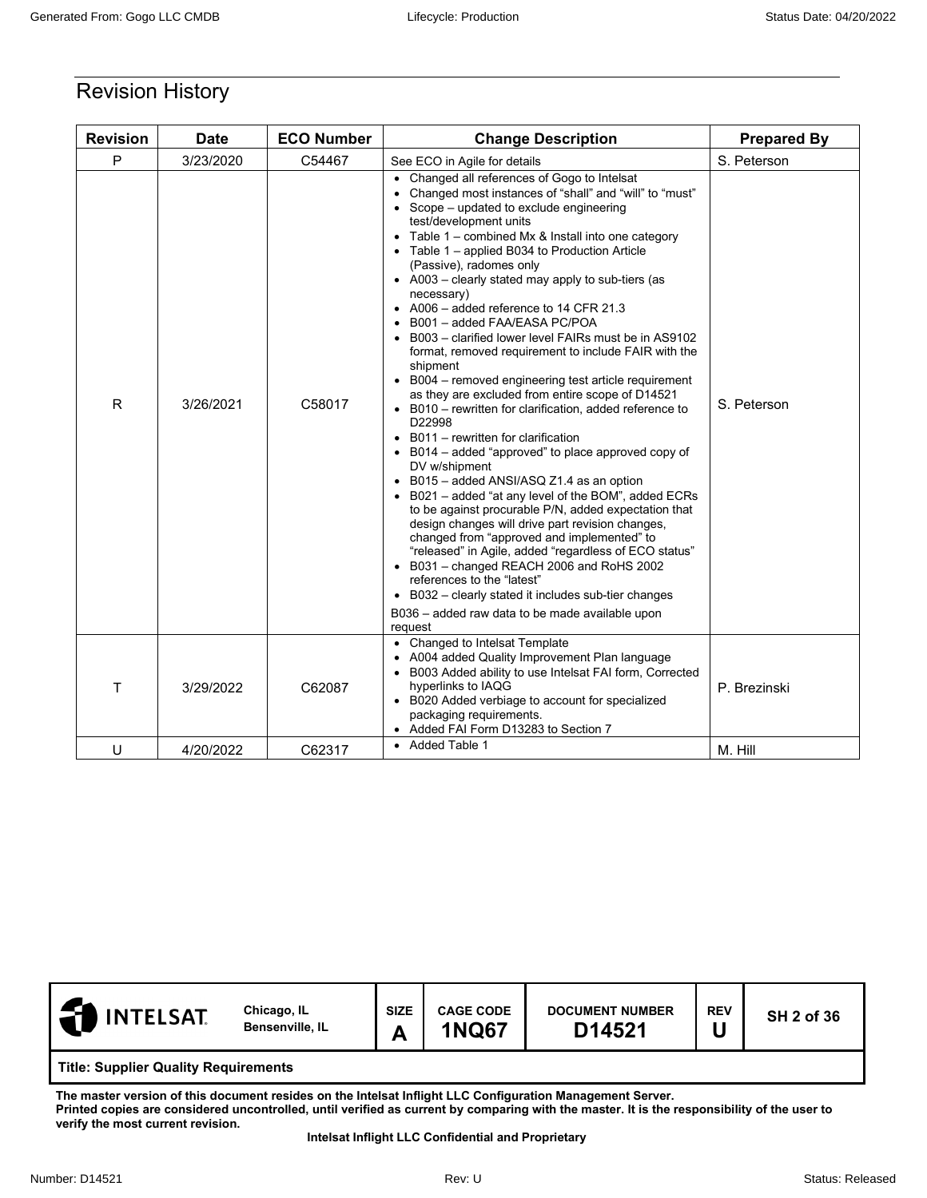# Revision History

| <b>Revision</b> | <b>Date</b> | <b>ECO Number</b> | <b>Change Description</b>                                                                                                                                                                                                                                                                                                                                                                                                                                                                                                                                                                                                                                                                                                                                                                                                                                                                                                                                                                                                                                                                                                                                                                                                                                                                                                                                                                                                       | <b>Prepared By</b> |
|-----------------|-------------|-------------------|---------------------------------------------------------------------------------------------------------------------------------------------------------------------------------------------------------------------------------------------------------------------------------------------------------------------------------------------------------------------------------------------------------------------------------------------------------------------------------------------------------------------------------------------------------------------------------------------------------------------------------------------------------------------------------------------------------------------------------------------------------------------------------------------------------------------------------------------------------------------------------------------------------------------------------------------------------------------------------------------------------------------------------------------------------------------------------------------------------------------------------------------------------------------------------------------------------------------------------------------------------------------------------------------------------------------------------------------------------------------------------------------------------------------------------|--------------------|
| P               | 3/23/2020   | C54467            | See ECO in Agile for details                                                                                                                                                                                                                                                                                                                                                                                                                                                                                                                                                                                                                                                                                                                                                                                                                                                                                                                                                                                                                                                                                                                                                                                                                                                                                                                                                                                                    | S. Peterson        |
| R               | 3/26/2021   | C58017            | • Changed all references of Gogo to Intelsat<br>Changed most instances of "shall" and "will" to "must"<br>Scope – updated to exclude engineering<br>test/development units<br>Table 1 - combined Mx & Install into one category<br>$\bullet$<br>Table 1 – applied B034 to Production Article<br>(Passive), radomes only<br>• A003 – clearly stated may apply to sub-tiers (as<br>necessary)<br>• A006 - added reference to 14 CFR 21.3<br>B001 - added FAA/EASA PC/POA<br>B003 - clarified lower level FAIRs must be in AS9102<br>format, removed requirement to include FAIR with the<br>shipment<br>B004 – removed engineering test article requirement<br>as they are excluded from entire scope of D14521<br>• B010 - rewritten for clarification, added reference to<br>D22998<br>B011 - rewritten for clarification<br>$\bullet$<br>B014 – added "approved" to place approved copy of<br>DV w/shipment<br>B015 - added ANSI/ASQ Z1.4 as an option<br>B021 – added "at any level of the BOM", added ECRs<br>to be against procurable P/N, added expectation that<br>design changes will drive part revision changes,<br>changed from "approved and implemented" to<br>"released" in Agile, added "regardless of ECO status"<br>• B031 - changed REACH 2006 and RoHS 2002<br>references to the "latest"<br>B032 – clearly stated it includes sub-tier changes<br>B036 - added raw data to be made available upon<br>request | S. Peterson        |
| т               | 3/29/2022   | C62087            | • Changed to Intelsat Template<br>A004 added Quality Improvement Plan language<br>B003 Added ability to use Intelsat FAI form, Corrected<br>hyperlinks to IAQG<br>• B020 Added verbiage to account for specialized<br>packaging requirements.<br>• Added FAI Form D13283 to Section 7                                                                                                                                                                                                                                                                                                                                                                                                                                                                                                                                                                                                                                                                                                                                                                                                                                                                                                                                                                                                                                                                                                                                           | P. Brezinski       |
| U               | 4/20/2022   | C62317            | • Added Table 1                                                                                                                                                                                                                                                                                                                                                                                                                                                                                                                                                                                                                                                                                                                                                                                                                                                                                                                                                                                                                                                                                                                                                                                                                                                                                                                                                                                                                 | M. Hill            |

| <b>INTELSAT</b>                             | Chicago, IL<br>Bensenville, IL | <b>SIZE</b><br>А | <b>CAGE CODE</b><br><b>1NQ67</b> | <b>DOCUMENT NUMBER</b><br>D14521 | <b>REV</b> | <b>SH 2 of 36</b> |
|---------------------------------------------|--------------------------------|------------------|----------------------------------|----------------------------------|------------|-------------------|
| <b>Title: Supplier Quality Requirements</b> |                                |                  |                                  |                                  |            |                   |
| .                                           |                                |                  |                                  |                                  |            |                   |

**The master version of this document resides on the Intelsat Inflight LLC Configuration Management Server.** 

**Printed copies are considered uncontrolled, until verified as current by comparing with the master. It is the responsibility of the user to verify the most current revision.**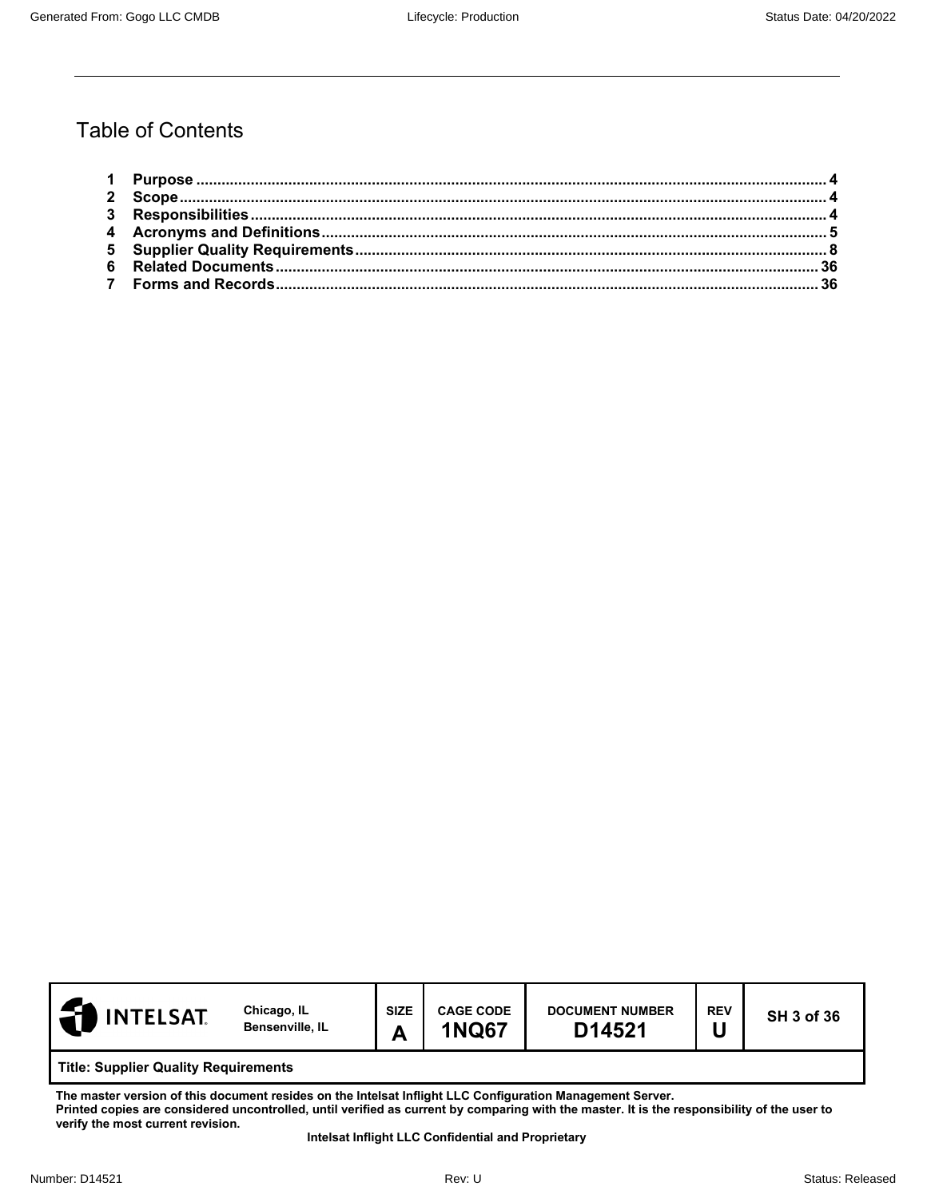# Table of Contents

| <b>INTELSAT</b>                             | Chicago, IL<br><b>Bensenville, IL</b> | <b>SIZE</b><br>А | <b>CAGE CODE</b><br><b>1NQ67</b> | <b>DOCUMENT NUMBER</b><br>D14521 | <b>REV</b> | <b>SH 3 of 36</b> |
|---------------------------------------------|---------------------------------------|------------------|----------------------------------|----------------------------------|------------|-------------------|
| <b>Title: Supplier Quality Requirements</b> |                                       |                  |                                  |                                  |            |                   |

**The master version of this document resides on the Intelsat Inflight LLC Configuration Management Server. Printed copies are considered uncontrolled, until verified as current by comparing with the master. It is the responsibility of the user to verify the most current revision.**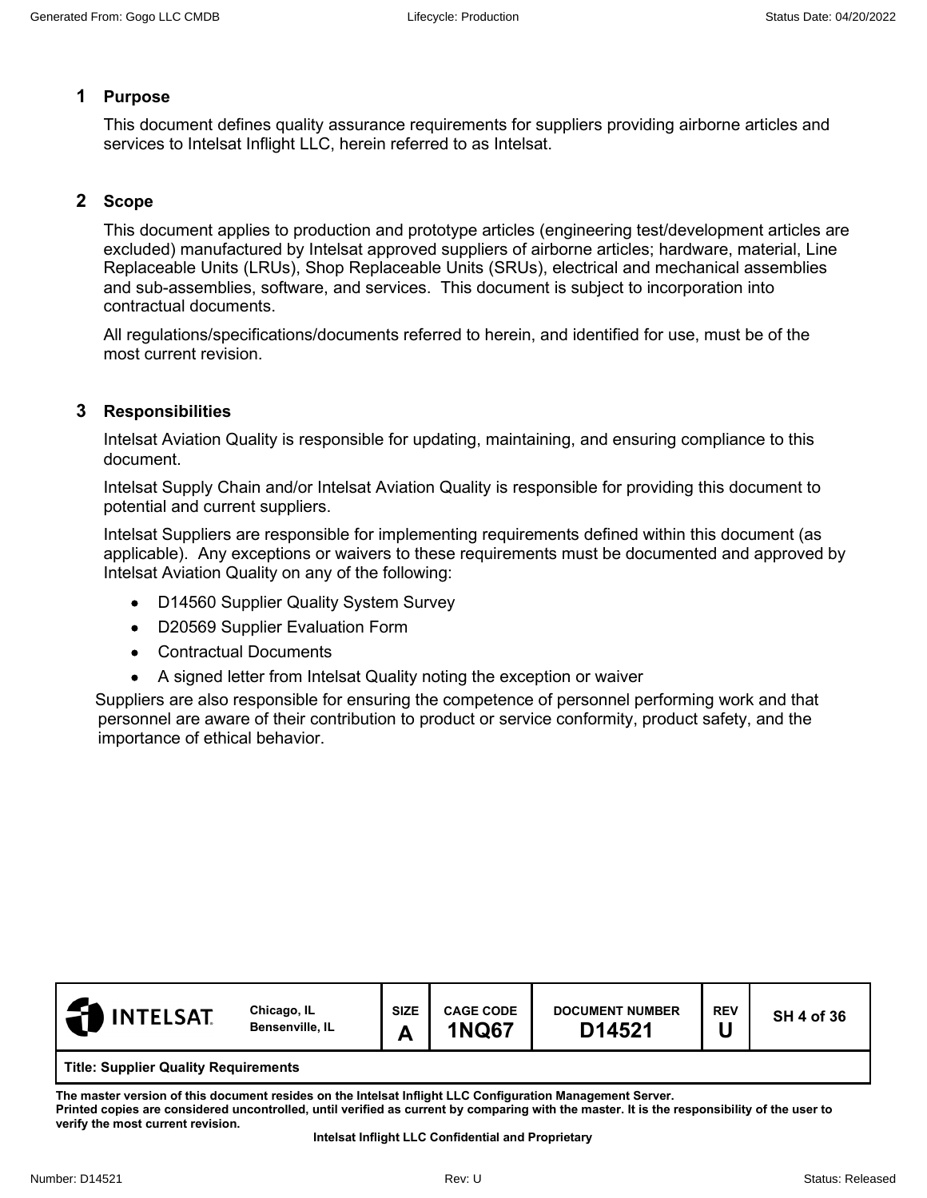#### <span id="page-3-0"></span>**1 Purpose**

This document defines quality assurance requirements for suppliers providing airborne articles and services to Intelsat Inflight LLC, herein referred to as Intelsat.

#### <span id="page-3-1"></span>**2 Scope**

This document applies to production and prototype articles (engineering test/development articles are excluded) manufactured by Intelsat approved suppliers of airborne articles; hardware, material, Line Replaceable Units (LRUs), Shop Replaceable Units (SRUs), electrical and mechanical assemblies and sub-assemblies, software, and services. This document is subject to incorporation into contractual documents.

All regulations/specifications/documents referred to herein, and identified for use, must be of the most current revision.

#### <span id="page-3-2"></span>**3 Responsibilities**

Intelsat Aviation Quality is responsible for updating, maintaining, and ensuring compliance to this document.

Intelsat Supply Chain and/or Intelsat Aviation Quality is responsible for providing this document to potential and current suppliers.

Intelsat Suppliers are responsible for implementing requirements defined within this document (as applicable). Any exceptions or waivers to these requirements must be documented and approved by Intelsat Aviation Quality on any of the following:

- D14560 Supplier Quality System Survey
- D20569 Supplier Evaluation Form
- Contractual Documents
- A signed letter from Intelsat Quality noting the exception or waiver

Suppliers are also responsible for ensuring the competence of personnel performing work and that personnel are aware of their contribution to product or service conformity, product safety, and the importance of ethical behavior.

| <b>INTELSAT</b>                             | Chicago, IL<br>Bensenville, IL | <b>SIZE</b><br>A | <b>CAGE CODE</b><br><b>1NQ67</b> | <b>DOCUMENT NUMBER</b><br>D14521 | <b>REV</b> | <b>SH 4 of 36</b> |
|---------------------------------------------|--------------------------------|------------------|----------------------------------|----------------------------------|------------|-------------------|
| <b>Title: Supplier Quality Requirements</b> |                                |                  |                                  |                                  |            |                   |

**The master version of this document resides on the Intelsat Inflight LLC Configuration Management Server. Printed copies are considered uncontrolled, until verified as current by comparing with the master. It is the responsibility of the user to verify the most current revision.**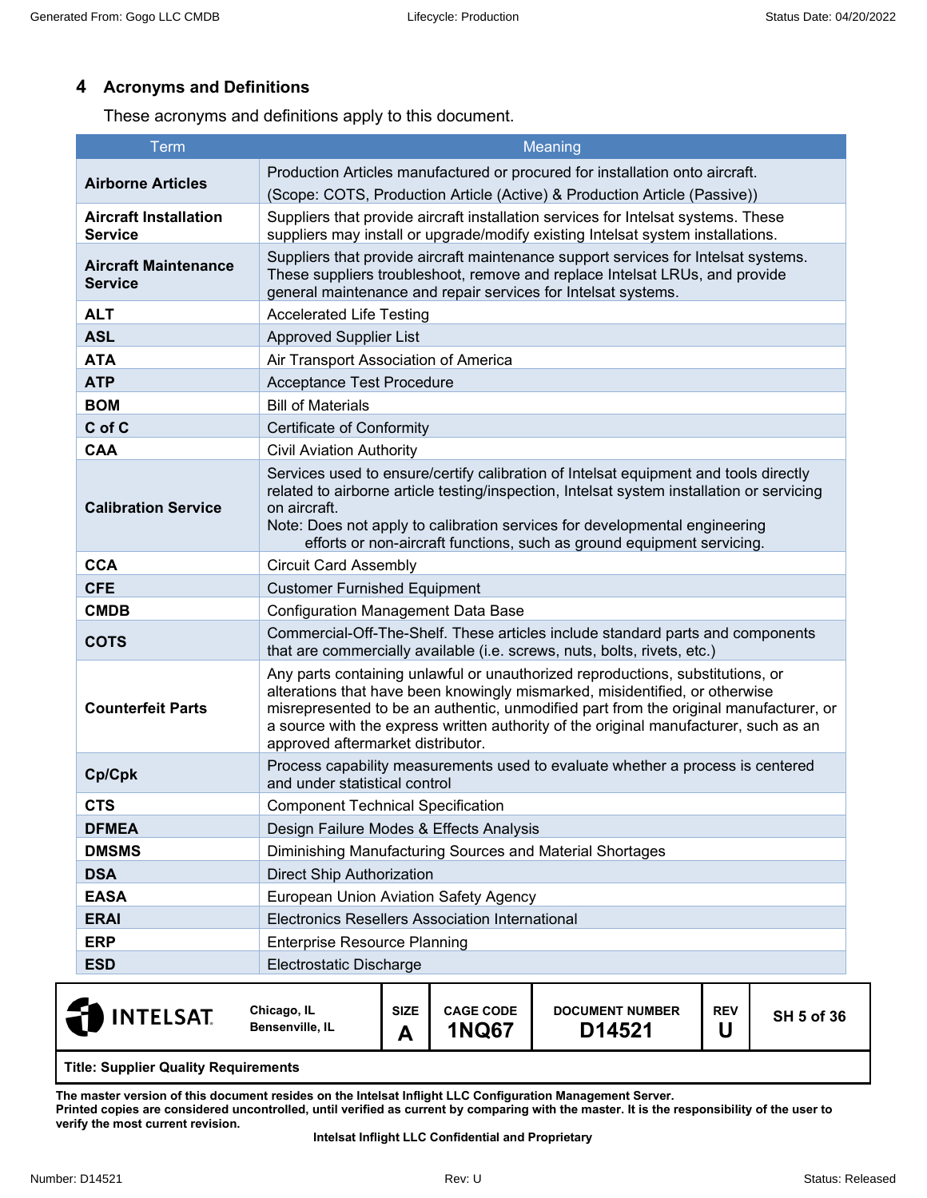# <span id="page-4-0"></span>**4 Acronyms and Definitions**

These acronyms and definitions apply to this document.

| <b>Term</b>                                    | Meaning                                                                                                                                                                                                                                                                                                                                                                             |
|------------------------------------------------|-------------------------------------------------------------------------------------------------------------------------------------------------------------------------------------------------------------------------------------------------------------------------------------------------------------------------------------------------------------------------------------|
| <b>Airborne Articles</b>                       | Production Articles manufactured or procured for installation onto aircraft.                                                                                                                                                                                                                                                                                                        |
|                                                | (Scope: COTS, Production Article (Active) & Production Article (Passive))                                                                                                                                                                                                                                                                                                           |
| <b>Aircraft Installation</b><br><b>Service</b> | Suppliers that provide aircraft installation services for Intelsat systems. These<br>suppliers may install or upgrade/modify existing Intelsat system installations.                                                                                                                                                                                                                |
| <b>Aircraft Maintenance</b><br><b>Service</b>  | Suppliers that provide aircraft maintenance support services for Intelsat systems.<br>These suppliers troubleshoot, remove and replace Intelsat LRUs, and provide<br>general maintenance and repair services for Intelsat systems.                                                                                                                                                  |
| <b>ALT</b>                                     | <b>Accelerated Life Testing</b>                                                                                                                                                                                                                                                                                                                                                     |
| <b>ASL</b>                                     | <b>Approved Supplier List</b>                                                                                                                                                                                                                                                                                                                                                       |
| <b>ATA</b>                                     | Air Transport Association of America                                                                                                                                                                                                                                                                                                                                                |
| <b>ATP</b>                                     | Acceptance Test Procedure                                                                                                                                                                                                                                                                                                                                                           |
| <b>BOM</b>                                     | <b>Bill of Materials</b>                                                                                                                                                                                                                                                                                                                                                            |
| C of C                                         | <b>Certificate of Conformity</b>                                                                                                                                                                                                                                                                                                                                                    |
| <b>CAA</b>                                     | <b>Civil Aviation Authority</b>                                                                                                                                                                                                                                                                                                                                                     |
| <b>Calibration Service</b>                     | Services used to ensure/certify calibration of Intelsat equipment and tools directly<br>related to airborne article testing/inspection, Intelsat system installation or servicing<br>on aircraft.<br>Note: Does not apply to calibration services for developmental engineering<br>efforts or non-aircraft functions, such as ground equipment servicing.                           |
| <b>CCA</b>                                     | <b>Circuit Card Assembly</b>                                                                                                                                                                                                                                                                                                                                                        |
| <b>CFE</b>                                     | <b>Customer Furnished Equipment</b>                                                                                                                                                                                                                                                                                                                                                 |
| <b>CMDB</b>                                    | <b>Configuration Management Data Base</b>                                                                                                                                                                                                                                                                                                                                           |
| <b>COTS</b>                                    | Commercial-Off-The-Shelf. These articles include standard parts and components<br>that are commercially available (i.e. screws, nuts, bolts, rivets, etc.)                                                                                                                                                                                                                          |
| <b>Counterfeit Parts</b>                       | Any parts containing unlawful or unauthorized reproductions, substitutions, or<br>alterations that have been knowingly mismarked, misidentified, or otherwise<br>misrepresented to be an authentic, unmodified part from the original manufacturer, or<br>a source with the express written authority of the original manufacturer, such as an<br>approved aftermarket distributor. |
| Cp/Cpk                                         | Process capability measurements used to evaluate whether a process is centered<br>and under statistical control                                                                                                                                                                                                                                                                     |
| <b>CTS</b>                                     | <b>Component Technical Specification</b>                                                                                                                                                                                                                                                                                                                                            |
| <b>DFMEA</b>                                   | Design Failure Modes & Effects Analysis                                                                                                                                                                                                                                                                                                                                             |
| <b>DMSMS</b>                                   | Diminishing Manufacturing Sources and Material Shortages                                                                                                                                                                                                                                                                                                                            |
| <b>DSA</b>                                     | <b>Direct Ship Authorization</b>                                                                                                                                                                                                                                                                                                                                                    |
| <b>EASA</b>                                    | European Union Aviation Safety Agency                                                                                                                                                                                                                                                                                                                                               |
| <b>ERAI</b>                                    | Electronics Resellers Association International                                                                                                                                                                                                                                                                                                                                     |
| <b>ERP</b>                                     | <b>Enterprise Resource Planning</b>                                                                                                                                                                                                                                                                                                                                                 |
| <b>ESD</b>                                     | Electrostatic Discharge                                                                                                                                                                                                                                                                                                                                                             |
|                                                |                                                                                                                                                                                                                                                                                                                                                                                     |

| <b>INTELSAT</b>                      | Chicago, IL<br>Bensenville, IL | <b>SIZE</b> | <b>CAGE CODE</b><br>1NQ67 | <b>DOCUMENT NUMBER</b><br>D14521 | <b>REV</b> | <b>SH 5 of 36</b> |
|--------------------------------------|--------------------------------|-------------|---------------------------|----------------------------------|------------|-------------------|
| Title: Cupplier Quality Pequirements |                                |             |                           |                                  |            |                   |

**Title: Supplier Quality Requirements**

**The master version of this document resides on the Intelsat Inflight LLC Configuration Management Server.** 

**Printed copies are considered uncontrolled, until verified as current by comparing with the master. It is the responsibility of the user to verify the most current revision.**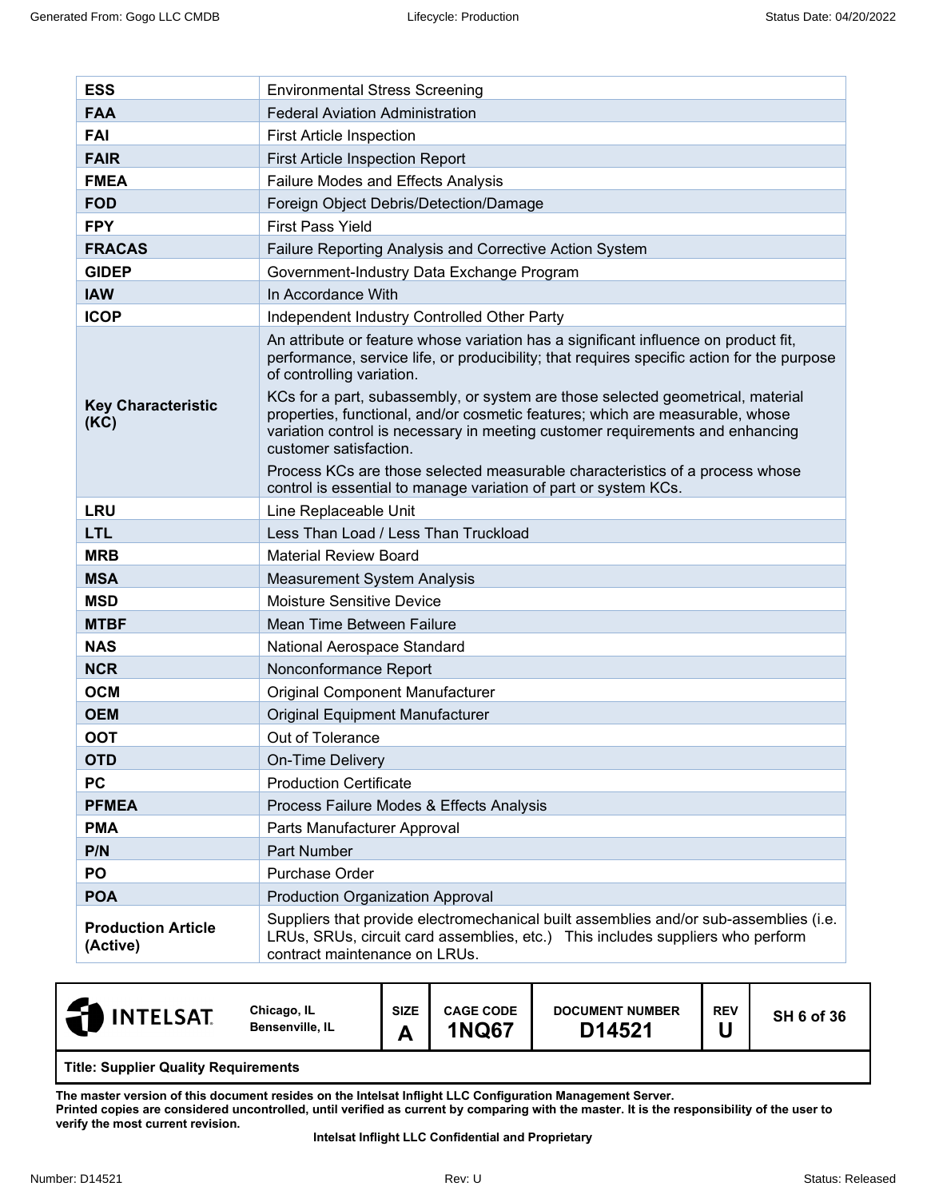| <b>ESS</b>                            | <b>Environmental Stress Screening</b>                                                                                                                                                                                                                                                                                                                                                                                                                                                         |
|---------------------------------------|-----------------------------------------------------------------------------------------------------------------------------------------------------------------------------------------------------------------------------------------------------------------------------------------------------------------------------------------------------------------------------------------------------------------------------------------------------------------------------------------------|
| <b>FAA</b>                            | <b>Federal Aviation Administration</b>                                                                                                                                                                                                                                                                                                                                                                                                                                                        |
| <b>FAI</b>                            | <b>First Article Inspection</b>                                                                                                                                                                                                                                                                                                                                                                                                                                                               |
| <b>FAIR</b>                           | First Article Inspection Report                                                                                                                                                                                                                                                                                                                                                                                                                                                               |
| <b>FMEA</b>                           | Failure Modes and Effects Analysis                                                                                                                                                                                                                                                                                                                                                                                                                                                            |
| <b>FOD</b>                            | Foreign Object Debris/Detection/Damage                                                                                                                                                                                                                                                                                                                                                                                                                                                        |
| <b>FPY</b>                            | <b>First Pass Yield</b>                                                                                                                                                                                                                                                                                                                                                                                                                                                                       |
| <b>FRACAS</b>                         | Failure Reporting Analysis and Corrective Action System                                                                                                                                                                                                                                                                                                                                                                                                                                       |
| <b>GIDEP</b>                          | Government-Industry Data Exchange Program                                                                                                                                                                                                                                                                                                                                                                                                                                                     |
| <b>IAW</b>                            | In Accordance With                                                                                                                                                                                                                                                                                                                                                                                                                                                                            |
| <b>ICOP</b>                           | Independent Industry Controlled Other Party                                                                                                                                                                                                                                                                                                                                                                                                                                                   |
| <b>Key Characteristic</b><br>(KC)     | An attribute or feature whose variation has a significant influence on product fit,<br>performance, service life, or producibility; that requires specific action for the purpose<br>of controlling variation.<br>KCs for a part, subassembly, or system are those selected geometrical, material<br>properties, functional, and/or cosmetic features; which are measurable, whose<br>variation control is necessary in meeting customer requirements and enhancing<br>customer satisfaction. |
|                                       | Process KCs are those selected measurable characteristics of a process whose<br>control is essential to manage variation of part or system KCs.                                                                                                                                                                                                                                                                                                                                               |
| <b>LRU</b>                            | Line Replaceable Unit                                                                                                                                                                                                                                                                                                                                                                                                                                                                         |
| <b>LTL</b>                            | Less Than Load / Less Than Truckload                                                                                                                                                                                                                                                                                                                                                                                                                                                          |
| <b>MRB</b>                            | <b>Material Review Board</b>                                                                                                                                                                                                                                                                                                                                                                                                                                                                  |
| <b>MSA</b>                            | <b>Measurement System Analysis</b>                                                                                                                                                                                                                                                                                                                                                                                                                                                            |
| <b>MSD</b>                            | <b>Moisture Sensitive Device</b>                                                                                                                                                                                                                                                                                                                                                                                                                                                              |
| <b>MTBF</b>                           | Mean Time Between Failure                                                                                                                                                                                                                                                                                                                                                                                                                                                                     |
| <b>NAS</b>                            | National Aerospace Standard                                                                                                                                                                                                                                                                                                                                                                                                                                                                   |
| <b>NCR</b>                            | Nonconformance Report                                                                                                                                                                                                                                                                                                                                                                                                                                                                         |
| <b>OCM</b>                            | Original Component Manufacturer                                                                                                                                                                                                                                                                                                                                                                                                                                                               |
| <b>OEM</b>                            | Original Equipment Manufacturer                                                                                                                                                                                                                                                                                                                                                                                                                                                               |
| <b>OOT</b>                            | Out of Tolerance                                                                                                                                                                                                                                                                                                                                                                                                                                                                              |
| <b>OTD</b>                            | On-Time Delivery                                                                                                                                                                                                                                                                                                                                                                                                                                                                              |
| <b>PC</b>                             | <b>Production Certificate</b>                                                                                                                                                                                                                                                                                                                                                                                                                                                                 |
| <b>PFMEA</b>                          | Process Failure Modes & Effects Analysis                                                                                                                                                                                                                                                                                                                                                                                                                                                      |
| <b>PMA</b>                            | Parts Manufacturer Approval                                                                                                                                                                                                                                                                                                                                                                                                                                                                   |
| P/N                                   | Part Number                                                                                                                                                                                                                                                                                                                                                                                                                                                                                   |
| PO                                    | Purchase Order                                                                                                                                                                                                                                                                                                                                                                                                                                                                                |
| <b>POA</b>                            | <b>Production Organization Approval</b>                                                                                                                                                                                                                                                                                                                                                                                                                                                       |
| <b>Production Article</b><br>(Active) | Suppliers that provide electromechanical built assemblies and/or sub-assemblies (i.e.<br>LRUs, SRUs, circuit card assemblies, etc.) This includes suppliers who perform<br>contract maintenance on LRUs.                                                                                                                                                                                                                                                                                      |

| <b>INTELSAT</b>                             | Chicago, IL<br>Bensenville, IL | <b>SIZE</b><br>A | <b>CAGE CODE</b><br><b>1NQ67</b> | <b>DOCUMENT NUMBER</b><br>D14521 | <b>REV</b> | <b>SH 6 of 36</b> |  |
|---------------------------------------------|--------------------------------|------------------|----------------------------------|----------------------------------|------------|-------------------|--|
| <b>Title: Supplier Quality Requirements</b> |                                |                  |                                  |                                  |            |                   |  |

**The master version of this document resides on the Intelsat Inflight LLC Configuration Management Server. Printed copies are considered uncontrolled, until verified as current by comparing with the master. It is the responsibility of the user to verify the most current revision.**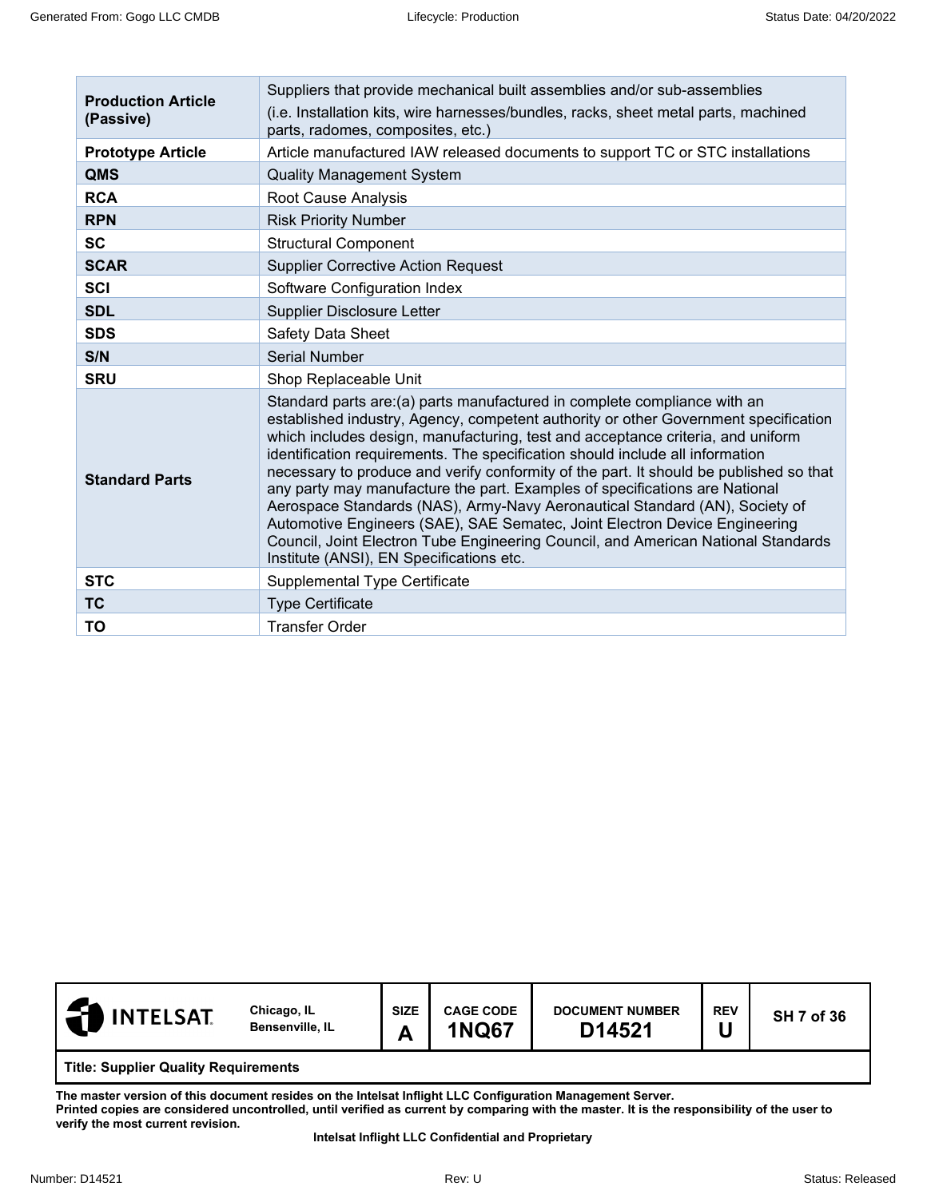| <b>Production Article</b><br>(Passive) | Suppliers that provide mechanical built assemblies and/or sub-assemblies<br>(i.e. Installation kits, wire harnesses/bundles, racks, sheet metal parts, machined<br>parts, radomes, composites, etc.)                                                                                                                                                                                                                                                                                                                                                                                                                                                                                                                                                                                                        |  |  |  |  |  |  |
|----------------------------------------|-------------------------------------------------------------------------------------------------------------------------------------------------------------------------------------------------------------------------------------------------------------------------------------------------------------------------------------------------------------------------------------------------------------------------------------------------------------------------------------------------------------------------------------------------------------------------------------------------------------------------------------------------------------------------------------------------------------------------------------------------------------------------------------------------------------|--|--|--|--|--|--|
| <b>Prototype Article</b>               | Article manufactured IAW released documents to support TC or STC installations                                                                                                                                                                                                                                                                                                                                                                                                                                                                                                                                                                                                                                                                                                                              |  |  |  |  |  |  |
| QMS                                    | <b>Quality Management System</b>                                                                                                                                                                                                                                                                                                                                                                                                                                                                                                                                                                                                                                                                                                                                                                            |  |  |  |  |  |  |
| <b>RCA</b>                             | Root Cause Analysis                                                                                                                                                                                                                                                                                                                                                                                                                                                                                                                                                                                                                                                                                                                                                                                         |  |  |  |  |  |  |
| <b>RPN</b>                             | <b>Risk Priority Number</b>                                                                                                                                                                                                                                                                                                                                                                                                                                                                                                                                                                                                                                                                                                                                                                                 |  |  |  |  |  |  |
| <b>SC</b>                              | <b>Structural Component</b>                                                                                                                                                                                                                                                                                                                                                                                                                                                                                                                                                                                                                                                                                                                                                                                 |  |  |  |  |  |  |
| <b>SCAR</b>                            | <b>Supplier Corrective Action Request</b>                                                                                                                                                                                                                                                                                                                                                                                                                                                                                                                                                                                                                                                                                                                                                                   |  |  |  |  |  |  |
| <b>SCI</b>                             | Software Configuration Index                                                                                                                                                                                                                                                                                                                                                                                                                                                                                                                                                                                                                                                                                                                                                                                |  |  |  |  |  |  |
| <b>SDL</b>                             | <b>Supplier Disclosure Letter</b>                                                                                                                                                                                                                                                                                                                                                                                                                                                                                                                                                                                                                                                                                                                                                                           |  |  |  |  |  |  |
| <b>SDS</b>                             | Safety Data Sheet                                                                                                                                                                                                                                                                                                                                                                                                                                                                                                                                                                                                                                                                                                                                                                                           |  |  |  |  |  |  |
| S/N                                    | <b>Serial Number</b>                                                                                                                                                                                                                                                                                                                                                                                                                                                                                                                                                                                                                                                                                                                                                                                        |  |  |  |  |  |  |
| <b>SRU</b>                             | Shop Replaceable Unit                                                                                                                                                                                                                                                                                                                                                                                                                                                                                                                                                                                                                                                                                                                                                                                       |  |  |  |  |  |  |
| <b>Standard Parts</b>                  | Standard parts are: (a) parts manufactured in complete compliance with an<br>established industry, Agency, competent authority or other Government specification<br>which includes design, manufacturing, test and acceptance criteria, and uniform<br>identification requirements. The specification should include all information<br>necessary to produce and verify conformity of the part. It should be published so that<br>any party may manufacture the part. Examples of specifications are National<br>Aerospace Standards (NAS), Army-Navy Aeronautical Standard (AN), Society of<br>Automotive Engineers (SAE), SAE Sematec, Joint Electron Device Engineering<br>Council, Joint Electron Tube Engineering Council, and American National Standards<br>Institute (ANSI), EN Specifications etc. |  |  |  |  |  |  |
| <b>STC</b>                             | Supplemental Type Certificate                                                                                                                                                                                                                                                                                                                                                                                                                                                                                                                                                                                                                                                                                                                                                                               |  |  |  |  |  |  |
| <b>TC</b>                              | <b>Type Certificate</b>                                                                                                                                                                                                                                                                                                                                                                                                                                                                                                                                                                                                                                                                                                                                                                                     |  |  |  |  |  |  |
| TO                                     | <b>Transfer Order</b>                                                                                                                                                                                                                                                                                                                                                                                                                                                                                                                                                                                                                                                                                                                                                                                       |  |  |  |  |  |  |

<span id="page-6-0"></span>

| <b>INTELSAT</b><br>-21                      | Chicago, IL<br><b>Bensenville, IL</b> | <b>SIZE</b><br>A | <b>CAGE CODE</b><br><b>1NQ67</b> | <b>DOCUMENT NUMBER</b><br>D14521 | <b>REV</b> | <b>SH 7 of 36</b> |
|---------------------------------------------|---------------------------------------|------------------|----------------------------------|----------------------------------|------------|-------------------|
| <b>Title: Supplier Quality Requirements</b> |                                       |                  |                                  |                                  |            |                   |

**The master version of this document resides on the Intelsat Inflight LLC Configuration Management Server. Printed copies are considered uncontrolled, until verified as current by comparing with the master. It is the responsibility of the user to verify the most current revision.**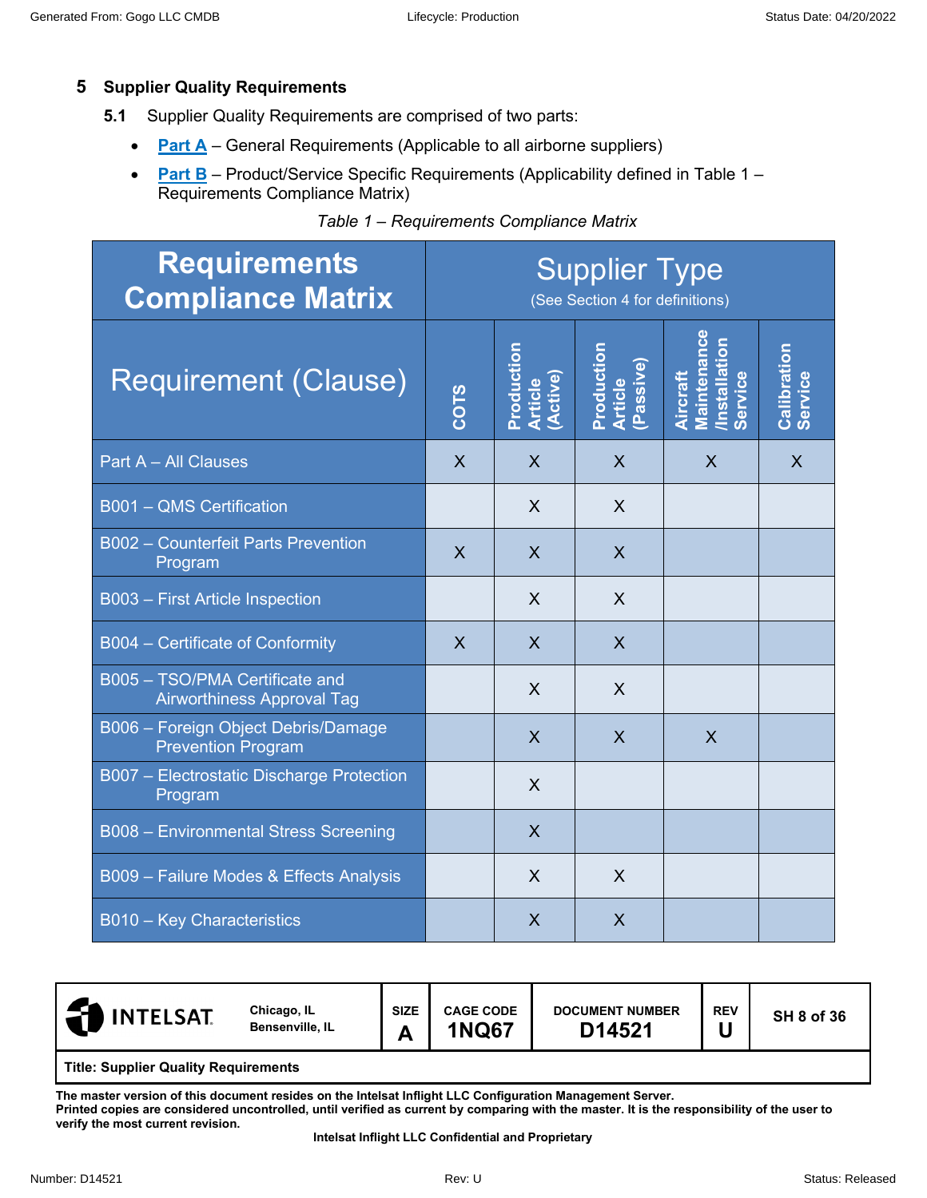# **5 Supplier Quality Requirements**

- **5.1** Supplier Quality Requirements are comprised of two parts:
	- **Part A** General Requirements (Applicable to all airborne suppliers)
	- **Part B** Product/Service Specific Requirements (Applicability defined in Table 1 Requirements Compliance Matrix)

| <b>Requirements</b><br><b>Compliance Matrix</b>                     | <b>Supplier Type</b><br>(See Section 4 for definitions) |                                   |                                    |                                                                          |                        |  |
|---------------------------------------------------------------------|---------------------------------------------------------|-----------------------------------|------------------------------------|--------------------------------------------------------------------------|------------------------|--|
| <b>Requirement (Clause)</b>                                         | COTS                                                    | Production<br>Article<br>(Active) | Production<br>Article<br>(Passive) | <b>Maintenance</b><br><b>/Installation</b><br>Service<br><b>Aircraft</b> | Calibration<br>Service |  |
| Part A - All Clauses                                                | $\sf X$                                                 | $\sf X$                           | $\sf X$                            | $\sf X$                                                                  | $\sf X$                |  |
| <b>B001 - QMS Certification</b>                                     |                                                         | $\sf X$                           | X                                  |                                                                          |                        |  |
| <b>B002 - Counterfeit Parts Prevention</b><br>Program               | $\mathsf{X}$                                            | $\sf X$                           | $\sf X$                            |                                                                          |                        |  |
| B003 - First Article Inspection                                     |                                                         | X                                 | $\sf X$                            |                                                                          |                        |  |
| B004 - Certificate of Conformity                                    | $\overline{\mathsf{X}}$                                 | $\mathsf{X}$                      | $\overline{X}$                     |                                                                          |                        |  |
| B005 - TSO/PMA Certificate and<br><b>Airworthiness Approval Tag</b> |                                                         | $\sf X$                           | $\sf X$                            |                                                                          |                        |  |
| B006 - Foreign Object Debris/Damage<br><b>Prevention Program</b>    |                                                         | $\mathsf{X}$                      | $\sf X$                            | $\sf X$                                                                  |                        |  |
| B007 - Electrostatic Discharge Protection<br>Program                |                                                         | X                                 |                                    |                                                                          |                        |  |
| B008 - Environmental Stress Screening                               |                                                         | $\overline{\mathsf{X}}$           |                                    |                                                                          |                        |  |
| B009 - Failure Modes & Effects Analysis                             |                                                         | X                                 | $\sf X$                            |                                                                          |                        |  |
| <b>B010 - Key Characteristics</b>                                   |                                                         | X                                 | $\sf X$                            |                                                                          |                        |  |

| <b>NINTELSAT</b><br>. वा                    | Chicago, IL<br>Bensenville, IL | <b>SIZE</b><br>А | <b>CAGE CODE</b><br><b>1NQ67</b> | <b>DOCUMENT NUMBER</b><br>D14521 | <b>REV</b> | <b>SH 8 of 36</b> |  |  |  |
|---------------------------------------------|--------------------------------|------------------|----------------------------------|----------------------------------|------------|-------------------|--|--|--|
| <b>Title: Supplier Quality Requirements</b> |                                |                  |                                  |                                  |            |                   |  |  |  |

**The master version of this document resides on the Intelsat Inflight LLC Configuration Management Server.** 

**Printed copies are considered uncontrolled, until verified as current by comparing with the master. It is the responsibility of the user to verify the most current revision.**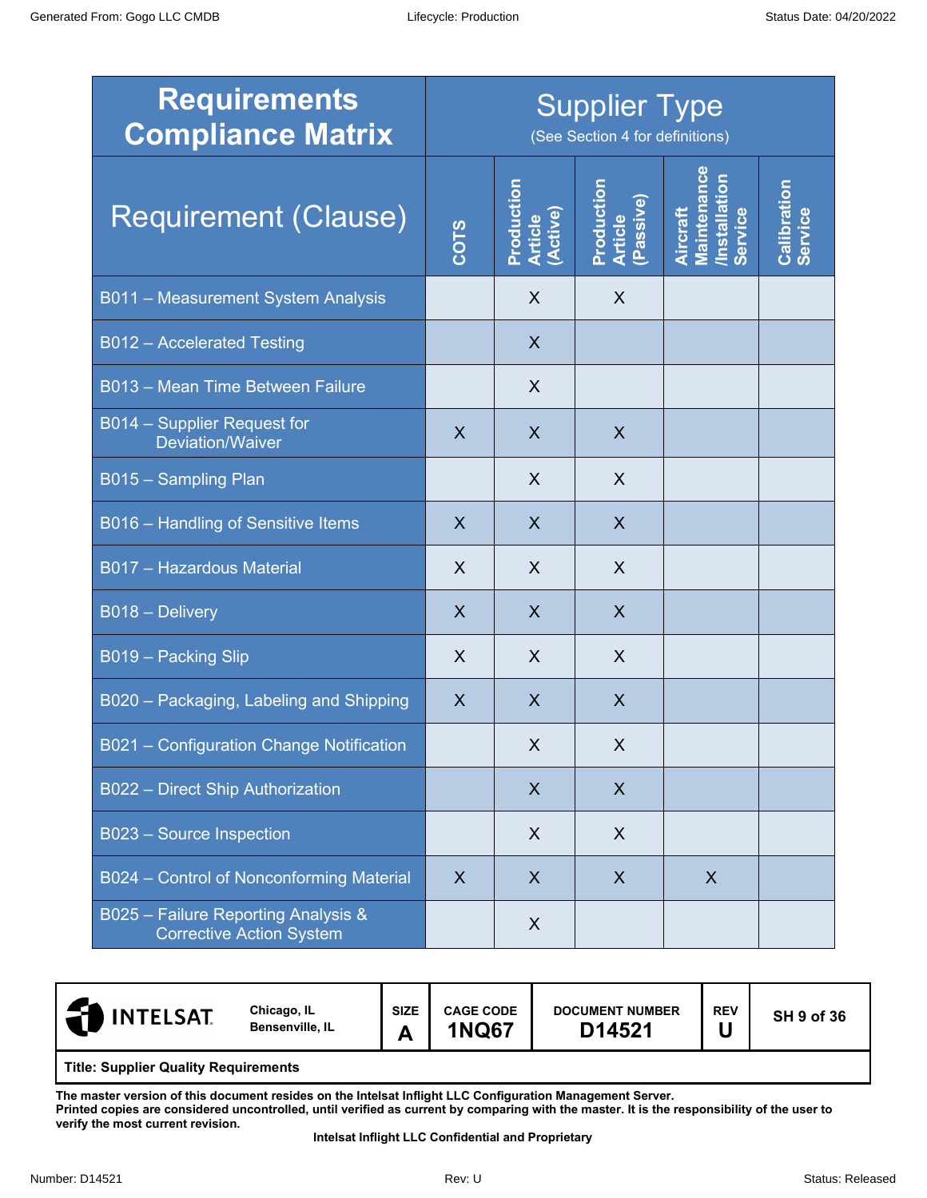| <b>Requirements</b><br><b>Compliance Matrix</b>                        | <b>Supplier Type</b><br>(See Section 4 for definitions) |                                   |                                    |                                                                   |                        |  |
|------------------------------------------------------------------------|---------------------------------------------------------|-----------------------------------|------------------------------------|-------------------------------------------------------------------|------------------------|--|
| Requirement (Clause)                                                   | COTS                                                    | Production<br>Article<br>(Active) | Production<br>Article<br>(Passive) | <b>Maintenance</b><br>/Installation<br>Service<br><b>Aircraft</b> | Calibration<br>Service |  |
| B011 - Measurement System Analysis                                     |                                                         | $\sf X$                           | X                                  |                                                                   |                        |  |
| <b>B012 - Accelerated Testing</b>                                      |                                                         | $\boldsymbol{X}$                  |                                    |                                                                   |                        |  |
| B013 - Mean Time Between Failure                                       |                                                         | X                                 |                                    |                                                                   |                        |  |
| B014 - Supplier Request for<br><b>Deviation/Waiver</b>                 | $\sf X$                                                 | $\sf X$                           | $\sf X$                            |                                                                   |                        |  |
| B015 - Sampling Plan                                                   |                                                         | $\sf X$                           | $\sf X$                            |                                                                   |                        |  |
| B016 - Handling of Sensitive Items                                     | $\sf X$                                                 | $\sf X$                           | X                                  |                                                                   |                        |  |
| B017 - Hazardous Material                                              | $\sf X$                                                 | $\sf X$                           | $\sf X$                            |                                                                   |                        |  |
| B018 - Delivery                                                        | $\sf X$                                                 | $\sf X$                           | $\sf X$                            |                                                                   |                        |  |
| B019 - Packing Slip                                                    | X                                                       | X                                 | $\sf X$                            |                                                                   |                        |  |
| B020 - Packaging, Labeling and Shipping                                | X                                                       | X                                 | X                                  |                                                                   |                        |  |
| B021 - Configuration Change Notification                               |                                                         | X                                 | X                                  |                                                                   |                        |  |
| B022 - Direct Ship Authorization                                       |                                                         | $\sf X$                           | $\sf X$                            |                                                                   |                        |  |
| B023 - Source Inspection                                               |                                                         | X                                 | X                                  |                                                                   |                        |  |
| B024 - Control of Nonconforming Material                               | $\sf X$                                                 | X                                 | X                                  | X                                                                 |                        |  |
| B025 - Failure Reporting Analysis &<br><b>Corrective Action System</b> |                                                         | X                                 |                                    |                                                                   |                        |  |

| <b>INTELSAT.</b>                            | Chicago, IL<br>Bensenville, IL | <b>SIZE</b><br>Α | <b>CAGE CODE</b><br><b>1NQ67</b> | <b>DOCUMENT NUMBER</b><br>D14521 | <b>REV</b> | <b>SH 9 of 36</b> |
|---------------------------------------------|--------------------------------|------------------|----------------------------------|----------------------------------|------------|-------------------|
| <b>Title: Supplier Quality Requirements</b> |                                |                  |                                  |                                  |            |                   |

**The master version of this document resides on the Intelsat Inflight LLC Configuration Management Server.** 

**Printed copies are considered uncontrolled, until verified as current by comparing with the master. It is the responsibility of the user to verify the most current revision.**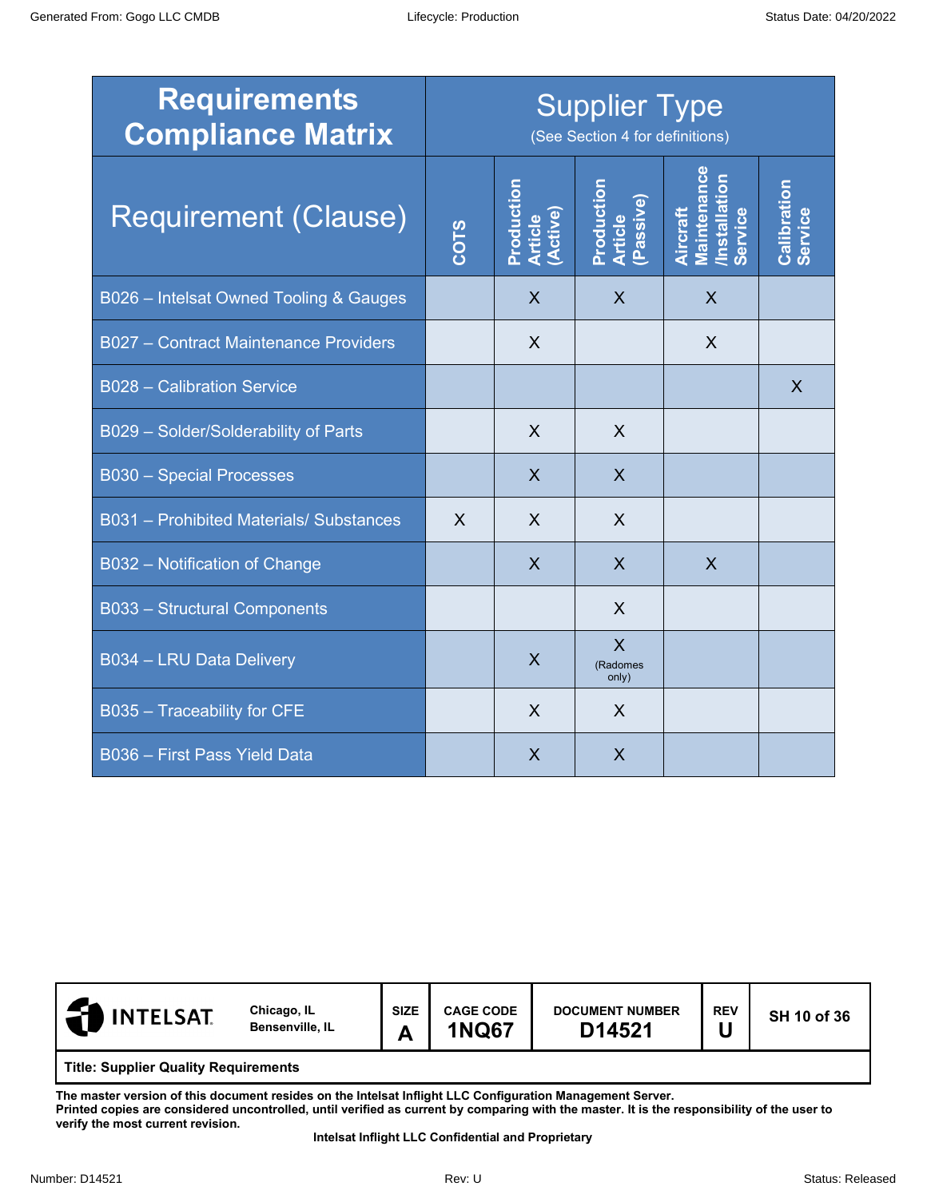| <b>Requirements</b><br><b>Compliance Matrix</b> | <b>Supplier Type</b><br>(See Section 4 for definitions) |                                   |                                              |                                                            |                        |
|-------------------------------------------------|---------------------------------------------------------|-----------------------------------|----------------------------------------------|------------------------------------------------------------|------------------------|
| <b>Requirement (Clause)</b>                     | COTS                                                    | Production<br>Article<br>(Active) | Production<br>Article<br>(Passive)           | <b>Maintenance</b><br>/Installation<br>Service<br>Aircraft | Calibration<br>Service |
| B026 - Intelsat Owned Tooling & Gauges          |                                                         | $\mathsf{X}$                      | X                                            | $\sf X$                                                    |                        |
| B027 - Contract Maintenance Providers           |                                                         | $\sf X$                           |                                              | X                                                          |                        |
| <b>B028 - Calibration Service</b>               |                                                         |                                   |                                              |                                                            | $\sf X$                |
| B029 - Solder/Solderability of Parts            |                                                         | X                                 | $\sf X$                                      |                                                            |                        |
| <b>B030 - Special Processes</b>                 |                                                         | $\mathsf{X}$                      | $\overline{\mathsf{X}}$                      |                                                            |                        |
| B031 - Prohibited Materials/ Substances         | X                                                       | $\sf X$                           | X                                            |                                                            |                        |
| B032 - Notification of Change                   |                                                         | $\overline{\mathsf{X}}$           | $\sf X$                                      | $\overline{X}$                                             |                        |
| B033 - Structural Components                    |                                                         |                                   | X                                            |                                                            |                        |
| B034 - LRU Data Delivery                        |                                                         | $\sf X$                           | $\overline{\mathsf{X}}$<br>(Radomes<br>only) |                                                            |                        |
| B035 - Traceability for CFE                     |                                                         | $\sf X$                           | X                                            |                                                            |                        |
| <b>B036 - First Pass Yield Data</b>             |                                                         | $\overline{\mathsf{X}}$           | $\overline{\mathsf{X}}$                      |                                                            |                        |

| <b>INTELSAT.</b>                            | Chicago, IL<br>Bensenville, IL | <b>SIZE</b><br>А | <b>CAGE CODE</b><br><b>1NQ67</b> | <b>DOCUMENT NUMBER</b><br>D14521 | <b>REV</b> | SH 10 of 36 |
|---------------------------------------------|--------------------------------|------------------|----------------------------------|----------------------------------|------------|-------------|
| <b>Title: Supplier Quality Requirements</b> |                                |                  |                                  |                                  |            |             |

**The master version of this document resides on the Intelsat Inflight LLC Configuration Management Server.** 

**Printed copies are considered uncontrolled, until verified as current by comparing with the master. It is the responsibility of the user to verify the most current revision.**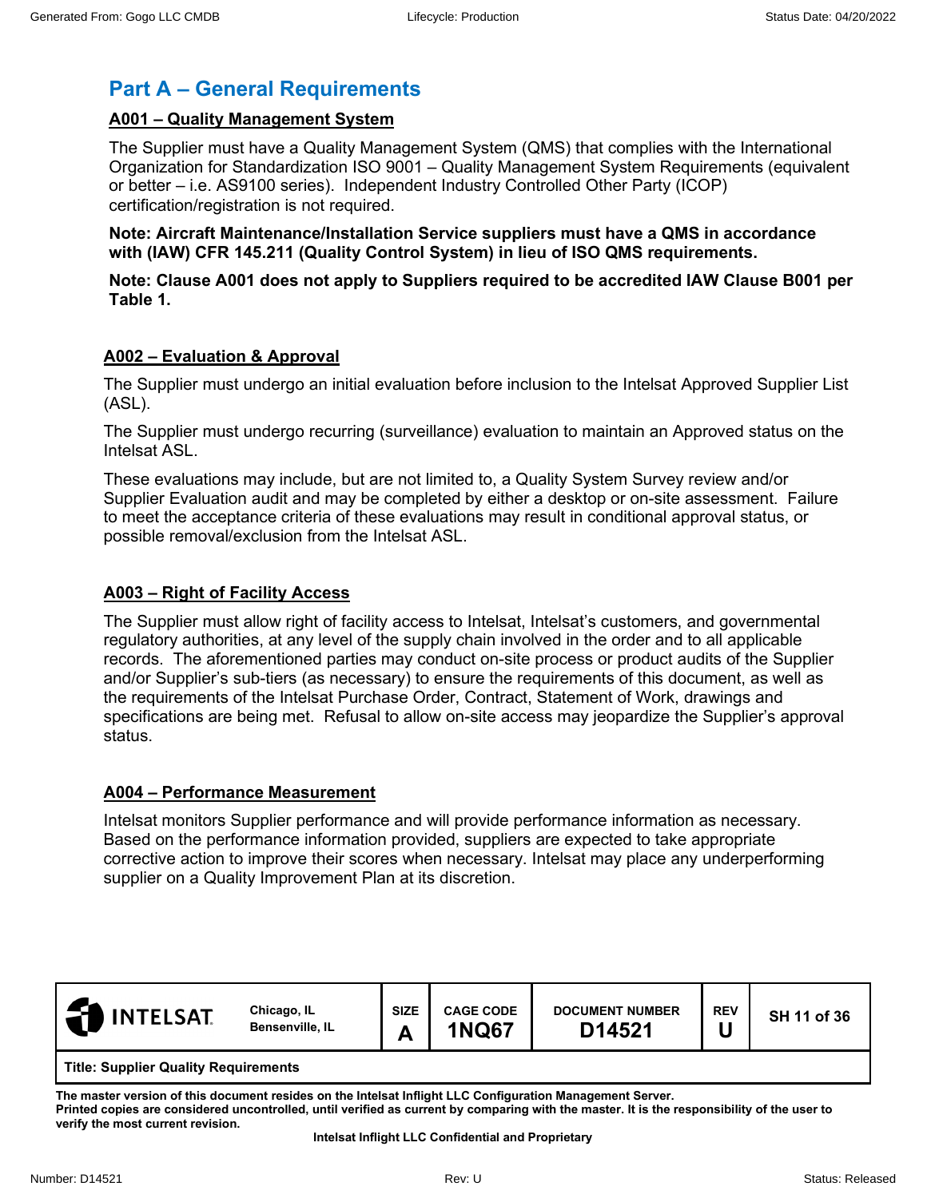# **Part A – General Requirements**

# **A001 – Quality Management System**

The Supplier must have a Quality Management System (QMS) that complies with the International Organization for Standardization ISO 9001 – Quality Management System Requirements (equivalent or better – i.e. AS9100 series). Independent Industry Controlled Other Party (ICOP) certification/registration is not required.

**Note: Aircraft Maintenance/Installation Service suppliers must have a QMS in accordance with (IAW) CFR 145.211 (Quality Control System) in lieu of ISO QMS requirements.**

**Note: Clause A001 does not apply to Suppliers required to be accredited IAW Clause B001 per Table 1.**

#### **A002 – Evaluation & Approval**

The Supplier must undergo an initial evaluation before inclusion to the Intelsat Approved Supplier List (ASL).

The Supplier must undergo recurring (surveillance) evaluation to maintain an Approved status on the Intelsat ASL.

These evaluations may include, but are not limited to, a Quality System Survey review and/or Supplier Evaluation audit and may be completed by either a desktop or on-site assessment. Failure to meet the acceptance criteria of these evaluations may result in conditional approval status, or possible removal/exclusion from the Intelsat ASL.

## **A003 – Right of Facility Access**

The Supplier must allow right of facility access to Intelsat, Intelsat's customers, and governmental regulatory authorities, at any level of the supply chain involved in the order and to all applicable records. The aforementioned parties may conduct on-site process or product audits of the Supplier and/or Supplier's sub-tiers (as necessary) to ensure the requirements of this document, as well as the requirements of the Intelsat Purchase Order, Contract, Statement of Work, drawings and specifications are being met. Refusal to allow on-site access may jeopardize the Supplier's approval status.

#### **A004 – Performance Measurement**

Intelsat monitors Supplier performance and will provide performance information as necessary. Based on the performance information provided, suppliers are expected to take appropriate corrective action to improve their scores when necessary. Intelsat may place any underperforming supplier on a Quality Improvement Plan at its discretion.

| <b>INTELSAT</b>                             | Chicago, IL<br>Bensenville, IL | <b>SIZE</b><br>~ | <b>CAGE CODE</b><br><b>1NQ67</b> | <b>DOCUMENT NUMBER</b><br>D14521 | <b>REV</b> | SH 11 of 36 |
|---------------------------------------------|--------------------------------|------------------|----------------------------------|----------------------------------|------------|-------------|
| <b>Title: Supplier Quality Requirements</b> |                                |                  |                                  |                                  |            |             |

**The master version of this document resides on the Intelsat Inflight LLC Configuration Management Server. Printed copies are considered uncontrolled, until verified as current by comparing with the master. It is the responsibility of the user to** 

**verify the most current revision.**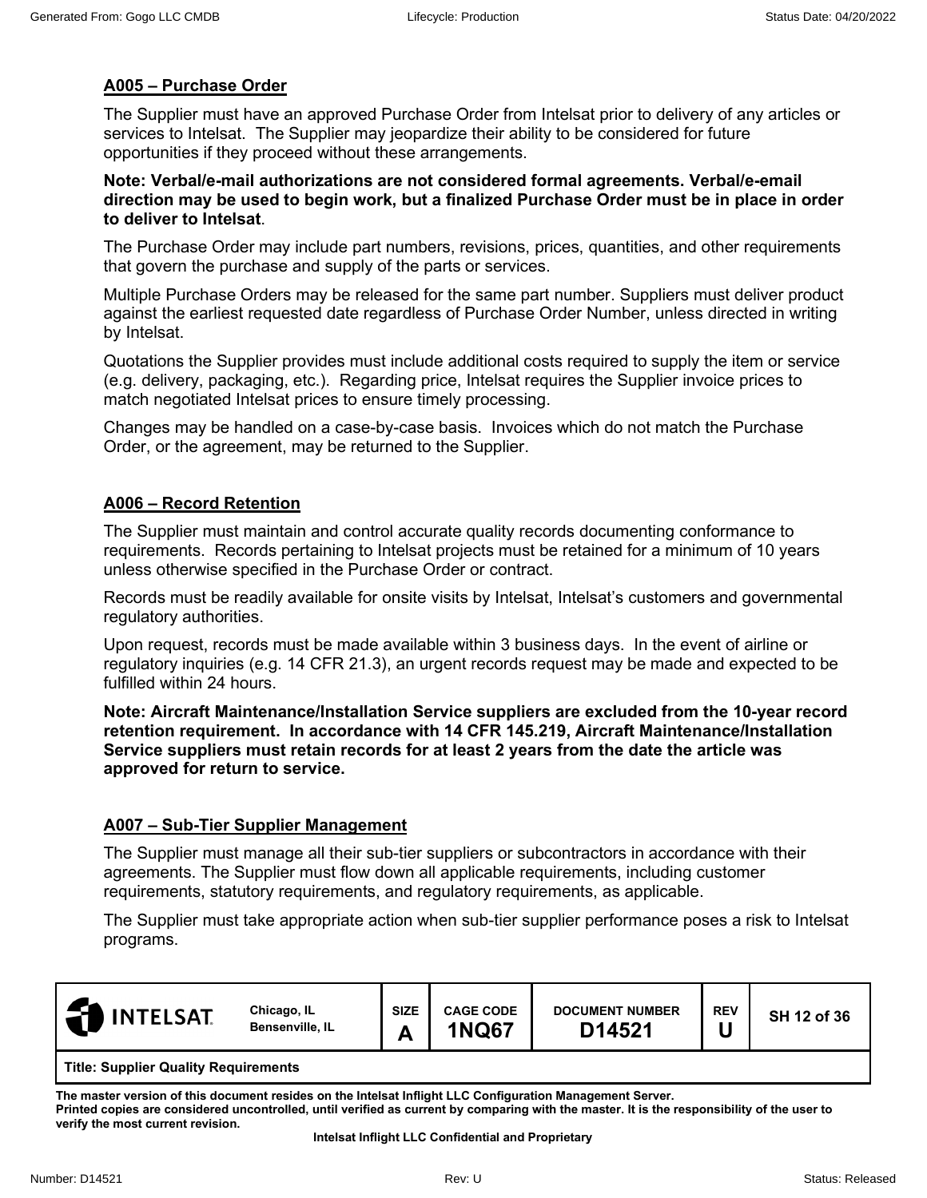# **A005 – Purchase Order**

The Supplier must have an approved Purchase Order from Intelsat prior to delivery of any articles or services to Intelsat. The Supplier may jeopardize their ability to be considered for future opportunities if they proceed without these arrangements.

**Note: Verbal/e-mail authorizations are not considered formal agreements. Verbal/e-email direction may be used to begin work, but a finalized Purchase Order must be in place in order to deliver to Intelsat**.

The Purchase Order may include part numbers, revisions, prices, quantities, and other requirements that govern the purchase and supply of the parts or services.

Multiple Purchase Orders may be released for the same part number. Suppliers must deliver product against the earliest requested date regardless of Purchase Order Number, unless directed in writing by Intelsat.

Quotations the Supplier provides must include additional costs required to supply the item or service (e.g. delivery, packaging, etc.). Regarding price, Intelsat requires the Supplier invoice prices to match negotiated Intelsat prices to ensure timely processing.

Changes may be handled on a case-by-case basis. Invoices which do not match the Purchase Order, or the agreement, may be returned to the Supplier.

## **A006 – Record Retention**

The Supplier must maintain and control accurate quality records documenting conformance to requirements. Records pertaining to Intelsat projects must be retained for a minimum of 10 years unless otherwise specified in the Purchase Order or contract.

Records must be readily available for onsite visits by Intelsat, Intelsat's customers and governmental regulatory authorities.

Upon request, records must be made available within 3 business days. In the event of airline or regulatory inquiries (e.g. 14 CFR 21.3), an urgent records request may be made and expected to be fulfilled within 24 hours.

**Note: Aircraft Maintenance/Installation Service suppliers are excluded from the 10-year record retention requirement. In accordance with 14 CFR 145.219, Aircraft Maintenance/Installation Service suppliers must retain records for at least 2 years from the date the article was approved for return to service.**

## **A007 – Sub-Tier Supplier Management**

The Supplier must manage all their sub-tier suppliers or subcontractors in accordance with their agreements. The Supplier must flow down all applicable requirements, including customer requirements, statutory requirements, and regulatory requirements, as applicable.

The Supplier must take appropriate action when sub-tier supplier performance poses a risk to Intelsat programs.

| Æ<br><b>INTELSAT</b> | Chicago, IL<br>Bensenville, IL | <b>SIZE</b><br>A | <b>CAGE CODE</b><br><b>NQ67</b> | <b>DOCUMENT NUMBER</b><br>D14521 | <b>REV</b> | SH 12 of 36 |  |  |
|----------------------|--------------------------------|------------------|---------------------------------|----------------------------------|------------|-------------|--|--|
| $-1$                 |                                |                  |                                 |                                  |            |             |  |  |

**Title: Supplier Quality Requirements**

**The master version of this document resides on the Intelsat Inflight LLC Configuration Management Server. Printed copies are considered uncontrolled, until verified as current by comparing with the master. It is the responsibility of the user to** 

**verify the most current revision.**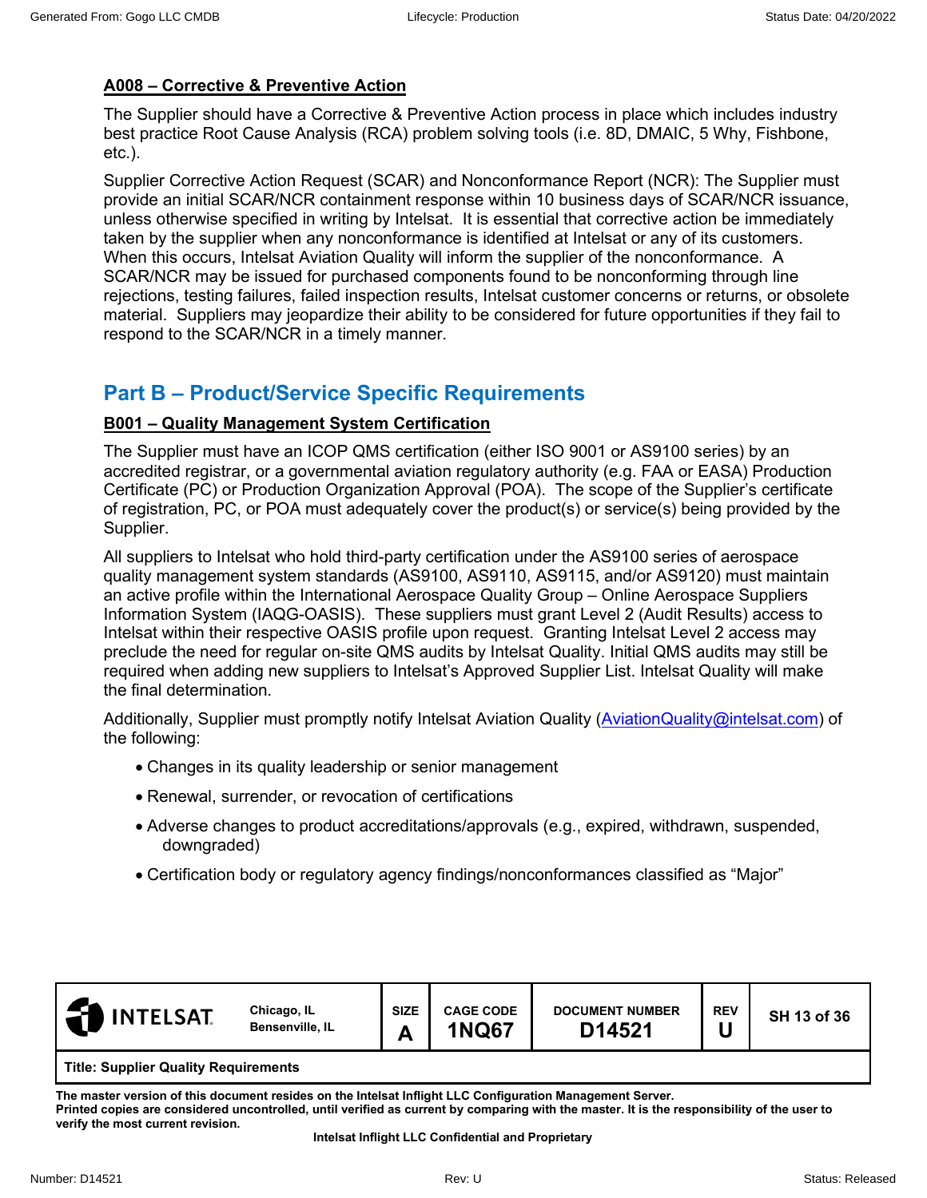# **A008 – Corrective & Preventive Action**

The Supplier should have a Corrective & Preventive Action process in place which includes industry best practice Root Cause Analysis (RCA) problem solving tools (i.e. 8D, DMAIC, 5 Why, Fishbone, etc.).

Supplier Corrective Action Request (SCAR) and Nonconformance Report (NCR): The Supplier must provide an initial SCAR/NCR containment response within 10 business days of SCAR/NCR issuance, unless otherwise specified in writing by Intelsat. It is essential that corrective action be immediately taken by the supplier when any nonconformance is identified at Intelsat or any of its customers. When this occurs, Intelsat Aviation Quality will inform the supplier of the nonconformance. A SCAR/NCR may be issued for purchased components found to be nonconforming through line rejections, testing failures, failed inspection results, Intelsat customer concerns or returns, or obsolete material. Suppliers may jeopardize their ability to be considered for future opportunities if they fail to respond to the SCAR/NCR in a timely manner.

# **Part B – Product/Service Specific Requirements**

## **B001 – Quality Management System Certification**

The Supplier must have an ICOP QMS certification (either ISO 9001 or AS9100 series) by an accredited registrar, or a governmental aviation regulatory authority (e.g. FAA or EASA) Production Certificate (PC) or Production Organization Approval (POA). The scope of the Supplier's certificate of registration, PC, or POA must adequately cover the product(s) or service(s) being provided by the Supplier.

All suppliers to Intelsat who hold third-party certification under the AS9100 series of aerospace quality management system standards (AS9100, AS9110, AS9115, and/or AS9120) must maintain an active profile within the International Aerospace Quality Group – Online Aerospace Suppliers Information System (IAQG-OASIS). These suppliers must grant Level 2 (Audit Results) access to Intelsat within their respective OASIS profile upon request. Granting Intelsat Level 2 access may preclude the need for regular on-site QMS audits by Intelsat Quality. Initial QMS audits may still be required when adding new suppliers to Intelsat's Approved Supplier List. Intelsat Quality will make the final determination.

Additionally, Supplier must promptly notify Intelsat Aviation Quality [\(AviationQuality@intelsat.com\)](mailto:AviationQuality@intelsat.com) of the following:

- Changes in its quality leadership or senior management
- Renewal, surrender, or revocation of certifications
- Adverse changes to product accreditations/approvals (e.g., expired, withdrawn, suspended, downgraded)
- Certification body or regulatory agency findings/nonconformances classified as "Major"

| <b>INTELSAT</b>                             | Chicago, IL<br>Bensenville, IL | <b>SIZE</b><br>A | <b>CAGE CODE</b><br><b>1NQ67</b> | <b>DOCUMENT NUMBER</b><br>D14521 | <b>REV</b> | SH 13 of 36 |
|---------------------------------------------|--------------------------------|------------------|----------------------------------|----------------------------------|------------|-------------|
| <b>Title: Supplier Quality Requirements</b> |                                |                  |                                  |                                  |            |             |

**The master version of this document resides on the Intelsat Inflight LLC Configuration Management Server.** 

**Printed copies are considered uncontrolled, until verified as current by comparing with the master. It is the responsibility of the user to verify the most current revision.**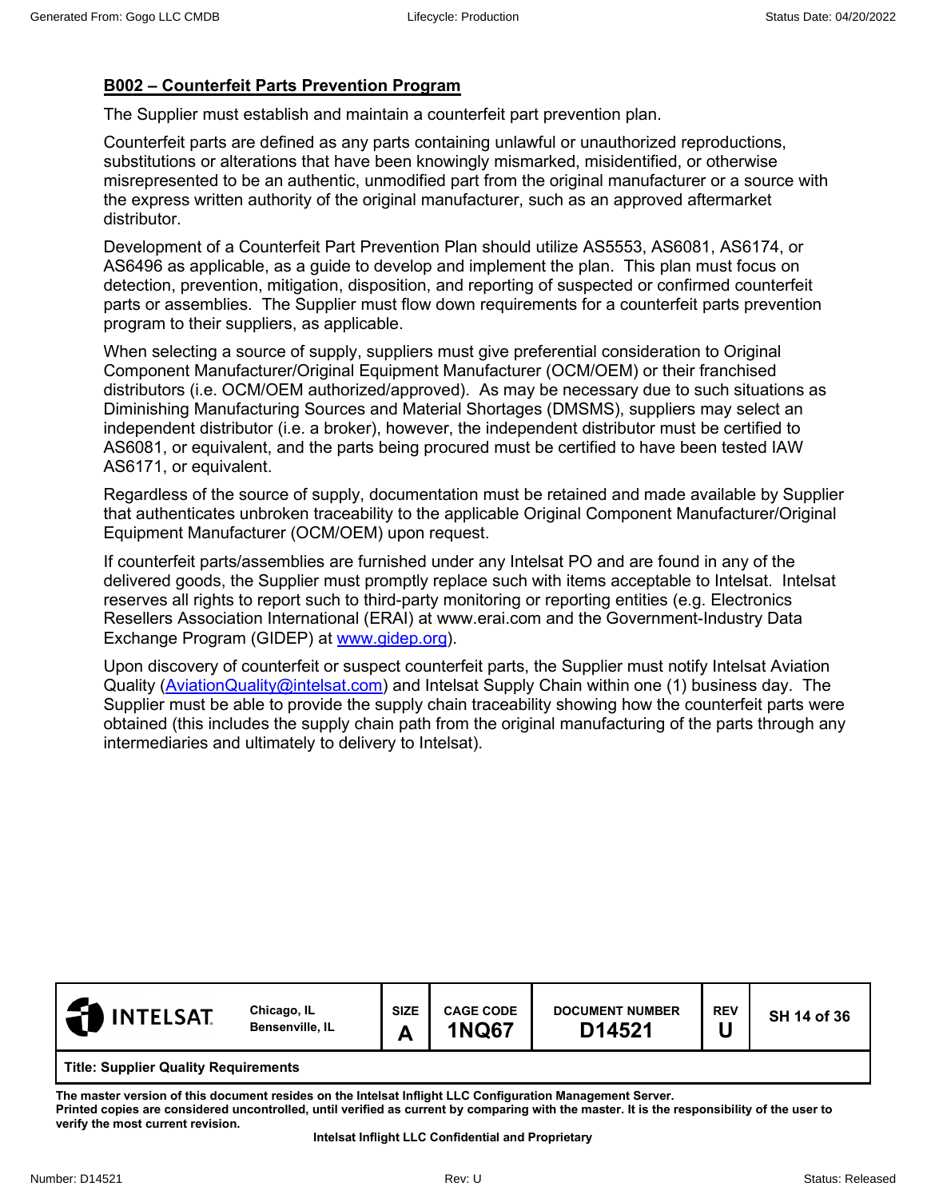# **B002 – Counterfeit Parts Prevention Program**

The Supplier must establish and maintain a counterfeit part prevention plan.

Counterfeit parts are defined as any parts containing unlawful or unauthorized reproductions, substitutions or alterations that have been knowingly mismarked, misidentified, or otherwise misrepresented to be an authentic, unmodified part from the original manufacturer or a source with the express written authority of the original manufacturer, such as an approved aftermarket distributor.

Development of a Counterfeit Part Prevention Plan should utilize AS5553, AS6081, AS6174, or AS6496 as applicable, as a guide to develop and implement the plan. This plan must focus on detection, prevention, mitigation, disposition, and reporting of suspected or confirmed counterfeit parts or assemblies. The Supplier must flow down requirements for a counterfeit parts prevention program to their suppliers, as applicable.

When selecting a source of supply, suppliers must give preferential consideration to Original Component Manufacturer/Original Equipment Manufacturer (OCM/OEM) or their franchised distributors (i.e. OCM/OEM authorized/approved). As may be necessary due to such situations as Diminishing Manufacturing Sources and Material Shortages (DMSMS), suppliers may select an independent distributor (i.e. a broker), however, the independent distributor must be certified to AS6081, or equivalent, and the parts being procured must be certified to have been tested IAW AS6171, or equivalent.

Regardless of the source of supply, documentation must be retained and made available by Supplier that authenticates unbroken traceability to the applicable Original Component Manufacturer/Original Equipment Manufacturer (OCM/OEM) upon request.

If counterfeit parts/assemblies are furnished under any Intelsat PO and are found in any of the delivered goods, the Supplier must promptly replace such with items acceptable to Intelsat. Intelsat reserves all rights to report such to third-party monitoring or reporting entities (e.g. Electronics Resellers Association International (ERAI) at www.erai.com and the Government-Industry Data Exchange Program (GIDEP) at [www.gidep.org\)](http://www.gidep.org/).

Upon discovery of counterfeit or suspect counterfeit parts, the Supplier must notify Intelsat Aviation Quality [\(AviationQuality@intelsat.com\)](mailto:AviationQuality@intelsat.com) and Intelsat Supply Chain within one (1) business day. The Supplier must be able to provide the supply chain traceability showing how the counterfeit parts were obtained (this includes the supply chain path from the original manufacturing of the parts through any intermediaries and ultimately to delivery to Intelsat).

| <b>INTELSAT</b>                             | Chicago, IL<br>Bensenville, IL | <b>SIZE</b><br>Δ<br>г | <b>CAGE CODE</b><br><b>1NQ67</b> | <b>DOCUMENT NUMBER</b><br>D14521 | <b>REV</b> | SH 14 of 36 |
|---------------------------------------------|--------------------------------|-----------------------|----------------------------------|----------------------------------|------------|-------------|
| <b>Title: Supplier Quality Requirements</b> |                                |                       |                                  |                                  |            |             |

**The master version of this document resides on the Intelsat Inflight LLC Configuration Management Server. Printed copies are considered uncontrolled, until verified as current by comparing with the master. It is the responsibility of the user to verify the most current revision.**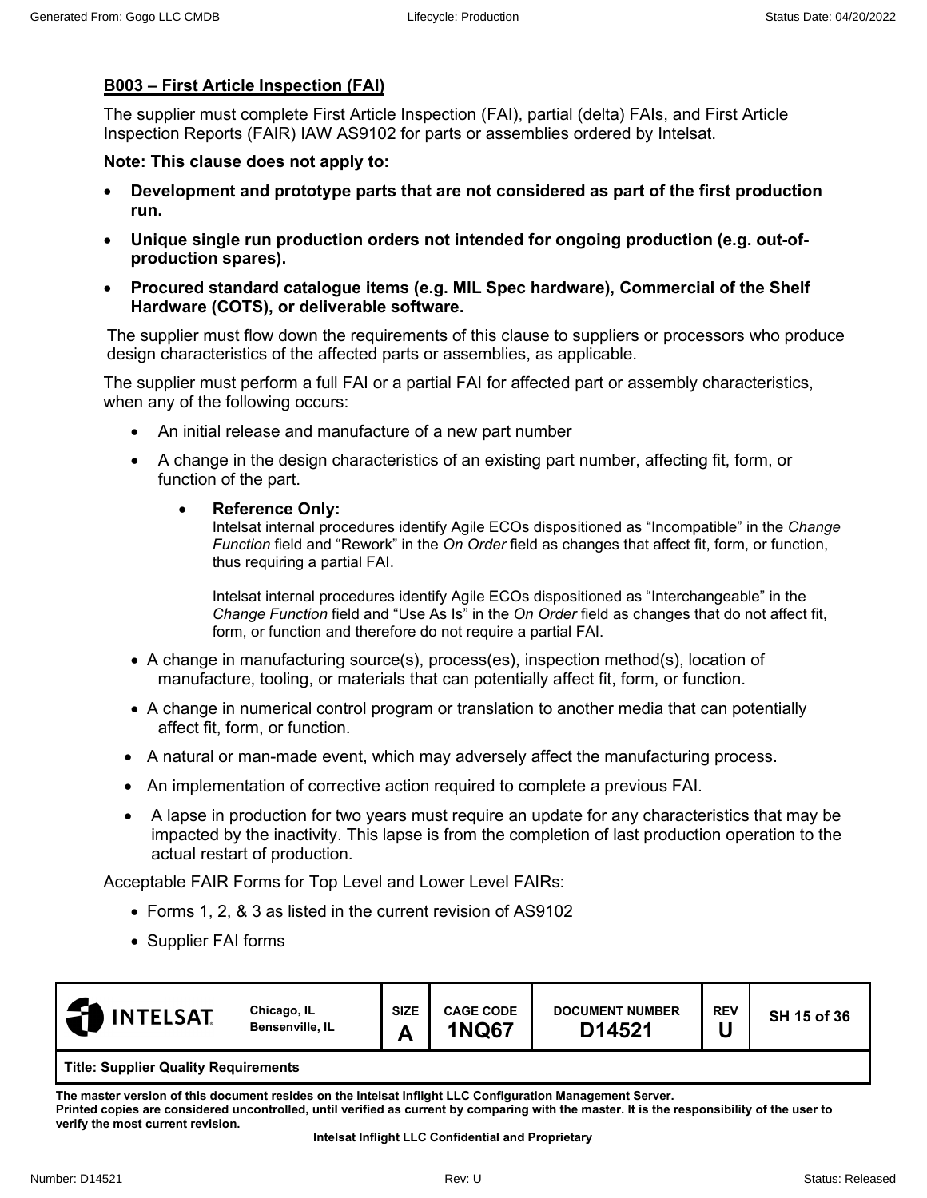## **B003 – First Article Inspection (FAI)**

The supplier must complete First Article Inspection (FAI), partial (delta) FAIs, and First Article Inspection Reports (FAIR) IAW AS9102 for parts or assemblies ordered by Intelsat.

**Note: This clause does not apply to:**

- **Development and prototype parts that are not considered as part of the first production run.**
- **Unique single run production orders not intended for ongoing production (e.g. out-ofproduction spares).**
- **Procured standard catalogue items (e.g. MIL Spec hardware), Commercial of the Shelf Hardware (COTS), or deliverable software.**

The supplier must flow down the requirements of this clause to suppliers or processors who produce design characteristics of the affected parts or assemblies, as applicable.

The supplier must perform a full FAI or a partial FAI for affected part or assembly characteristics, when any of the following occurs:

- An initial release and manufacture of a new part number
- A change in the design characteristics of an existing part number, affecting fit, form, or function of the part.

#### • **Reference Only:**

Intelsat internal procedures identify Agile ECOs dispositioned as "Incompatible" in the *Change Function* field and "Rework" in the *On Order* field as changes that affect fit, form, or function, thus requiring a partial FAI.

Intelsat internal procedures identify Agile ECOs dispositioned as "Interchangeable" in the *Change Function* field and "Use As Is" in the *On Order* field as changes that do not affect fit, form, or function and therefore do not require a partial FAI.

- A change in manufacturing source(s), process(es), inspection method(s), location of manufacture, tooling, or materials that can potentially affect fit, form, or function.
- A change in numerical control program or translation to another media that can potentially affect fit, form, or function.
- A natural or man-made event, which may adversely affect the manufacturing process.
- An implementation of corrective action required to complete a previous FAI.
- A lapse in production for two years must require an update for any characteristics that may be impacted by the inactivity. This lapse is from the completion of last production operation to the actual restart of production.

Acceptable FAIR Forms for Top Level and Lower Level FAIRs:

- Forms 1, 2, & 3 as listed in the current revision of AS9102
- Supplier FAI forms

| <b>INTELSAT</b>                      | Chicago, IL<br><b>Bensenville, IL</b> | <b>SIZE</b><br>n<br>г | <b>CAGE CODE</b><br><b>1NQ67</b> | <b>DOCUMENT NUMBER</b><br>D14521 | <b>REV</b> | SH 15 of 36 |  |  |
|--------------------------------------|---------------------------------------|-----------------------|----------------------------------|----------------------------------|------------|-------------|--|--|
| Title: Cupplier Quality Pequiromante |                                       |                       |                                  |                                  |            |             |  |  |

**Title: Supplier Quality Requirements**

**The master version of this document resides on the Intelsat Inflight LLC Configuration Management Server. Printed copies are considered uncontrolled, until verified as current by comparing with the master. It is the responsibility of the user to verify the most current revision.**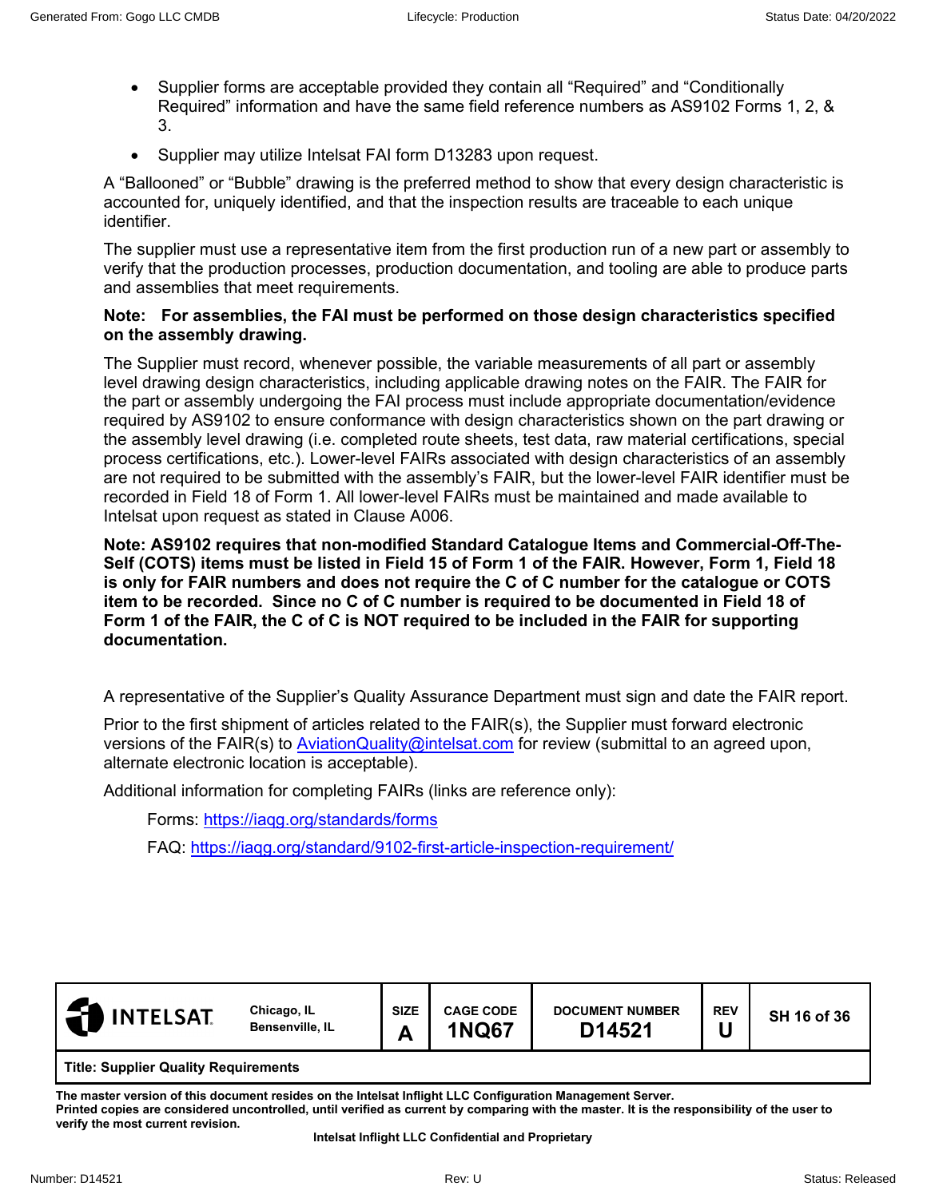- Supplier forms are acceptable provided they contain all "Required" and "Conditionally Required" information and have the same field reference numbers as AS9102 Forms 1, 2, & 3.
- Supplier may utilize Intelsat FAI form D13283 upon request.

A "Ballooned" or "Bubble" drawing is the preferred method to show that every design characteristic is accounted for, uniquely identified, and that the inspection results are traceable to each unique identifier.

The supplier must use a representative item from the first production run of a new part or assembly to verify that the production processes, production documentation, and tooling are able to produce parts and assemblies that meet requirements.

#### **Note: For assemblies, the FAI must be performed on those design characteristics specified on the assembly drawing.**

The Supplier must record, whenever possible, the variable measurements of all part or assembly level drawing design characteristics, including applicable drawing notes on the FAIR. The FAIR for the part or assembly undergoing the FAI process must include appropriate documentation/evidence required by AS9102 to ensure conformance with design characteristics shown on the part drawing or the assembly level drawing (i.e. completed route sheets, test data, raw material certifications, special process certifications, etc.). Lower-level FAIRs associated with design characteristics of an assembly are not required to be submitted with the assembly's FAIR, but the lower-level FAIR identifier must be recorded in Field 18 of Form 1. All lower-level FAIRs must be maintained and made available to Intelsat upon request as stated in Clause A006.

**Note: AS9102 requires that non-modified Standard Catalogue Items and Commercial-Off-The-Self (COTS) items must be listed in Field 15 of Form 1 of the FAIR. However, Form 1, Field 18 is only for FAIR numbers and does not require the C of C number for the catalogue or COTS item to be recorded. Since no C of C number is required to be documented in Field 18 of Form 1 of the FAIR, the C of C is NOT required to be included in the FAIR for supporting documentation.**

A representative of the Supplier's Quality Assurance Department must sign and date the FAIR report.

Prior to the first shipment of articles related to the FAIR(s), the Supplier must forward electronic versions of the FAIR(s) to [AviationQuality@intelsat.com](mailto:AviationQuality@intelsat.com) for review (submittal to an agreed upon, alternate electronic location is acceptable).

Additional information for completing FAIRs (links are reference only):

Forms:<https://iaqg.org/standards/forms>

FAQ:<https://iaqg.org/standard/9102-first-article-inspection-requirement/>

| <b>INTELSAT</b>                             | Chicago, IL<br>Bensenville, IL | <b>SIZE</b><br>D<br>г | <b>CAGE CODE</b><br><b>1NQ67</b> | <b>DOCUMENT NUMBER</b><br>D14521 | <b>REV</b> | SH 16 of 36 |  |
|---------------------------------------------|--------------------------------|-----------------------|----------------------------------|----------------------------------|------------|-------------|--|
| <b>Title: Supplier Quality Requirements</b> |                                |                       |                                  |                                  |            |             |  |

**The master version of this document resides on the Intelsat Inflight LLC Configuration Management Server. Printed copies are considered uncontrolled, until verified as current by comparing with the master. It is the responsibility of the user to verify the most current revision.**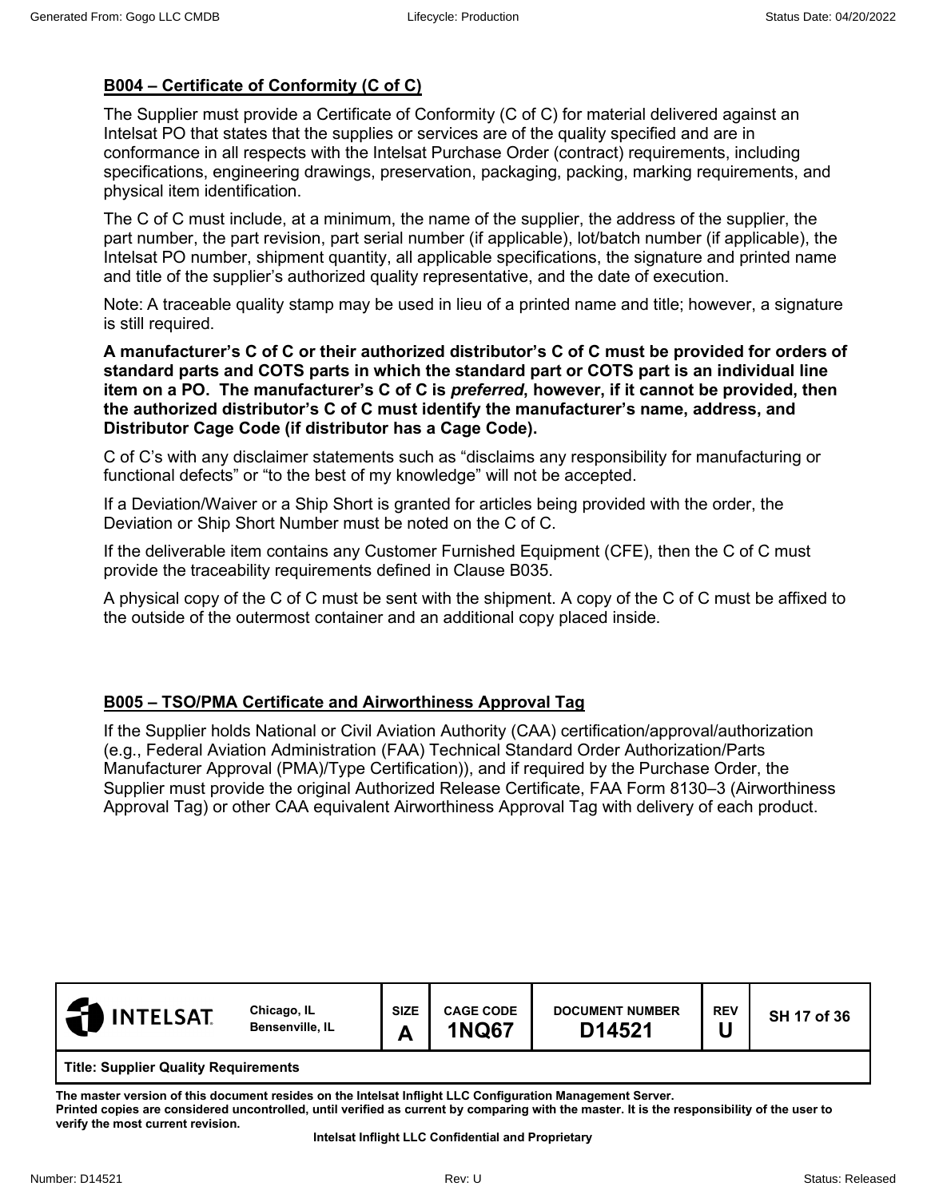# **B004 – Certificate of Conformity (C of C)**

The Supplier must provide a Certificate of Conformity (C of C) for material delivered against an Intelsat PO that states that the supplies or services are of the quality specified and are in conformance in all respects with the Intelsat Purchase Order (contract) requirements, including specifications, engineering drawings, preservation, packaging, packing, marking requirements, and physical item identification.

The C of C must include, at a minimum, the name of the supplier, the address of the supplier, the part number, the part revision, part serial number (if applicable), lot/batch number (if applicable), the Intelsat PO number, shipment quantity, all applicable specifications, the signature and printed name and title of the supplier's authorized quality representative, and the date of execution.

Note: A traceable quality stamp may be used in lieu of a printed name and title; however, a signature is still required.

**A manufacturer's C of C or their authorized distributor's C of C must be provided for orders of standard parts and COTS parts in which the standard part or COTS part is an individual line item on a PO. The manufacturer's C of C is** *preferred***, however, if it cannot be provided, then the authorized distributor's C of C must identify the manufacturer's name, address, and Distributor Cage Code (if distributor has a Cage Code).**

C of C's with any disclaimer statements such as "disclaims any responsibility for manufacturing or functional defects" or "to the best of my knowledge" will not be accepted.

If a Deviation/Waiver or a Ship Short is granted for articles being provided with the order, the Deviation or Ship Short Number must be noted on the C of C.

If the deliverable item contains any Customer Furnished Equipment (CFE), then the C of C must provide the traceability requirements defined in Clause B035.

A physical copy of the C of C must be sent with the shipment. A copy of the C of C must be affixed to the outside of the outermost container and an additional copy placed inside.

## **B005 – TSO/PMA Certificate and Airworthiness Approval Tag**

If the Supplier holds National or Civil Aviation Authority (CAA) certification/approval/authorization (e.g., Federal Aviation Administration (FAA) Technical Standard Order Authorization/Parts Manufacturer Approval (PMA)/Type Certification)), and if required by the Purchase Order, the Supplier must provide the original Authorized Release Certificate, FAA Form 8130–3 (Airworthiness Approval Tag) or other CAA equivalent Airworthiness Approval Tag with delivery of each product.

| <b>INTELSAT</b> | Chicago, IL<br><b>Bensenville, IL</b>       | <b>SIZE</b><br>Α | <b>CAGE CODE</b><br><b>1NQ67</b> | <b>DOCUMENT NUMBER</b><br>D14521 | <b>REV</b> | SH 17 of 36 |  |  |  |
|-----------------|---------------------------------------------|------------------|----------------------------------|----------------------------------|------------|-------------|--|--|--|
|                 | <b>Title: Supplier Quality Requirements</b> |                  |                                  |                                  |            |             |  |  |  |

**The master version of this document resides on the Intelsat Inflight LLC Configuration Management Server. Printed copies are considered uncontrolled, until verified as current by comparing with the master. It is the responsibility of the user to verify the most current revision.**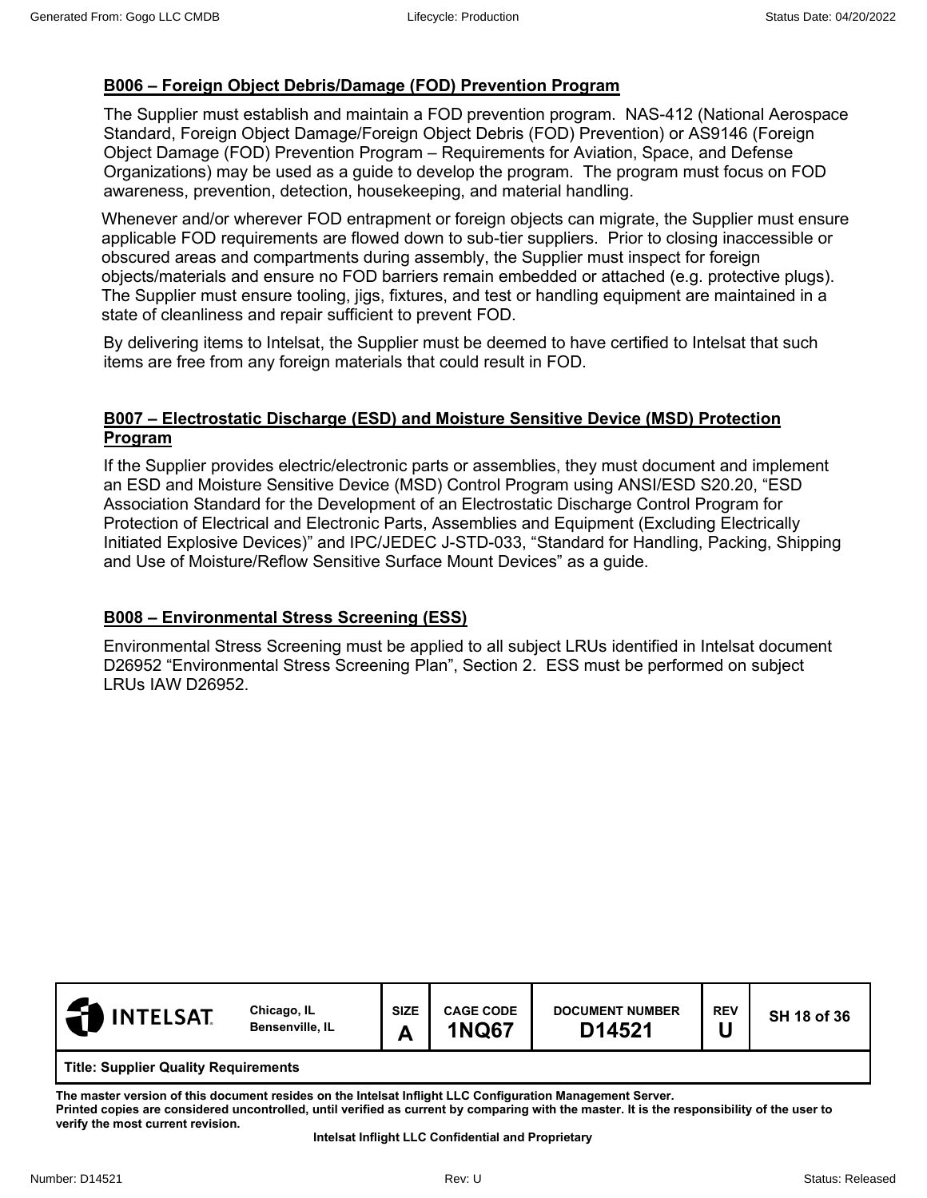# **B006 – Foreign Object Debris/Damage (FOD) Prevention Program**

The Supplier must establish and maintain a FOD prevention program. NAS-412 (National Aerospace Standard, Foreign Object Damage/Foreign Object Debris (FOD) Prevention) or AS9146 (Foreign Object Damage (FOD) Prevention Program – Requirements for Aviation, Space, and Defense Organizations) may be used as a guide to develop the program. The program must focus on FOD awareness, prevention, detection, housekeeping, and material handling.

Whenever and/or wherever FOD entrapment or foreign objects can migrate, the Supplier must ensure applicable FOD requirements are flowed down to sub-tier suppliers. Prior to closing inaccessible or obscured areas and compartments during assembly, the Supplier must inspect for foreign objects/materials and ensure no FOD barriers remain embedded or attached (e.g. protective plugs). The Supplier must ensure tooling, jigs, fixtures, and test or handling equipment are maintained in a state of cleanliness and repair sufficient to prevent FOD.

By delivering items to Intelsat, the Supplier must be deemed to have certified to Intelsat that such items are free from any foreign materials that could result in FOD.

#### **B007 – Electrostatic Discharge (ESD) and Moisture Sensitive Device (MSD) Protection Program**

If the Supplier provides electric/electronic parts or assemblies, they must document and implement an ESD and Moisture Sensitive Device (MSD) Control Program using ANSI/ESD S20.20, "ESD Association Standard for the Development of an Electrostatic Discharge Control Program for Protection of Electrical and Electronic Parts, Assemblies and Equipment (Excluding Electrically Initiated Explosive Devices)" and IPC/JEDEC J-STD-033, "Standard for Handling, Packing, Shipping and Use of Moisture/Reflow Sensitive Surface Mount Devices" as a guide.

## **B008 – Environmental Stress Screening (ESS)**

Environmental Stress Screening must be applied to all subject LRUs identified in Intelsat document D26952 "Environmental Stress Screening Plan", Section 2. ESS must be performed on subject LRUs IAW D26952.

| $\mathsf{I}$ INTELSAT.               | Chicago, IL<br><b>Bensenville, IL</b> | <b>SIZE</b><br>Л | <b>CAGE CODE</b><br><b>1NQ67</b> | <b>DOCUMENT NUMBER</b><br>D14521 | <b>REV</b> | SH 18 of 36 |  |
|--------------------------------------|---------------------------------------|------------------|----------------------------------|----------------------------------|------------|-------------|--|
| Title: Supplier Quality Requirements |                                       |                  |                                  |                                  |            |             |  |

**The master version of this document resides on the Intelsat Inflight LLC Configuration Management Server. Printed copies are considered uncontrolled, until verified as current by comparing with the master. It is the responsibility of the user to verify the most current revision.**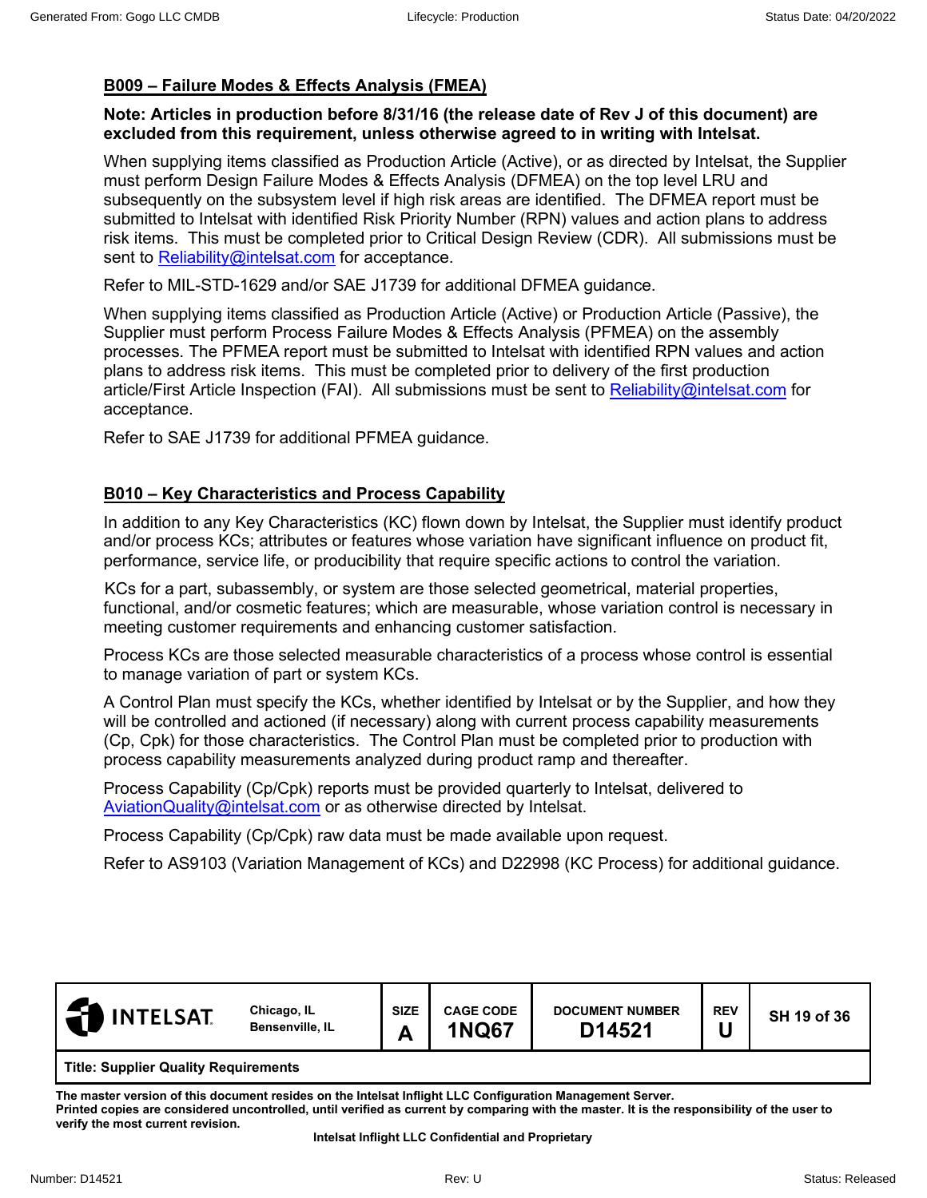# **B009 – Failure Modes & Effects Analysis (FMEA)**

#### **Note: Articles in production before 8/31/16 (the release date of Rev J of this document) are excluded from this requirement, unless otherwise agreed to in writing with Intelsat.**

When supplying items classified as Production Article (Active), or as directed by Intelsat, the Supplier must perform Design Failure Modes & Effects Analysis (DFMEA) on the top level LRU and subsequently on the subsystem level if high risk areas are identified. The DFMEA report must be submitted to Intelsat with identified Risk Priority Number (RPN) values and action plans to address risk items. This must be completed prior to Critical Design Review (CDR). All submissions must be sent to [Reliability@intelsat.com](mailto:Reliability@intelsat.com) for acceptance.

Refer to MIL-STD-1629 and/or SAE J1739 for additional DFMEA guidance.

When supplying items classified as Production Article (Active) or Production Article (Passive), the Supplier must perform Process Failure Modes & Effects Analysis (PFMEA) on the assembly processes. The PFMEA report must be submitted to Intelsat with identified RPN values and action plans to address risk items. This must be completed prior to delivery of the first production article/First Article Inspection (FAI). All submissions must be sent to [Reliability@intelsat.com](mailto:Reliability@intelsat.com) for acceptance.

Refer to SAE J1739 for additional PFMEA guidance.

# **B010 – Key Characteristics and Process Capability**

In addition to any Key Characteristics (KC) flown down by Intelsat, the Supplier must identify product and/or process KCs; attributes or features whose variation have significant influence on product fit, performance, service life, or producibility that require specific actions to control the variation.

KCs for a part, subassembly, or system are those selected geometrical, material properties, functional, and/or cosmetic features; which are measurable, whose variation control is necessary in meeting customer requirements and enhancing customer satisfaction.

Process KCs are those selected measurable characteristics of a process whose control is essential to manage variation of part or system KCs.

A Control Plan must specify the KCs, whether identified by Intelsat or by the Supplier, and how they will be controlled and actioned (if necessary) along with current process capability measurements (Cp, Cpk) for those characteristics. The Control Plan must be completed prior to production with process capability measurements analyzed during product ramp and thereafter.

Process Capability (Cp/Cpk) reports must be provided quarterly to Intelsat, delivered to [AviationQuality@intelsat.com](mailto:AviationQuality@intelsat.com) or as otherwise directed by Intelsat.

Process Capability (Cp/Cpk) raw data must be made available upon request.

Refer to AS9103 (Variation Management of KCs) and D22998 (KC Process) for additional guidance.

| <b>INTELSAT</b>                             | Chicago, IL<br>Bensenville, IL | <b>SIZE</b><br>г | <b>CAGE CODE</b><br><b>1NQ67</b> | <b>DOCUMENT NUMBER</b><br>D14521 | <b>REV</b> | SH 19 of 36 |  |  |
|---------------------------------------------|--------------------------------|------------------|----------------------------------|----------------------------------|------------|-------------|--|--|
| <b>Title: Supplier Quality Requirements</b> |                                |                  |                                  |                                  |            |             |  |  |

**The master version of this document resides on the Intelsat Inflight LLC Configuration Management Server. Printed copies are considered uncontrolled, until verified as current by comparing with the master. It is the responsibility of the user to verify the most current revision.**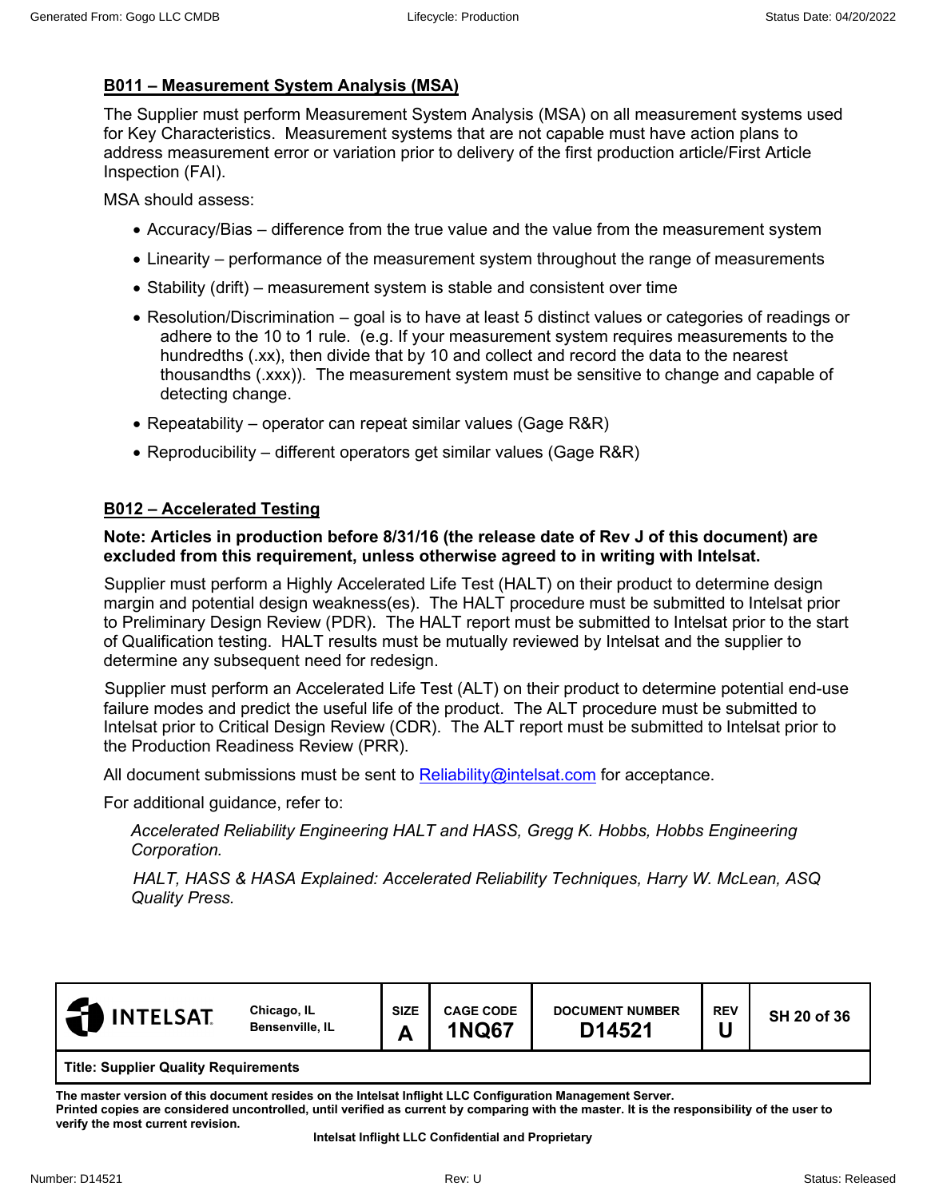# **B011 – Measurement System Analysis (MSA)**

The Supplier must perform Measurement System Analysis (MSA) on all measurement systems used for Key Characteristics. Measurement systems that are not capable must have action plans to address measurement error or variation prior to delivery of the first production article/First Article Inspection (FAI).

MSA should assess:

- Accuracy/Bias difference from the true value and the value from the measurement system
- Linearity performance of the measurement system throughout the range of measurements
- Stability (drift) measurement system is stable and consistent over time
- Resolution/Discrimination goal is to have at least 5 distinct values or categories of readings or adhere to the 10 to 1 rule. (e.g. If your measurement system requires measurements to the hundredths (.xx), then divide that by 10 and collect and record the data to the nearest thousandths (.xxx)). The measurement system must be sensitive to change and capable of detecting change.
- Repeatability operator can repeat similar values (Gage R&R)
- Reproducibility different operators get similar values (Gage R&R)

# **B012 – Accelerated Testing**

#### **Note: Articles in production before 8/31/16 (the release date of Rev J of this document) are excluded from this requirement, unless otherwise agreed to in writing with Intelsat.**

 Supplier must perform a Highly Accelerated Life Test (HALT) on their product to determine design margin and potential design weakness(es). The HALT procedure must be submitted to Intelsat prior to Preliminary Design Review (PDR). The HALT report must be submitted to Intelsat prior to the start of Qualification testing. HALT results must be mutually reviewed by Intelsat and the supplier to determine any subsequent need for redesign.

Supplier must perform an Accelerated Life Test (ALT) on their product to determine potential end-use failure modes and predict the useful life of the product. The ALT procedure must be submitted to Intelsat prior to Critical Design Review (CDR). The ALT report must be submitted to Intelsat prior to the Production Readiness Review (PRR).

All document submissions must be sent to [Reliability@intelsat.com](mailto:Reliability@intelsat.com) for acceptance.

For additional guidance, refer to:

*Accelerated Reliability Engineering HALT and HASS, Gregg K. Hobbs, Hobbs Engineering Corporation.*

*HALT, HASS & HASA Explained: Accelerated Reliability Techniques, Harry W. McLean, ASQ Quality Press.*

| <b>INTELSAT</b>                             | Chicago, IL<br>Bensenville, IL | <b>SIZE</b><br>А | <b>CAGE CODE</b><br><b>1NQ67</b> | <b>DOCUMENT NUMBER</b><br>D14521 | <b>REV</b> | SH 20 of 36 |  |
|---------------------------------------------|--------------------------------|------------------|----------------------------------|----------------------------------|------------|-------------|--|
| <b>Title: Supplier Quality Requirements</b> |                                |                  |                                  |                                  |            |             |  |

**The master version of this document resides on the Intelsat Inflight LLC Configuration Management Server.** 

**Printed copies are considered uncontrolled, until verified as current by comparing with the master. It is the responsibility of the user to verify the most current revision.**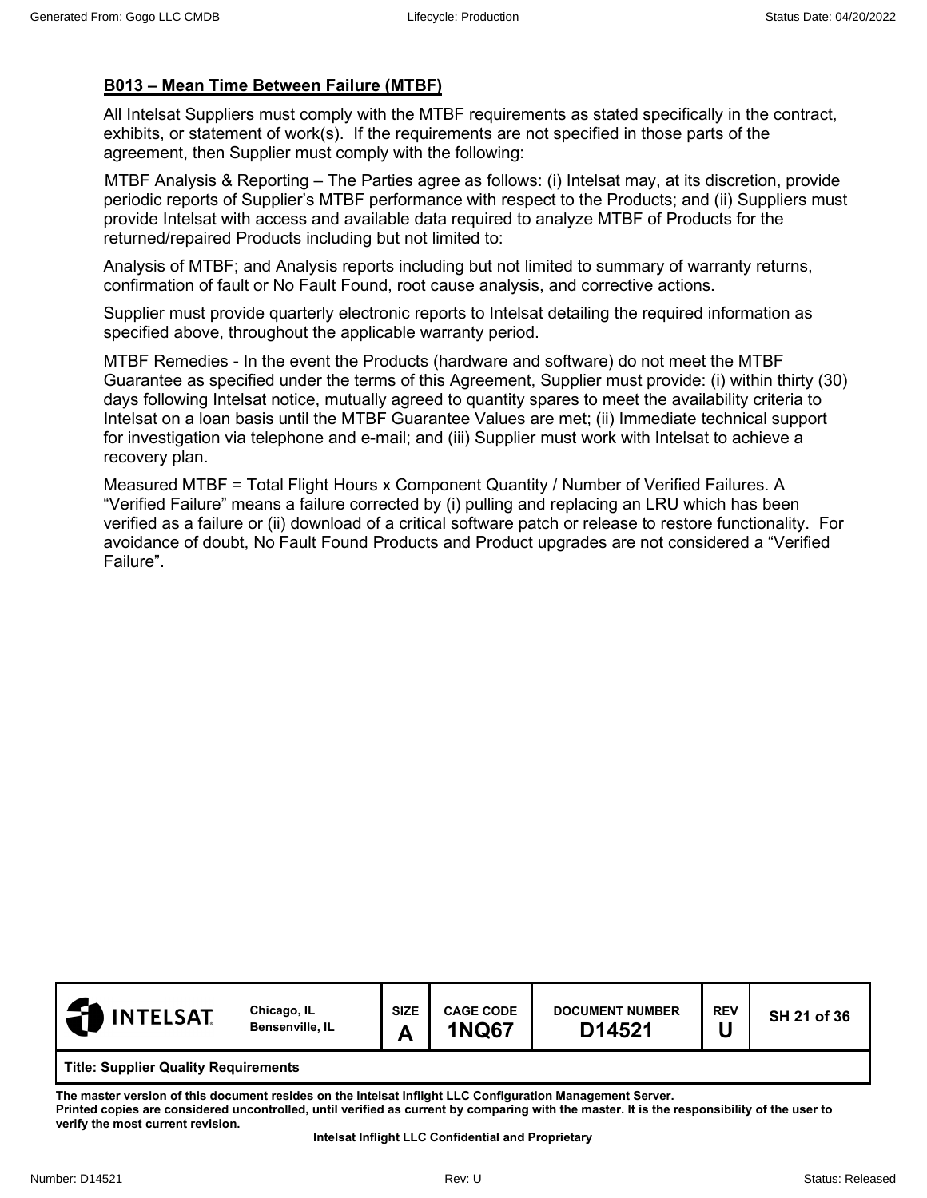# **B013 – Mean Time Between Failure (MTBF)**

All Intelsat Suppliers must comply with the MTBF requirements as stated specifically in the contract, exhibits, or statement of work(s). If the requirements are not specified in those parts of the agreement, then Supplier must comply with the following:

MTBF Analysis & Reporting – The Parties agree as follows: (i) Intelsat may, at its discretion, provide periodic reports of Supplier's MTBF performance with respect to the Products; and (ii) Suppliers must provide Intelsat with access and available data required to analyze MTBF of Products for the returned/repaired Products including but not limited to:

Analysis of MTBF; and Analysis reports including but not limited to summary of warranty returns, confirmation of fault or No Fault Found, root cause analysis, and corrective actions.

Supplier must provide quarterly electronic reports to Intelsat detailing the required information as specified above, throughout the applicable warranty period.

MTBF Remedies - In the event the Products (hardware and software) do not meet the MTBF Guarantee as specified under the terms of this Agreement, Supplier must provide: (i) within thirty (30) days following Intelsat notice, mutually agreed to quantity spares to meet the availability criteria to Intelsat on a loan basis until the MTBF Guarantee Values are met; (ii) Immediate technical support for investigation via telephone and e-mail; and (iii) Supplier must work with Intelsat to achieve a recovery plan.

Measured MTBF = Total Flight Hours x Component Quantity / Number of Verified Failures. A "Verified Failure" means a failure corrected by (i) pulling and replacing an LRU which has been verified as a failure or (ii) download of a critical software patch or release to restore functionality. For avoidance of doubt, No Fault Found Products and Product upgrades are not considered a "Verified Failure".

| <b>INTELSAT.</b>                            | Chicago, IL<br>Bensenville, IL | <b>SIZE</b><br>Δ<br>⌒ | <b>CAGE CODE</b><br><b>1NQ67</b> | <b>DOCUMENT NUMBER</b><br>D14521 | <b>REV</b> | SH 21 of 36 |  |  |
|---------------------------------------------|--------------------------------|-----------------------|----------------------------------|----------------------------------|------------|-------------|--|--|
| <b>Title: Supplier Quality Requirements</b> |                                |                       |                                  |                                  |            |             |  |  |

**The master version of this document resides on the Intelsat Inflight LLC Configuration Management Server. Printed copies are considered uncontrolled, until verified as current by comparing with the master. It is the responsibility of the user to verify the most current revision.**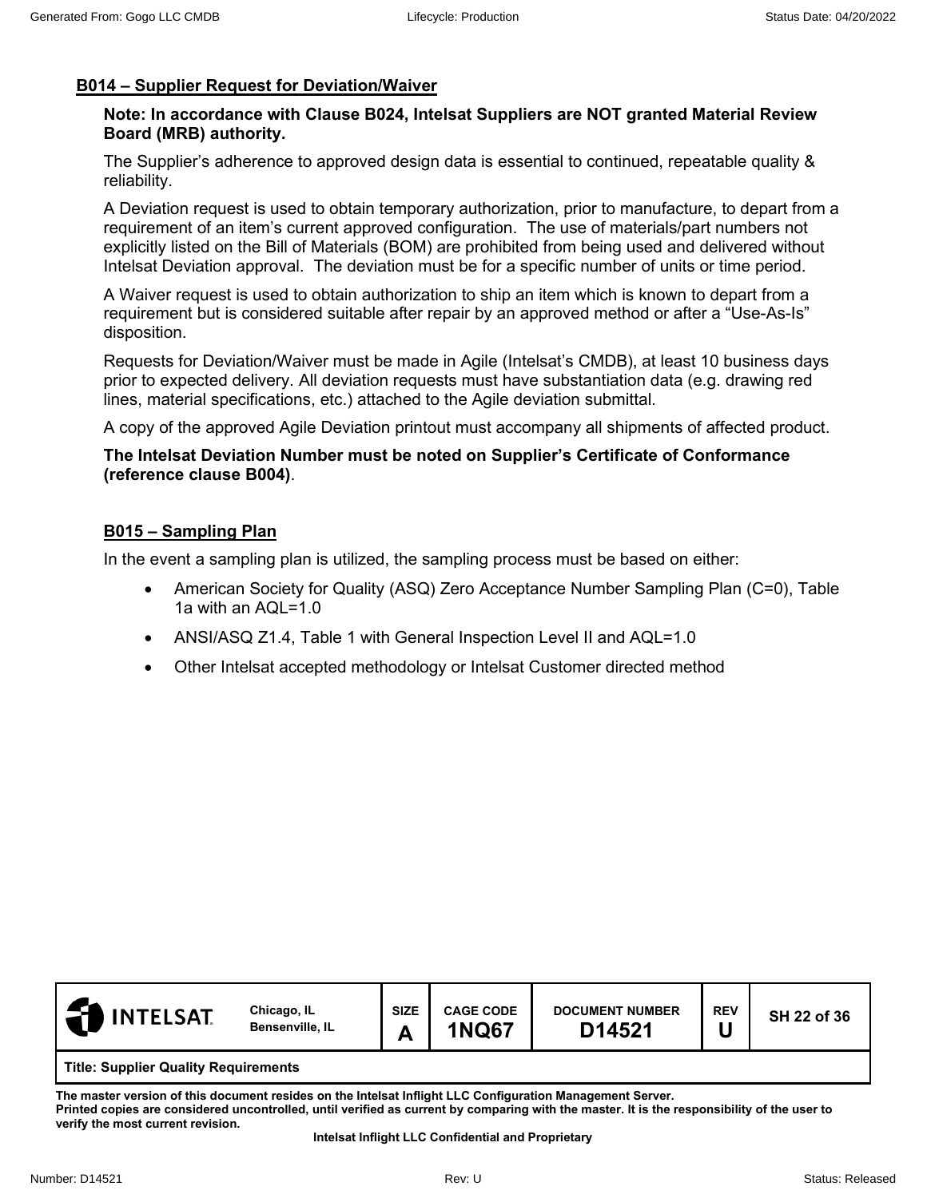# **B014 – Supplier Request for Deviation/Waiver**

#### **Note: In accordance with Clause B024, Intelsat Suppliers are NOT granted Material Review Board (MRB) authority.**

The Supplier's adherence to approved design data is essential to continued, repeatable quality & reliability.

A Deviation request is used to obtain temporary authorization, prior to manufacture, to depart from a requirement of an item's current approved configuration. The use of materials/part numbers not explicitly listed on the Bill of Materials (BOM) are prohibited from being used and delivered without Intelsat Deviation approval. The deviation must be for a specific number of units or time period.

A Waiver request is used to obtain authorization to ship an item which is known to depart from a requirement but is considered suitable after repair by an approved method or after a "Use-As-Is" disposition.

Requests for Deviation/Waiver must be made in Agile (Intelsat's CMDB), at least 10 business days prior to expected delivery. All deviation requests must have substantiation data (e.g. drawing red lines, material specifications, etc.) attached to the Agile deviation submittal.

A copy of the approved Agile Deviation printout must accompany all shipments of affected product.

#### **The Intelsat Deviation Number must be noted on Supplier's Certificate of Conformance (reference clause B004)**.

# **B015 – Sampling Plan**

In the event a sampling plan is utilized, the sampling process must be based on either:

- American Society for Quality (ASQ) Zero Acceptance Number Sampling Plan (C=0), Table 1a with an AQL=1.0
- ANSI/ASQ Z1.4, Table 1 with General Inspection Level II and AQL=1.0
- Other Intelsat accepted methodology or Intelsat Customer directed method



**The master version of this document resides on the Intelsat Inflight LLC Configuration Management Server. Printed copies are considered uncontrolled, until verified as current by comparing with the master. It is the responsibility of the user to verify the most current revision.**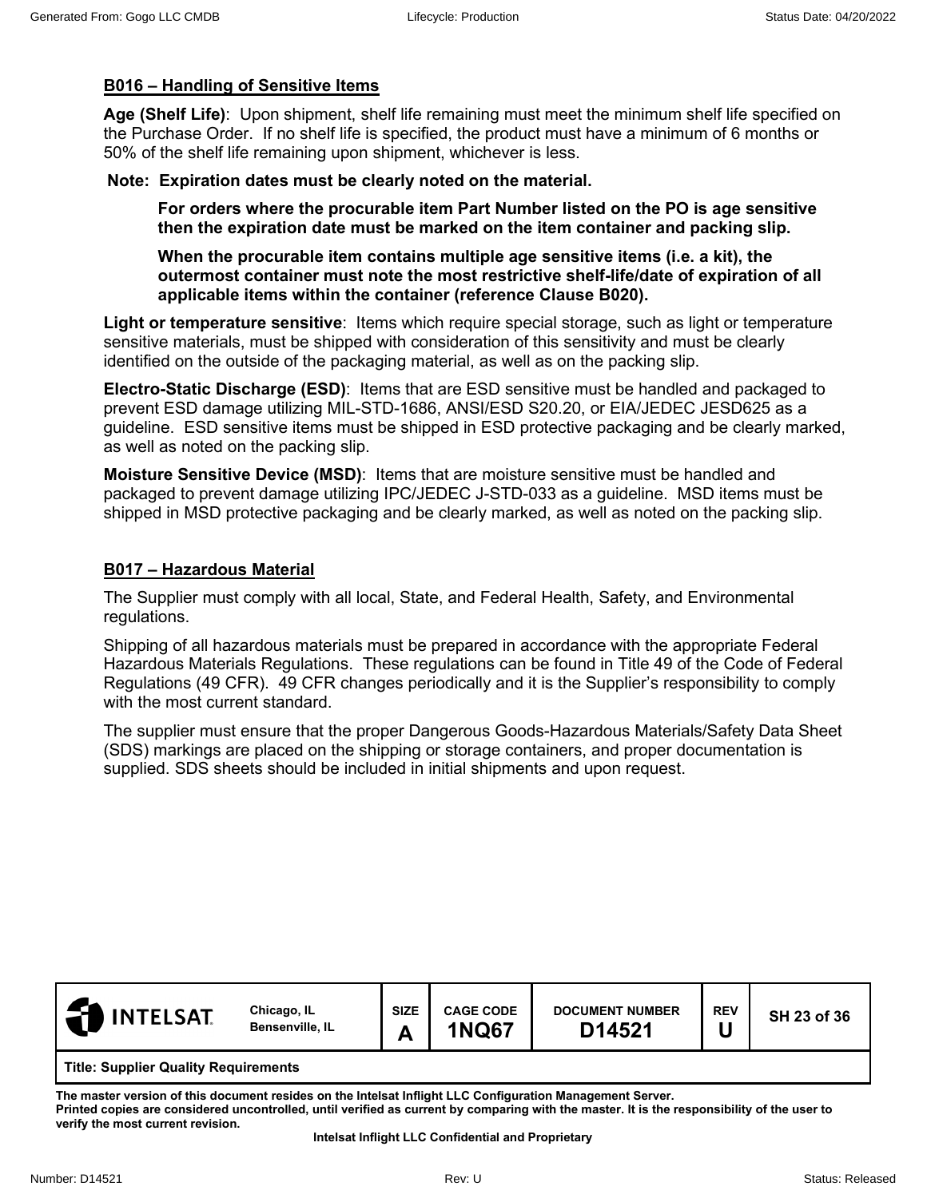## **B016 – Handling of Sensitive Items**

**Age (Shelf Life)**: Upon shipment, shelf life remaining must meet the minimum shelf life specified on the Purchase Order. If no shelf life is specified, the product must have a minimum of 6 months or 50% of the shelf life remaining upon shipment, whichever is less.

#### **Note: Expiration dates must be clearly noted on the material.**

**For orders where the procurable item Part Number listed on the PO is age sensitive then the expiration date must be marked on the item container and packing slip.** 

**When the procurable item contains multiple age sensitive items (i.e. a kit), the outermost container must note the most restrictive shelf-life/date of expiration of all applicable items within the container (reference Clause B020).**

**Light or temperature sensitive**: Items which require special storage, such as light or temperature sensitive materials, must be shipped with consideration of this sensitivity and must be clearly identified on the outside of the packaging material, as well as on the packing slip.

**Electro-Static Discharge (ESD)**: Items that are ESD sensitive must be handled and packaged to prevent ESD damage utilizing MIL-STD-1686, ANSI/ESD S20.20, or EIA/JEDEC JESD625 as a guideline. ESD sensitive items must be shipped in ESD protective packaging and be clearly marked, as well as noted on the packing slip.

**Moisture Sensitive Device (MSD)**: Items that are moisture sensitive must be handled and packaged to prevent damage utilizing IPC/JEDEC J-STD-033 as a guideline. MSD items must be shipped in MSD protective packaging and be clearly marked, as well as noted on the packing slip.

## **B017 – Hazardous Material**

The Supplier must comply with all local, State, and Federal Health, Safety, and Environmental regulations.

Shipping of all hazardous materials must be prepared in accordance with the appropriate Federal Hazardous Materials Regulations. These regulations can be found in Title 49 of the Code of Federal Regulations (49 CFR). 49 CFR changes periodically and it is the Supplier's responsibility to comply with the most current standard.

The supplier must ensure that the proper Dangerous Goods-Hazardous Materials/Safety Data Sheet (SDS) markings are placed on the shipping or storage containers, and proper documentation is supplied. SDS sheets should be included in initial shipments and upon request.

| <b>INTELSAT</b><br>l 21                     | Chicago, IL<br>Bensenville, IL | <b>SIZE</b><br>Δ | <b>CAGE CODE</b><br><b>1NQ67</b> | <b>DOCUMENT NUMBER</b><br>D14521 | <b>REV</b> | SH 23 of 36 |  |  |
|---------------------------------------------|--------------------------------|------------------|----------------------------------|----------------------------------|------------|-------------|--|--|
| <b>Title: Supplier Quality Requirements</b> |                                |                  |                                  |                                  |            |             |  |  |

**The master version of this document resides on the Intelsat Inflight LLC Configuration Management Server. Printed copies are considered uncontrolled, until verified as current by comparing with the master. It is the responsibility of the user to verify the most current revision.**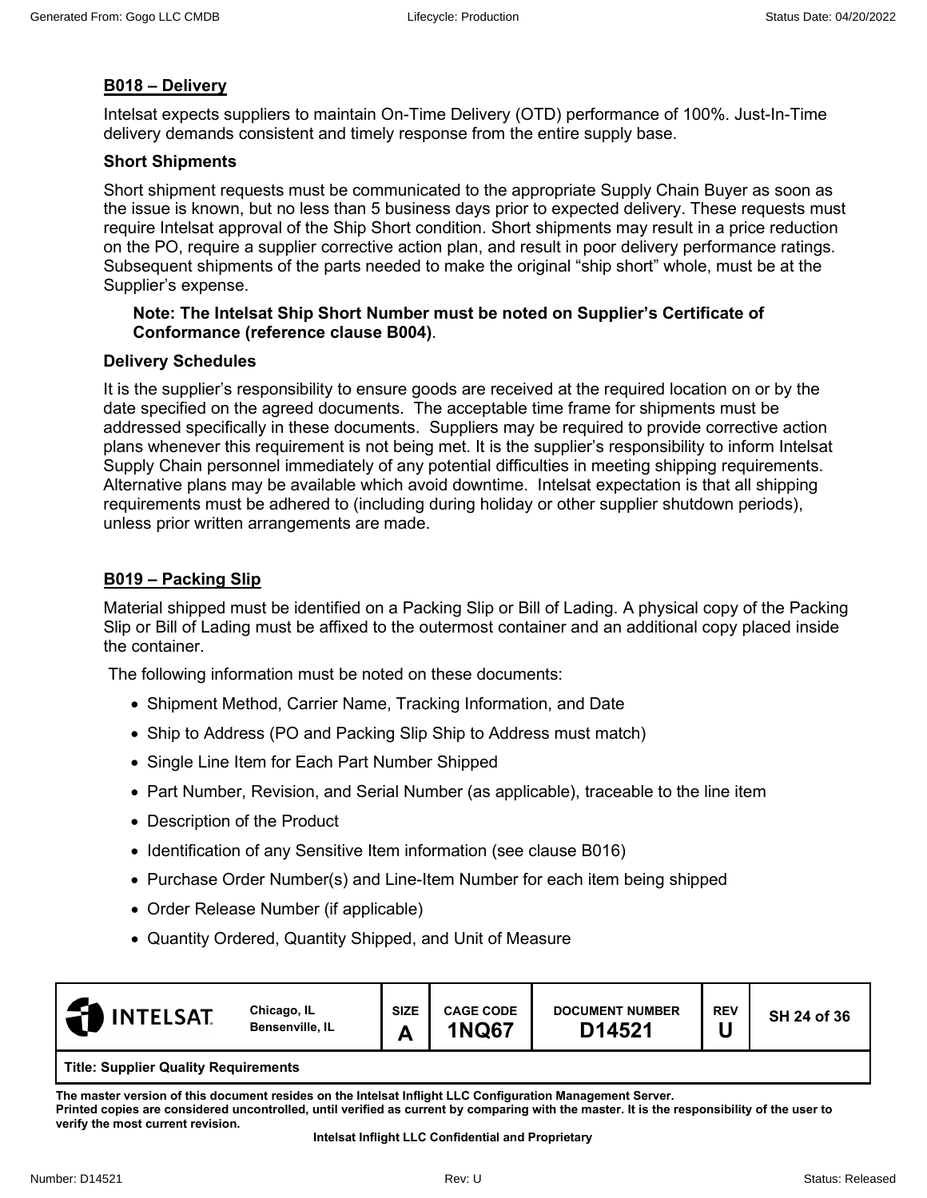## **B018 – Delivery**

Intelsat expects suppliers to maintain On-Time Delivery (OTD) performance of 100%. Just-In-Time delivery demands consistent and timely response from the entire supply base.

#### **Short Shipments**

Short shipment requests must be communicated to the appropriate Supply Chain Buyer as soon as the issue is known, but no less than 5 business days prior to expected delivery. These requests must require Intelsat approval of the Ship Short condition. Short shipments may result in a price reduction on the PO, require a supplier corrective action plan, and result in poor delivery performance ratings. Subsequent shipments of the parts needed to make the original "ship short" whole, must be at the Supplier's expense.

#### **Note: The Intelsat Ship Short Number must be noted on Supplier's Certificate of Conformance (reference clause B004)**.

#### **Delivery Schedules**

It is the supplier's responsibility to ensure goods are received at the required location on or by the date specified on the agreed documents. The acceptable time frame for shipments must be addressed specifically in these documents. Suppliers may be required to provide corrective action plans whenever this requirement is not being met. It is the supplier's responsibility to inform Intelsat Supply Chain personnel immediately of any potential difficulties in meeting shipping requirements. Alternative plans may be available which avoid downtime. Intelsat expectation is that all shipping requirements must be adhered to (including during holiday or other supplier shutdown periods), unless prior written arrangements are made.

#### **B019 – Packing Slip**

Material shipped must be identified on a Packing Slip or Bill of Lading. A physical copy of the Packing Slip or Bill of Lading must be affixed to the outermost container and an additional copy placed inside the container.

The following information must be noted on these documents:

- Shipment Method, Carrier Name, Tracking Information, and Date
- Ship to Address (PO and Packing Slip Ship to Address must match)
- Single Line Item for Each Part Number Shipped
- Part Number, Revision, and Serial Number (as applicable), traceable to the line item
- Description of the Product
- Identification of any Sensitive Item information (see clause B016)
- Purchase Order Number(s) and Line-Item Number for each item being shipped
- Order Release Number (if applicable)
- Quantity Ordered, Quantity Shipped, and Unit of Measure

| <b>INTELSAT</b>                             | Chicago, IL<br>Bensenville, IL | <b>SIZE</b><br>Δ<br>-- | <b>CAGE CODE</b><br><b>1NQ67</b> | <b>DOCUMENT NUMBER</b><br>D14521 | <b>REV</b> | SH 24 of 36 |  |
|---------------------------------------------|--------------------------------|------------------------|----------------------------------|----------------------------------|------------|-------------|--|
| <b>Title: Supplier Quality Requirements</b> |                                |                        |                                  |                                  |            |             |  |

**The master version of this document resides on the Intelsat Inflight LLC Configuration Management Server. Printed copies are considered uncontrolled, until verified as current by comparing with the master. It is the responsibility of the user to verify the most current revision.**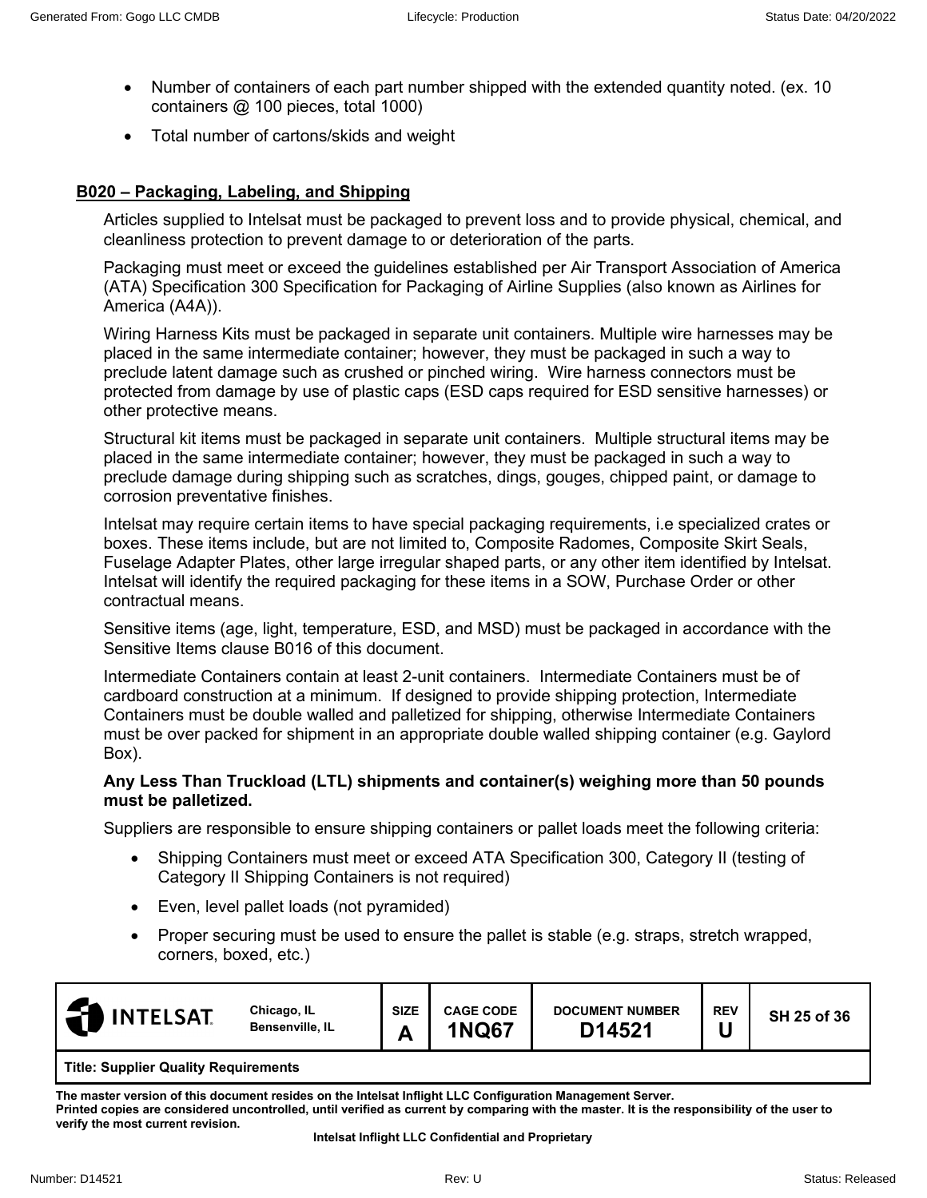- Number of containers of each part number shipped with the extended quantity noted. (ex. 10 containers @ 100 pieces, total 1000)
- Total number of cartons/skids and weight

## **B020 – Packaging, Labeling, and Shipping**

Articles supplied to Intelsat must be packaged to prevent loss and to provide physical, chemical, and cleanliness protection to prevent damage to or deterioration of the parts.

Packaging must meet or exceed the guidelines established per Air Transport Association of America (ATA) Specification 300 Specification for Packaging of Airline Supplies (also known as Airlines for America (A4A)).

Wiring Harness Kits must be packaged in separate unit containers. Multiple wire harnesses may be placed in the same intermediate container; however, they must be packaged in such a way to preclude latent damage such as crushed or pinched wiring. Wire harness connectors must be protected from damage by use of plastic caps (ESD caps required for ESD sensitive harnesses) or other protective means.

Structural kit items must be packaged in separate unit containers. Multiple structural items may be placed in the same intermediate container; however, they must be packaged in such a way to preclude damage during shipping such as scratches, dings, gouges, chipped paint, or damage to corrosion preventative finishes.

Intelsat may require certain items to have special packaging requirements, i.e specialized crates or boxes. These items include, but are not limited to, Composite Radomes, Composite Skirt Seals, Fuselage Adapter Plates, other large irregular shaped parts, or any other item identified by Intelsat. Intelsat will identify the required packaging for these items in a SOW, Purchase Order or other contractual means.

Sensitive items (age, light, temperature, ESD, and MSD) must be packaged in accordance with the Sensitive Items clause B016 of this document.

Intermediate Containers contain at least 2-unit containers. Intermediate Containers must be of cardboard construction at a minimum. If designed to provide shipping protection, Intermediate Containers must be double walled and palletized for shipping, otherwise Intermediate Containers must be over packed for shipment in an appropriate double walled shipping container (e.g. Gaylord Box).

#### **Any Less Than Truckload (LTL) shipments and container(s) weighing more than 50 pounds must be palletized.**

Suppliers are responsible to ensure shipping containers or pallet loads meet the following criteria:

- Shipping Containers must meet or exceed ATA Specification 300, Category II (testing of Category II Shipping Containers is not required)
- Even, level pallet loads (not pyramided)
- Proper securing must be used to ensure the pallet is stable (e.g. straps, stretch wrapped, corners, boxed, etc.)

| <b>INTELSAT</b>                                                                                                    | Chicago, IL<br>Bensenville, IL | <b>SIZE</b><br>A | <b>CAGE CODE</b><br><b>INQ67</b> | <b>DOCUMENT NUMBER</b><br><b>ገ14521</b> | <b>REV</b><br>. .<br>u | SH 25 of 36 |  |
|--------------------------------------------------------------------------------------------------------------------|--------------------------------|------------------|----------------------------------|-----------------------------------------|------------------------|-------------|--|
| $\mathbf{r}$ and $\mathbf{r}$ and $\mathbf{r}$ are $\mathbf{r}$ and $\mathbf{r}$ and $\mathbf{r}$ are $\mathbf{r}$ |                                |                  |                                  |                                         |                        |             |  |

**Title: Supplier Quality Requirements**

**The master version of this document resides on the Intelsat Inflight LLC Configuration Management Server. Printed copies are considered uncontrolled, until verified as current by comparing with the master. It is the responsibility of the user to verify the most current revision.**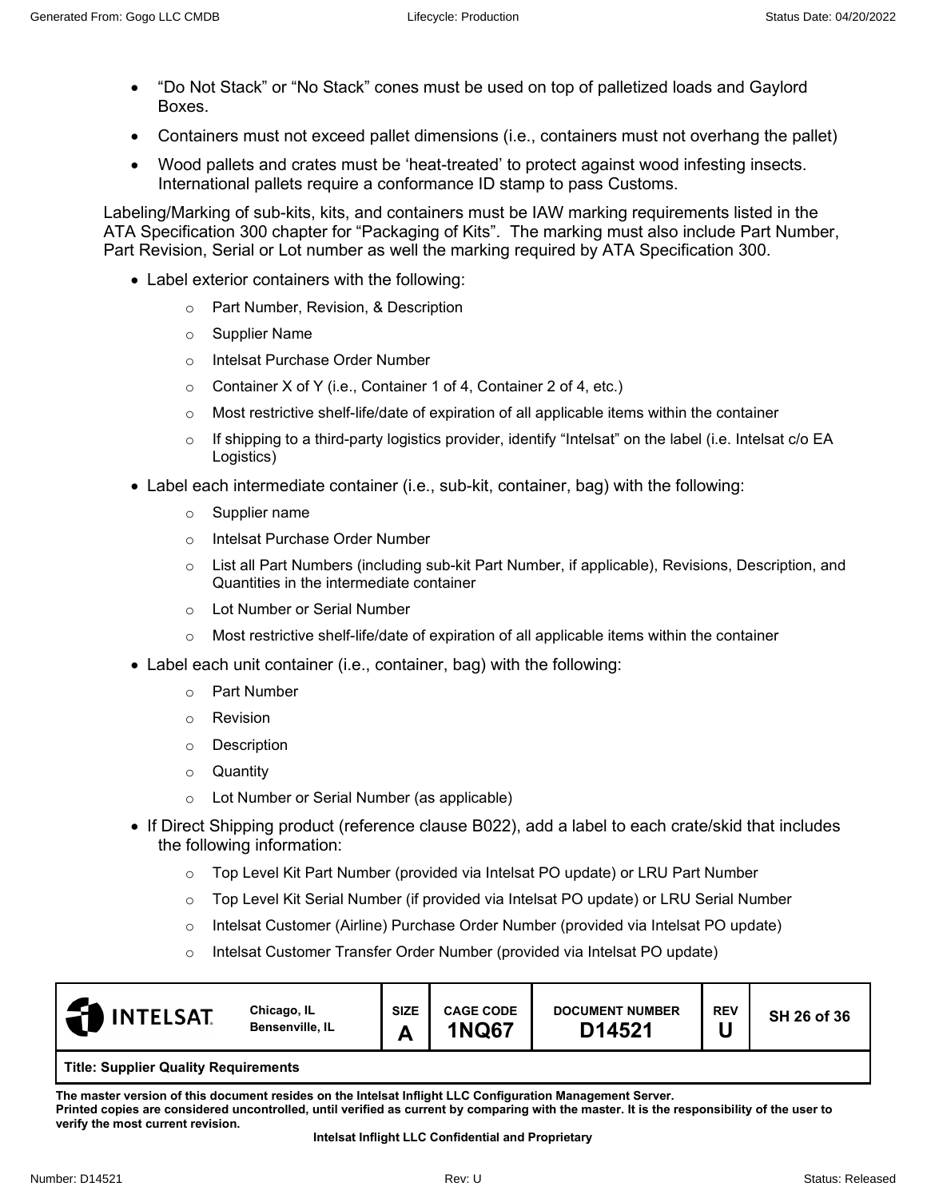- "Do Not Stack" or "No Stack" cones must be used on top of palletized loads and Gaylord Boxes.
- Containers must not exceed pallet dimensions (i.e., containers must not overhang the pallet)
- Wood pallets and crates must be 'heat-treated' to protect against wood infesting insects. International pallets require a conformance ID stamp to pass Customs.

Labeling/Marking of sub-kits, kits, and containers must be IAW marking requirements listed in the ATA Specification 300 chapter for "Packaging of Kits". The marking must also include Part Number, Part Revision, Serial or Lot number as well the marking required by ATA Specification 300.

- Label exterior containers with the following:
	- o Part Number, Revision, & Description
	- o Supplier Name
	- o Intelsat Purchase Order Number
	- o Container X of Y (i.e., Container 1 of 4, Container 2 of 4, etc.)
	- $\circ$  Most restrictive shelf-life/date of expiration of all applicable items within the container
	- $\circ$  If shipping to a third-party logistics provider, identify "Intelsat" on the label (i.e. Intelsat  $c/\circ$  EA Logistics)
- Label each intermediate container (i.e., sub-kit, container, bag) with the following:
	- o Supplier name
	- o Intelsat Purchase Order Number
	- o List all Part Numbers (including sub-kit Part Number, if applicable), Revisions, Description, and Quantities in the intermediate container
	- o Lot Number or Serial Number
	- $\circ$  Most restrictive shelf-life/date of expiration of all applicable items within the container
- Label each unit container (i.e., container, bag) with the following:
	- o Part Number
	- o Revision
	- o Description
	- o Quantity
	- o Lot Number or Serial Number (as applicable)
- If Direct Shipping product (reference clause B022), add a label to each crate/skid that includes the following information:
	- o Top Level Kit Part Number (provided via Intelsat PO update) or LRU Part Number
	- o Top Level Kit Serial Number (if provided via Intelsat PO update) or LRU Serial Number
	- o Intelsat Customer (Airline) Purchase Order Number (provided via Intelsat PO update)
	- o Intelsat Customer Transfer Order Number (provided via Intelsat PO update)

| <b>INTELSAT</b>                             | Chicago, IL<br>Bensenville, IL | <b>SIZE</b><br>г | <b>CAGE CODE</b><br><b>1NQ67</b> | <b>DOCUMENT NUMBER</b><br>D14521 | <b>REV</b> | SH 26 of 36 |  |  |
|---------------------------------------------|--------------------------------|------------------|----------------------------------|----------------------------------|------------|-------------|--|--|
| <b>Title: Supplier Quality Requirements</b> |                                |                  |                                  |                                  |            |             |  |  |

**The master version of this document resides on the Intelsat Inflight LLC Configuration Management Server. Printed copies are considered uncontrolled, until verified as current by comparing with the master. It is the responsibility of the user to verify the most current revision.**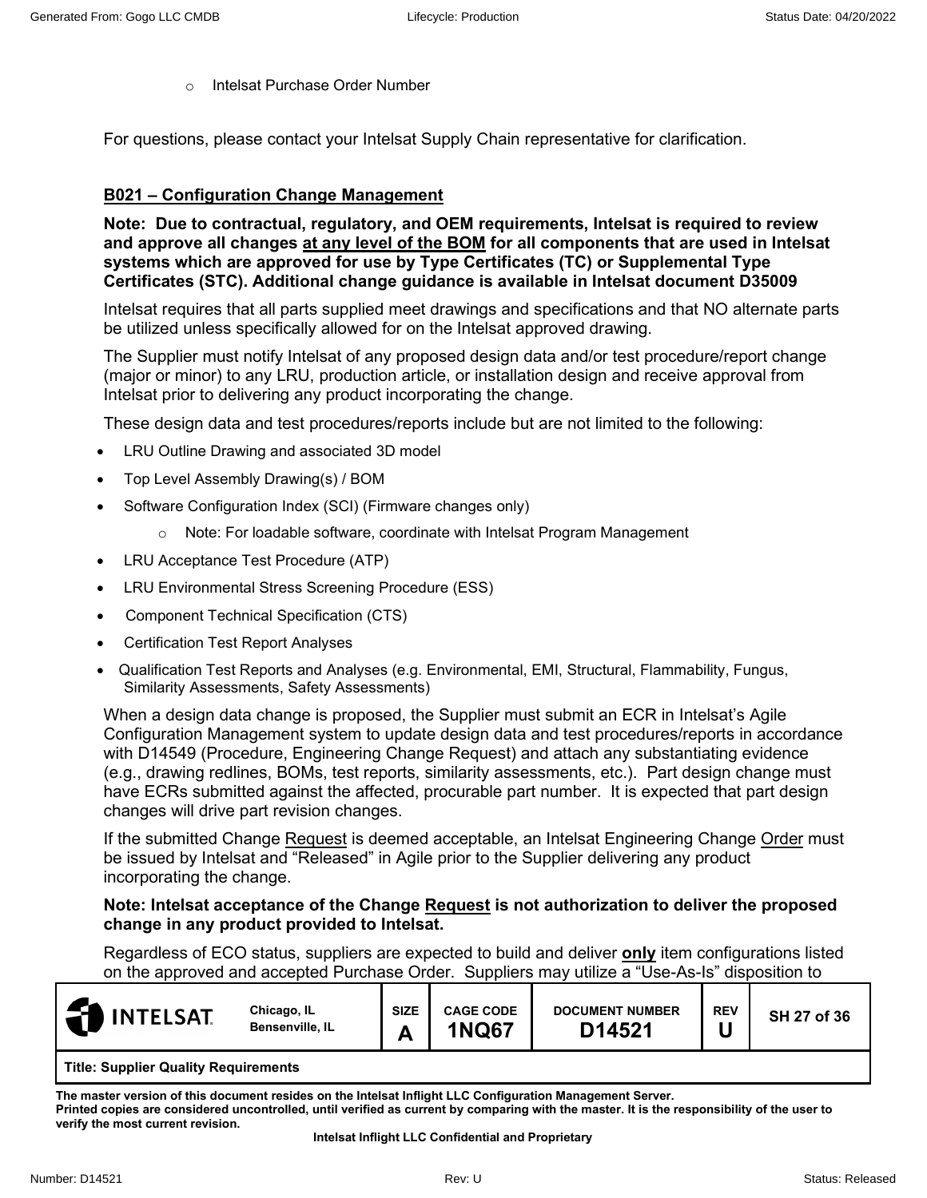o Intelsat Purchase Order Number

For questions, please contact your Intelsat Supply Chain representative for clarification.

#### **B021 – Configuration Change Management**

**Note: Due to contractual, regulatory, and OEM requirements, Intelsat is required to review and approve all changes at any level of the BOM for all components that are used in Intelsat systems which are approved for use by Type Certificates (TC) or Supplemental Type Certificates (STC). Additional change guidance is available in Intelsat document D35009**

Intelsat requires that all parts supplied meet drawings and specifications and that NO alternate parts be utilized unless specifically allowed for on the Intelsat approved drawing.

The Supplier must notify Intelsat of any proposed design data and/or test procedure/report change (major or minor) to any LRU, production article, or installation design and receive approval from Intelsat prior to delivering any product incorporating the change.

These design data and test procedures/reports include but are not limited to the following:

- LRU Outline Drawing and associated 3D model
- Top Level Assembly Drawing(s) / BOM
- Software Configuration Index (SCI) (Firmware changes only)
	- o Note: For loadable software, coordinate with Intelsat Program Management
- LRU Acceptance Test Procedure (ATP)
- LRU Environmental Stress Screening Procedure (ESS)
- Component Technical Specification (CTS)
- Certification Test Report Analyses
- Qualification Test Reports and Analyses (e.g. Environmental, EMI, Structural, Flammability, Fungus, Similarity Assessments, Safety Assessments)

When a design data change is proposed, the Supplier must submit an ECR in Intelsat's Agile Configuration Management system to update design data and test procedures/reports in accordance with D14549 (Procedure, Engineering Change Request) and attach any substantiating evidence (e.g., drawing redlines, BOMs, test reports, similarity assessments, etc.). Part design change must have ECRs submitted against the affected, procurable part number. It is expected that part design changes will drive part revision changes.

If the submitted Change Request is deemed acceptable, an Intelsat Engineering Change Order must be issued by Intelsat and "Released" in Agile prior to the Supplier delivering any product incorporating the change.

#### **Note: Intelsat acceptance of the Change Request is not authorization to deliver the proposed change in any product provided to Intelsat.**

Regardless of ECO status, suppliers are expected to build and deliver **only** item configurations listed on the approved and accepted Purchase Order. Suppliers may utilize a "Use-As-Is" disposition to

| <b>INTELSAT</b>                        | Chicago, IL<br>Bensenville, IL | <b>SIZE</b><br>г | <b>CAGE CODE</b><br><b>INQ67</b> | <b>DOCUMENT NUMBER</b><br>D14521 | <b>REV</b> | SH 27 of 36 |
|----------------------------------------|--------------------------------|------------------|----------------------------------|----------------------------------|------------|-------------|
| ____<br>---<br>$\sim$ $\sim$<br>-- - - |                                |                  |                                  |                                  |            |             |

**Title: Supplier Quality Requirements**

**The master version of this document resides on the Intelsat Inflight LLC Configuration Management Server. Printed copies are considered uncontrolled, until verified as current by comparing with the master. It is the responsibility of the user to verify the most current revision.**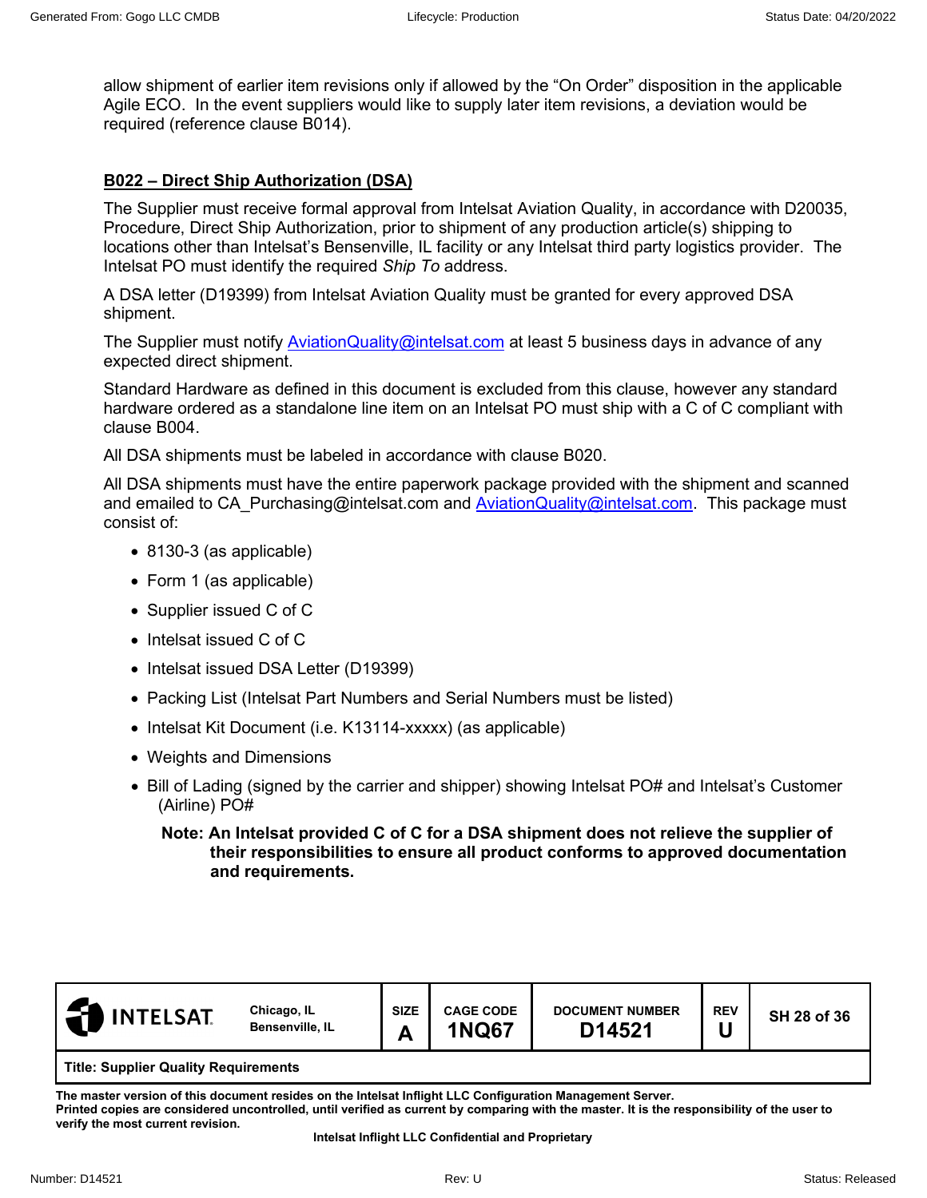allow shipment of earlier item revisions only if allowed by the "On Order" disposition in the applicable Agile ECO. In the event suppliers would like to supply later item revisions, a deviation would be required (reference clause B014).

# **B022 – Direct Ship Authorization (DSA)**

The Supplier must receive formal approval from Intelsat Aviation Quality, in accordance with D20035, Procedure, Direct Ship Authorization, prior to shipment of any production article(s) shipping to locations other than Intelsat's Bensenville, IL facility or any Intelsat third party logistics provider. The Intelsat PO must identify the required *Ship To* address.

A DSA letter (D19399) from Intelsat Aviation Quality must be granted for every approved DSA shipment.

The Supplier must notify [AviationQuality@intelsat.com](mailto:AviationQuality@intelsat.com) at least 5 business days in advance of any expected direct shipment.

Standard Hardware as defined in this document is excluded from this clause, however any standard hardware ordered as a standalone line item on an Intelsat PO must ship with a C of C compliant with clause B004.

All DSA shipments must be labeled in accordance with clause B020.

All DSA shipments must have the entire paperwork package provided with the shipment and scanned and emailed to CA Purchasing@intelsat.com and [AviationQuality@intelsat.com.](mailto:AviationQuality@intelsat.com) This package must consist of:

- 8130-3 (as applicable)
- Form 1 (as applicable)
- Supplier issued C of C
- Intelsat issued C of C
- Intelsat issued DSA Letter (D19399)
- Packing List (Intelsat Part Numbers and Serial Numbers must be listed)
- Intelsat Kit Document (i.e. K13114-xxxxx) (as applicable)
- Weights and Dimensions
- Bill of Lading (signed by the carrier and shipper) showing Intelsat PO# and Intelsat's Customer (Airline) PO#

#### **Note: An Intelsat provided C of C for a DSA shipment does not relieve the supplier of their responsibilities to ensure all product conforms to approved documentation and requirements.**

| <b>INTELSAT</b> | Chicago, IL<br>Bensenville, IL              | <b>SIZE</b><br>Α | <b>CAGE CODE</b><br><b>1NQ67</b> | <b>DOCUMENT NUMBER</b><br>D14521 | <b>REV</b> | SH 28 of 36 |  |  |  |
|-----------------|---------------------------------------------|------------------|----------------------------------|----------------------------------|------------|-------------|--|--|--|
|                 | <b>Title: Supplier Quality Requirements</b> |                  |                                  |                                  |            |             |  |  |  |

**The master version of this document resides on the Intelsat Inflight LLC Configuration Management Server.** 

**Printed copies are considered uncontrolled, until verified as current by comparing with the master. It is the responsibility of the user to verify the most current revision.**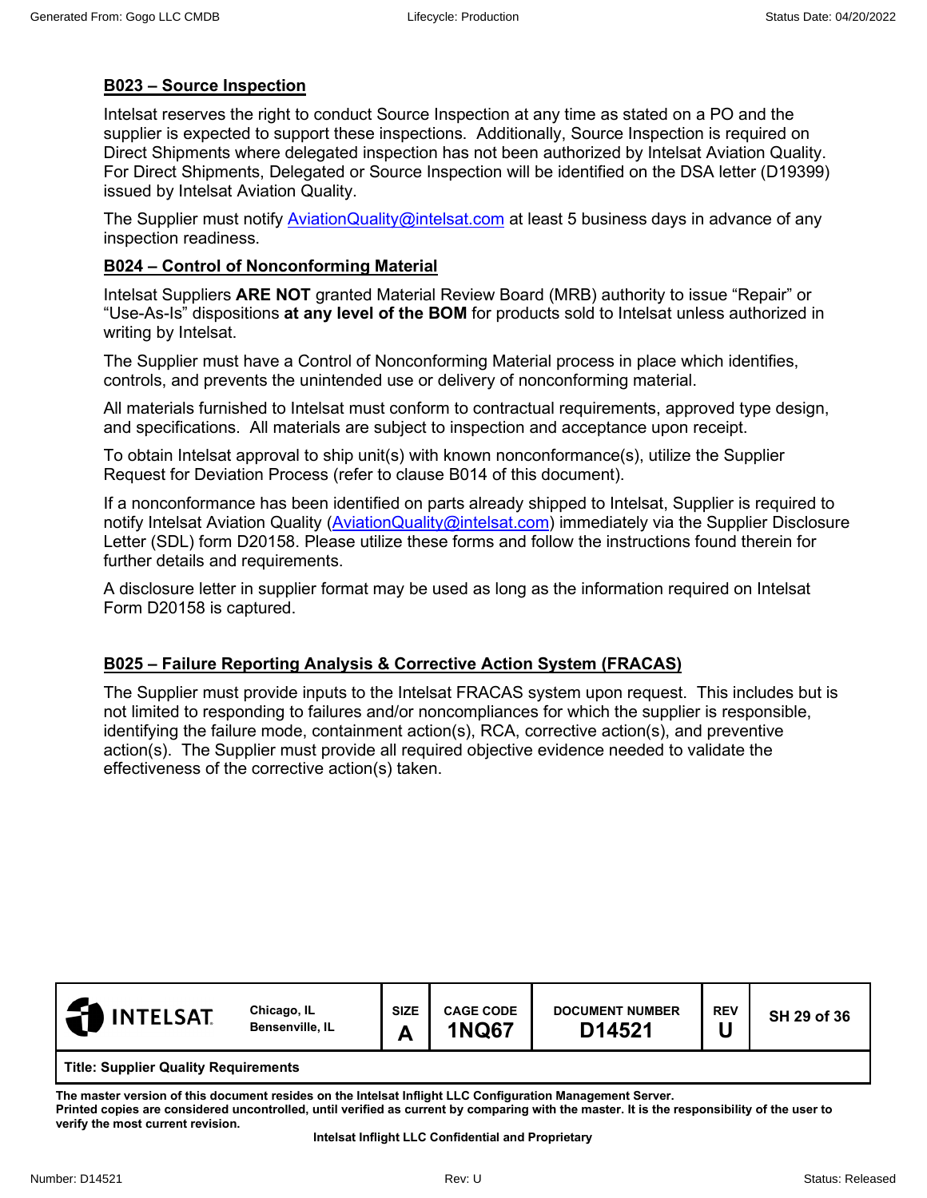# **B023 – Source Inspection**

Intelsat reserves the right to conduct Source Inspection at any time as stated on a PO and the supplier is expected to support these inspections. Additionally, Source Inspection is required on Direct Shipments where delegated inspection has not been authorized by Intelsat Aviation Quality. For Direct Shipments, Delegated or Source Inspection will be identified on the DSA letter (D19399) issued by Intelsat Aviation Quality.

The Supplier must notify [AviationQuality@intelsat.com](mailto:AviationQuality@intelsat.com) at least 5 business days in advance of any inspection readiness.

# **B024 – Control of Nonconforming Material**

Intelsat Suppliers **ARE NOT** granted Material Review Board (MRB) authority to issue "Repair" or "Use-As-Is" dispositions **at any level of the BOM** for products sold to Intelsat unless authorized in writing by Intelsat.

The Supplier must have a Control of Nonconforming Material process in place which identifies, controls, and prevents the unintended use or delivery of nonconforming material.

All materials furnished to Intelsat must conform to contractual requirements, approved type design, and specifications. All materials are subject to inspection and acceptance upon receipt.

To obtain Intelsat approval to ship unit(s) with known nonconformance(s), utilize the Supplier Request for Deviation Process (refer to clause B014 of this document).

If a nonconformance has been identified on parts already shipped to Intelsat, Supplier is required to notify Intelsat Aviation Quality [\(AviationQuality@intelsat.com\)](mailto:AviationQuality@intelsat.com) immediately via the Supplier Disclosure Letter (SDL) form D20158. Please utilize these forms and follow the instructions found therein for further details and requirements.

A disclosure letter in supplier format may be used as long as the information required on Intelsat Form D20158 is captured.

## **B025 – Failure Reporting Analysis & Corrective Action System (FRACAS)**

The Supplier must provide inputs to the Intelsat FRACAS system upon request. This includes but is not limited to responding to failures and/or noncompliances for which the supplier is responsible, identifying the failure mode, containment action(s), RCA, corrective action(s), and preventive action(s). The Supplier must provide all required objective evidence needed to validate the effectiveness of the corrective action(s) taken.

| <b>INTELSAT.</b>                            | Chicago, IL<br>Bensenville, IL | <b>SIZE</b><br>А | <b>CAGE CODE</b><br><b>1NQ67</b> | <b>DOCUMENT NUMBER</b><br>D14521 | <b>REV</b> | SH 29 of 36 |  |
|---------------------------------------------|--------------------------------|------------------|----------------------------------|----------------------------------|------------|-------------|--|
| <b>Title: Supplier Quality Requirements</b> |                                |                  |                                  |                                  |            |             |  |

**The master version of this document resides on the Intelsat Inflight LLC Configuration Management Server. Printed copies are considered uncontrolled, until verified as current by comparing with the master. It is the responsibility of the user to verify the most current revision.**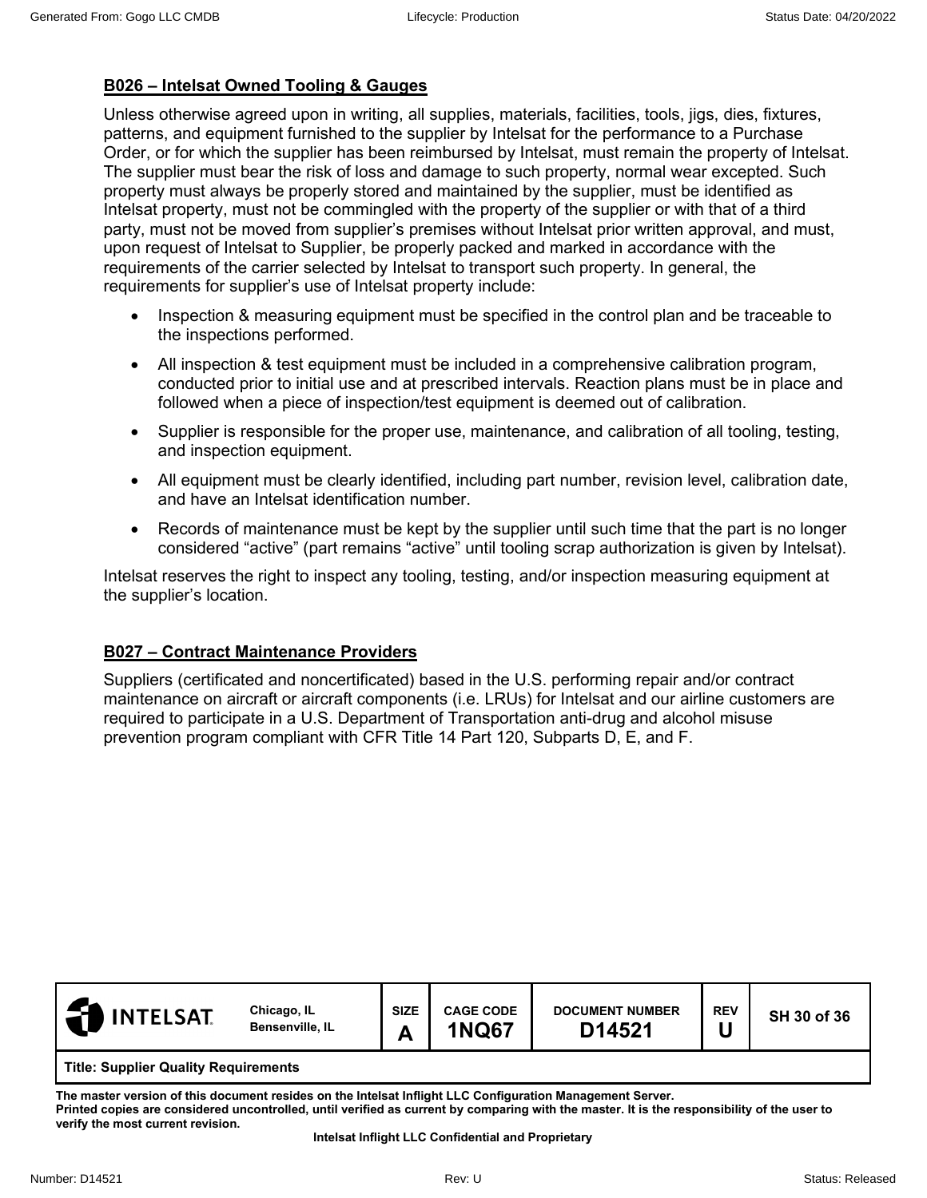# **B026 – Intelsat Owned Tooling & Gauges**

Unless otherwise agreed upon in writing, all supplies, materials, facilities, tools, jigs, dies, fixtures, patterns, and equipment furnished to the supplier by Intelsat for the performance to a Purchase Order, or for which the supplier has been reimbursed by Intelsat, must remain the property of Intelsat. The supplier must bear the risk of loss and damage to such property, normal wear excepted. Such property must always be properly stored and maintained by the supplier, must be identified as Intelsat property, must not be commingled with the property of the supplier or with that of a third party, must not be moved from supplier's premises without Intelsat prior written approval, and must, upon request of Intelsat to Supplier, be properly packed and marked in accordance with the requirements of the carrier selected by Intelsat to transport such property. In general, the requirements for supplier's use of Intelsat property include:

- Inspection & measuring equipment must be specified in the control plan and be traceable to the inspections performed.
- All inspection & test equipment must be included in a comprehensive calibration program, conducted prior to initial use and at prescribed intervals. Reaction plans must be in place and followed when a piece of inspection/test equipment is deemed out of calibration.
- Supplier is responsible for the proper use, maintenance, and calibration of all tooling, testing, and inspection equipment.
- All equipment must be clearly identified, including part number, revision level, calibration date, and have an Intelsat identification number.
- Records of maintenance must be kept by the supplier until such time that the part is no longer considered "active" (part remains "active" until tooling scrap authorization is given by Intelsat).

Intelsat reserves the right to inspect any tooling, testing, and/or inspection measuring equipment at the supplier's location.

# **B027 – Contract Maintenance Providers**

Suppliers (certificated and noncertificated) based in the U.S. performing repair and/or contract maintenance on aircraft or aircraft components (i.e. LRUs) for Intelsat and our airline customers are required to participate in a U.S. Department of Transportation anti-drug and alcohol misuse prevention program compliant with CFR Title 14 Part 120, Subparts D, E, and F.

| <b>INTELSAT</b>                             | Chicago, IL<br><b>Bensenville, IL</b> | <b>SIZE</b><br>A | <b>CAGE CODE</b><br><b>1NQ67</b> | <b>DOCUMENT NUMBER</b><br>D14521 | <b>REV</b> | SH 30 of 36 |
|---------------------------------------------|---------------------------------------|------------------|----------------------------------|----------------------------------|------------|-------------|
| <b>Title: Supplier Quality Requirements</b> |                                       |                  |                                  |                                  |            |             |

**The master version of this document resides on the Intelsat Inflight LLC Configuration Management Server. Printed copies are considered uncontrolled, until verified as current by comparing with the master. It is the responsibility of the user to verify the most current revision.**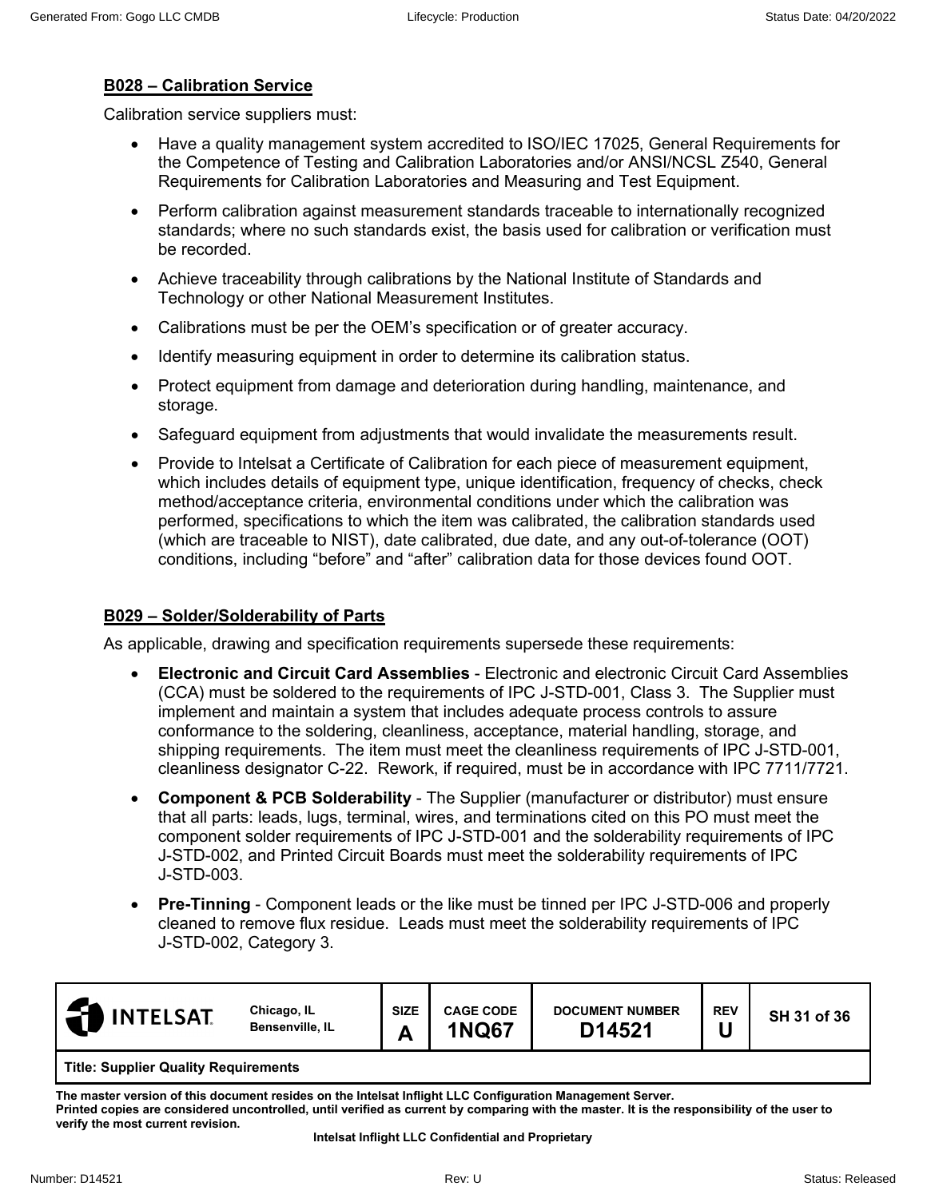## **B028 – Calibration Service**

Calibration service suppliers must:

- Have a quality management system accredited to ISO/IEC 17025, General Requirements for the Competence of Testing and Calibration Laboratories and/or ANSI/NCSL Z540, General Requirements for Calibration Laboratories and Measuring and Test Equipment.
- Perform calibration against measurement standards traceable to internationally recognized standards; where no such standards exist, the basis used for calibration or verification must be recorded.
- Achieve traceability through calibrations by the National Institute of Standards and Technology or other National Measurement Institutes.
- Calibrations must be per the OEM's specification or of greater accuracy.
- Identify measuring equipment in order to determine its calibration status.
- Protect equipment from damage and deterioration during handling, maintenance, and storage.
- Safeguard equipment from adjustments that would invalidate the measurements result.
- Provide to Intelsat a Certificate of Calibration for each piece of measurement equipment, which includes details of equipment type, unique identification, frequency of checks, check method/acceptance criteria, environmental conditions under which the calibration was performed, specifications to which the item was calibrated, the calibration standards used (which are traceable to NIST), date calibrated, due date, and any out-of-tolerance (OOT) conditions, including "before" and "after" calibration data for those devices found OOT.

## **B029 – Solder/Solderability of Parts**

As applicable, drawing and specification requirements supersede these requirements:

- **Electronic and Circuit Card Assemblies** Electronic and electronic Circuit Card Assemblies (CCA) must be soldered to the requirements of IPC J-STD-001, Class 3. The Supplier must implement and maintain a system that includes adequate process controls to assure conformance to the soldering, cleanliness, acceptance, material handling, storage, and shipping requirements. The item must meet the cleanliness requirements of IPC J-STD-001, cleanliness designator C-22. Rework, if required, must be in accordance with IPC 7711/7721.
- **Component & PCB Solderability** The Supplier (manufacturer or distributor) must ensure that all parts: leads, lugs, terminal, wires, and terminations cited on this PO must meet the component solder requirements of IPC J-STD-001 and the solderability requirements of IPC J-STD-002, and Printed Circuit Boards must meet the solderability requirements of IPC J-STD-003.
- **Pre-Tinning** Component leads or the like must be tinned per IPC J-STD-006 and properly cleaned to remove flux residue. Leads must meet the solderability requirements of IPC J-STD-002, Category 3.

| $\mathbf{F}$<br><b>INTELSAT</b>             | Chicago, IL<br>Bensenville, IL | <b>SIZE</b><br>A | <b>CAGE CODE</b><br><b>INQ67</b> | <b>DOCUMENT NUMBER</b><br>D14521 | <b>REV</b> | SH 31 of 36 |  |
|---------------------------------------------|--------------------------------|------------------|----------------------------------|----------------------------------|------------|-------------|--|
| <b>Title: Supplier Quality Poquiroments</b> |                                |                  |                                  |                                  |            |             |  |

**Title: Supplier Quality Requirements**

**The master version of this document resides on the Intelsat Inflight LLC Configuration Management Server. Printed copies are considered uncontrolled, until verified as current by comparing with the master. It is the responsibility of the user to verify the most current revision.**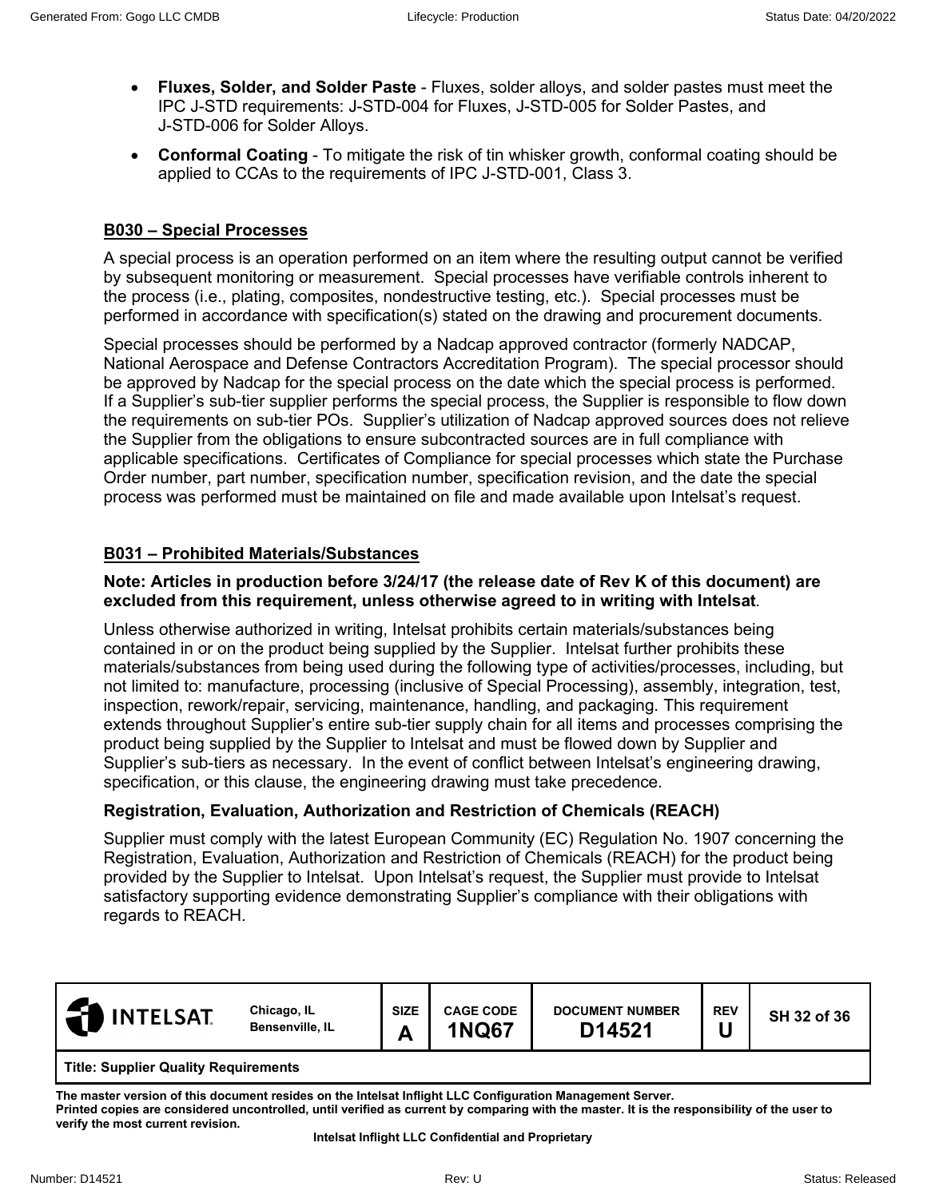- **Fluxes, Solder, and Solder Paste** Fluxes, solder alloys, and solder pastes must meet the IPC J-STD requirements: J-STD-004 for Fluxes, J-STD-005 for Solder Pastes, and J-STD-006 for Solder Alloys.
- **Conformal Coating** To mitigate the risk of tin whisker growth, conformal coating should be applied to CCAs to the requirements of IPC J-STD-001, Class 3.

## **B030 – Special Processes**

A special process is an operation performed on an item where the resulting output cannot be verified by subsequent monitoring or measurement. Special processes have verifiable controls inherent to the process (i.e., plating, composites, nondestructive testing, etc.). Special processes must be performed in accordance with specification(s) stated on the drawing and procurement documents.

Special processes should be performed by a Nadcap approved contractor (formerly NADCAP, National Aerospace and Defense Contractors Accreditation Program). The special processor should be approved by Nadcap for the special process on the date which the special process is performed. If a Supplier's sub-tier supplier performs the special process, the Supplier is responsible to flow down the requirements on sub-tier POs. Supplier's utilization of Nadcap approved sources does not relieve the Supplier from the obligations to ensure subcontracted sources are in full compliance with applicable specifications. Certificates of Compliance for special processes which state the Purchase Order number, part number, specification number, specification revision, and the date the special process was performed must be maintained on file and made available upon Intelsat's request.

#### **B031 – Prohibited Materials/Substances**

#### **Note: Articles in production before 3/24/17 (the release date of Rev K of this document) are excluded from this requirement, unless otherwise agreed to in writing with Intelsat***.*

Unless otherwise authorized in writing, Intelsat prohibits certain materials/substances being contained in or on the product being supplied by the Supplier. Intelsat further prohibits these materials/substances from being used during the following type of activities/processes, including, but not limited to: manufacture, processing (inclusive of Special Processing), assembly, integration, test, inspection, rework/repair, servicing, maintenance, handling, and packaging. This requirement extends throughout Supplier's entire sub-tier supply chain for all items and processes comprising the product being supplied by the Supplier to Intelsat and must be flowed down by Supplier and Supplier's sub-tiers as necessary. In the event of conflict between Intelsat's engineering drawing, specification, or this clause, the engineering drawing must take precedence.

#### **Registration, Evaluation, Authorization and Restriction of Chemicals (REACH)**

Supplier must comply with the latest European Community (EC) Regulation No. 1907 concerning the Registration, Evaluation, Authorization and Restriction of Chemicals (REACH) for the product being provided by the Supplier to Intelsat. Upon Intelsat's request, the Supplier must provide to Intelsat satisfactory supporting evidence demonstrating Supplier's compliance with their obligations with regards to REACH.

| <b>INTELSAT</b>                             | Chicago, IL<br>Bensenville, IL | <b>SIZE</b><br>A | <b>CAGE CODE</b><br><b>1NQ67</b> | <b>DOCUMENT NUMBER</b><br>D14521 | <b>REV</b> | SH 32 of 36 |
|---------------------------------------------|--------------------------------|------------------|----------------------------------|----------------------------------|------------|-------------|
| <b>Title: Supplier Quality Requirements</b> |                                |                  |                                  |                                  |            |             |

**The master version of this document resides on the Intelsat Inflight LLC Configuration Management Server. Printed copies are considered uncontrolled, until verified as current by comparing with the master. It is the responsibility of the user to verify the most current revision.**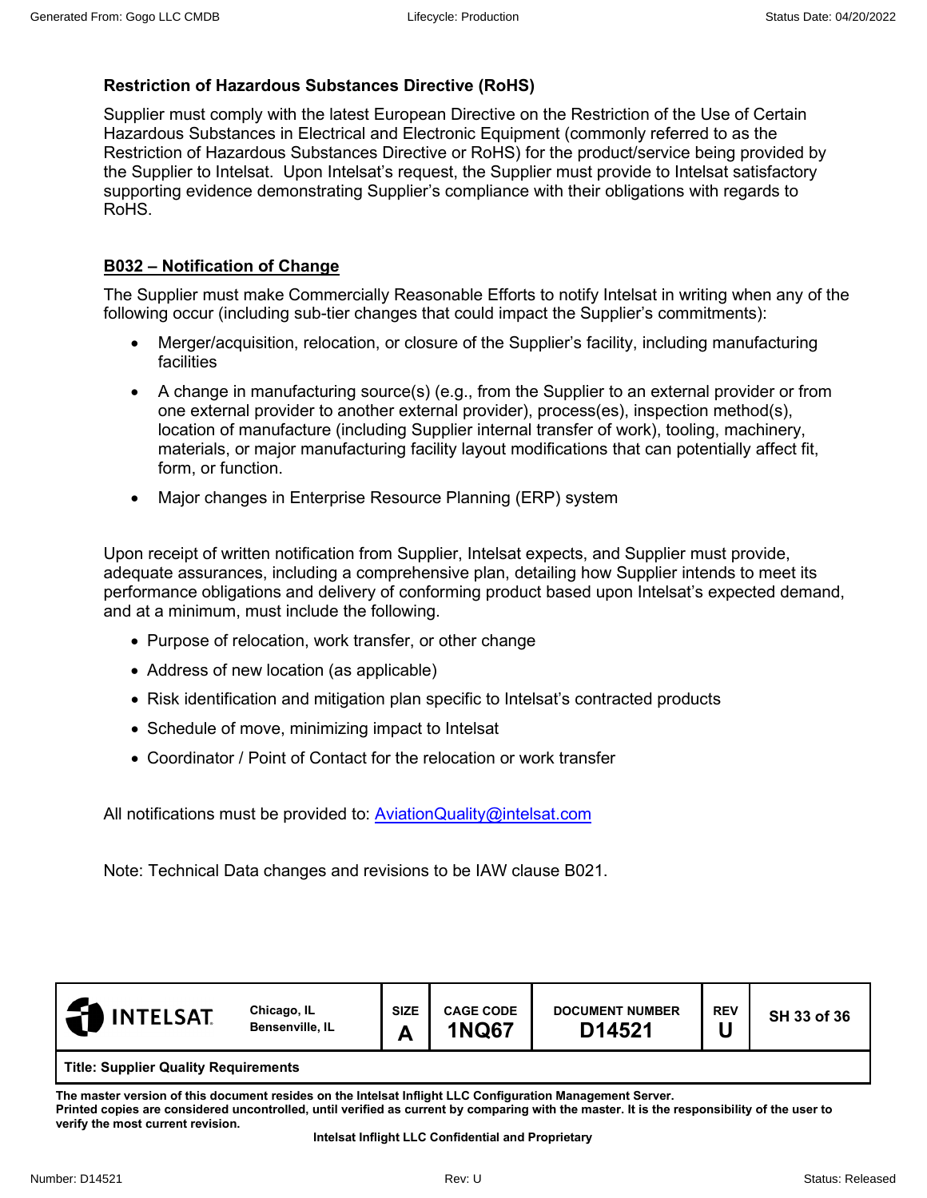# **Restriction of Hazardous Substances Directive (RoHS)**

Supplier must comply with the latest European Directive on the Restriction of the Use of Certain Hazardous Substances in Electrical and Electronic Equipment (commonly referred to as the Restriction of Hazardous Substances Directive or RoHS) for the product/service being provided by the Supplier to Intelsat. Upon Intelsat's request, the Supplier must provide to Intelsat satisfactory supporting evidence demonstrating Supplier's compliance with their obligations with regards to RoHS.

# **B032 – Notification of Change**

The Supplier must make Commercially Reasonable Efforts to notify Intelsat in writing when any of the following occur (including sub-tier changes that could impact the Supplier's commitments):

- Merger/acquisition, relocation, or closure of the Supplier's facility, including manufacturing facilities
- A change in manufacturing source(s) (e.g., from the Supplier to an external provider or from one external provider to another external provider), process(es), inspection method(s), location of manufacture (including Supplier internal transfer of work), tooling, machinery, materials, or major manufacturing facility layout modifications that can potentially affect fit, form, or function.
- Major changes in Enterprise Resource Planning (ERP) system

Upon receipt of written notification from Supplier, Intelsat expects, and Supplier must provide, adequate assurances, including a comprehensive plan, detailing how Supplier intends to meet its performance obligations and delivery of conforming product based upon Intelsat's expected demand, and at a minimum, must include the following.

- Purpose of relocation, work transfer, or other change
- Address of new location (as applicable)
- Risk identification and mitigation plan specific to Intelsat's contracted products
- Schedule of move, minimizing impact to Intelsat
- Coordinator / Point of Contact for the relocation or work transfer

All notifications must be provided to: **AviationQuality@intelsat.com** 

Note: Technical Data changes and revisions to be IAW clause B021.

| <b>INTELSAT</b>                             | Chicago, IL<br>Bensenville, IL | <b>SIZE</b><br>Δ<br>⌒ | <b>CAGE CODE</b><br><b>1NQ67</b> | <b>DOCUMENT NUMBER</b><br>D14521 | <b>REV</b> | SH 33 of 36 |  |
|---------------------------------------------|--------------------------------|-----------------------|----------------------------------|----------------------------------|------------|-------------|--|
| <b>Title: Supplier Quality Requirements</b> |                                |                       |                                  |                                  |            |             |  |

**The master version of this document resides on the Intelsat Inflight LLC Configuration Management Server. Printed copies are considered uncontrolled, until verified as current by comparing with the master. It is the responsibility of the user to** 

**verify the most current revision.**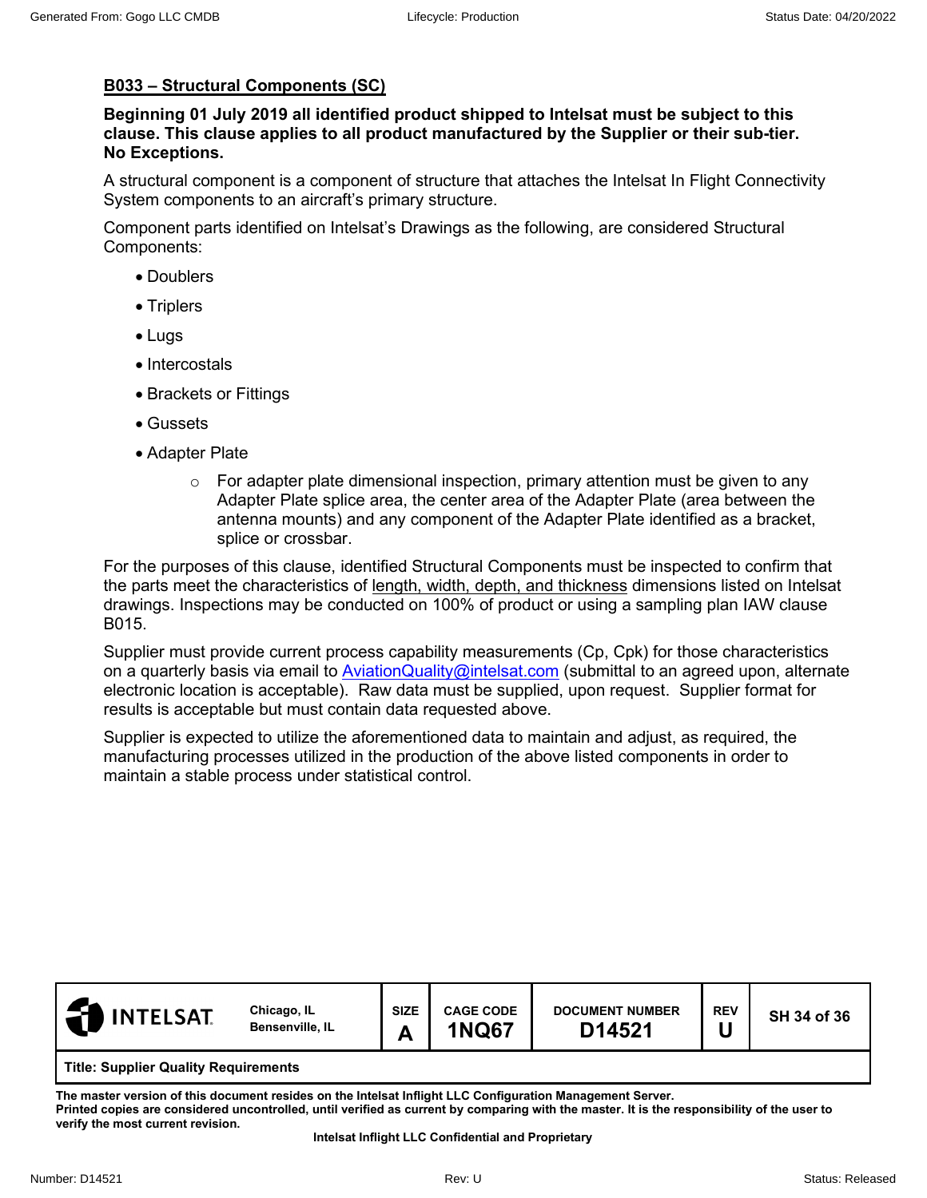# **B033 – Structural Components (SC)**

**Beginning 01 July 2019 all identified product shipped to Intelsat must be subject to this clause. This clause applies to all product manufactured by the Supplier or their sub-tier. No Exceptions.** 

A structural component is a component of structure that attaches the Intelsat In Flight Connectivity System components to an aircraft's primary structure.

Component parts identified on Intelsat's Drawings as the following, are considered Structural Components:

- Doublers
- Triplers
- Lugs
- Intercostals
- Brackets or Fittings
- Gussets
- Adapter Plate
	- $\circ$  For adapter plate dimensional inspection, primary attention must be given to any Adapter Plate splice area, the center area of the Adapter Plate (area between the antenna mounts) and any component of the Adapter Plate identified as a bracket, splice or crossbar.

For the purposes of this clause, identified Structural Components must be inspected to confirm that the parts meet the characteristics of length, width, depth, and thickness dimensions listed on Intelsat drawings. Inspections may be conducted on 100% of product or using a sampling plan IAW clause B015.

Supplier must provide current process capability measurements (Cp, Cpk) for those characteristics on a quarterly basis via email to [AviationQuality@intelsat.com](mailto:AviationQuality@intelsat.com) (submittal to an agreed upon, alternate electronic location is acceptable). Raw data must be supplied, upon request. Supplier format for results is acceptable but must contain data requested above.

Supplier is expected to utilize the aforementioned data to maintain and adjust, as required, the manufacturing processes utilized in the production of the above listed components in order to maintain a stable process under statistical control.

| <b>INTELSAT</b>                             | Chicago, IL<br>Bensenville, IL | <b>SIZE</b><br>Α | <b>CAGE CODE</b><br><b>1NQ67</b> | <b>DOCUMENT NUMBER</b><br>D14521 | <b>REV</b> | SH 34 of 36 |  |
|---------------------------------------------|--------------------------------|------------------|----------------------------------|----------------------------------|------------|-------------|--|
| <b>Title: Supplier Quality Requirements</b> |                                |                  |                                  |                                  |            |             |  |

**The master version of this document resides on the Intelsat Inflight LLC Configuration Management Server. Printed copies are considered uncontrolled, until verified as current by comparing with the master. It is the responsibility of the user to verify the most current revision.**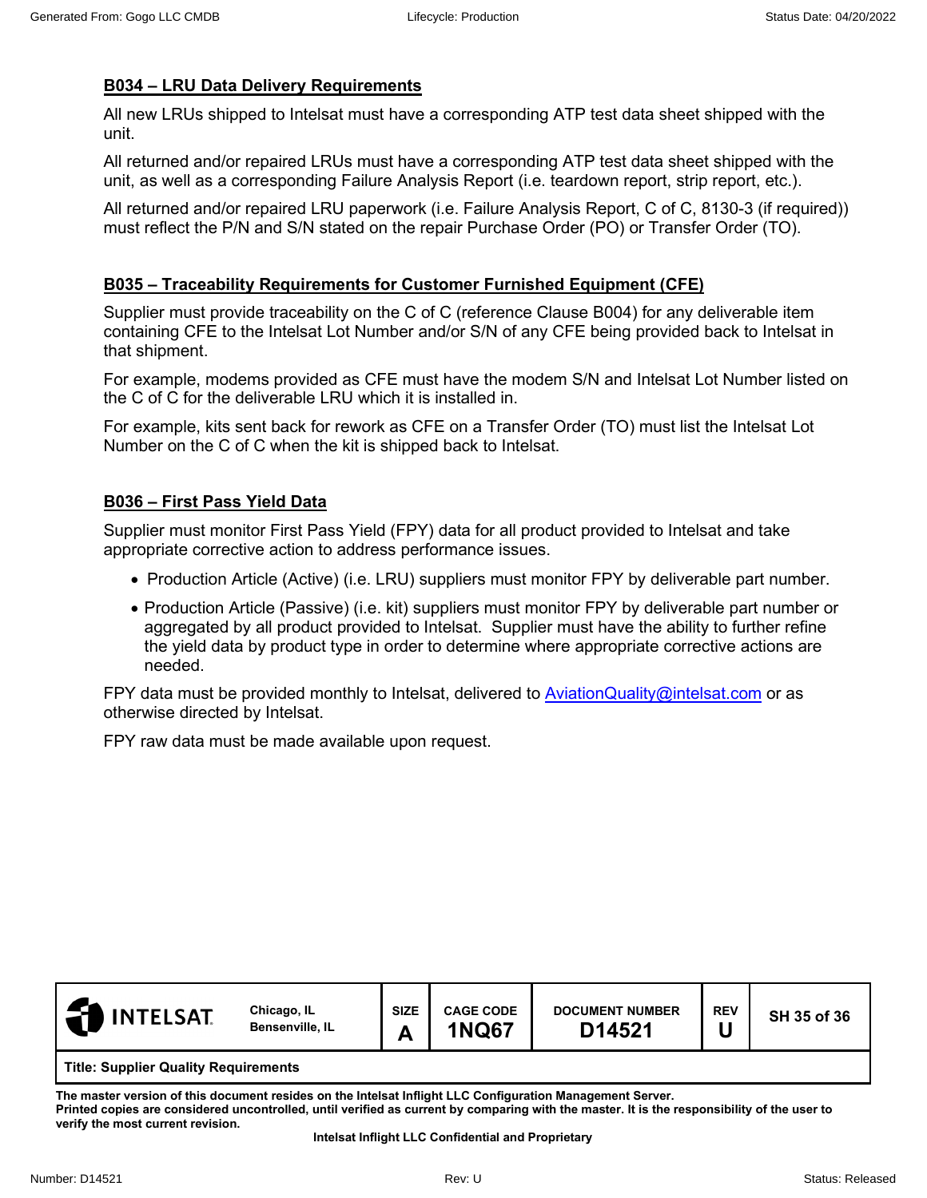## **B034 – LRU Data Delivery Requirements**

All new LRUs shipped to Intelsat must have a corresponding ATP test data sheet shipped with the unit.

All returned and/or repaired LRUs must have a corresponding ATP test data sheet shipped with the unit, as well as a corresponding Failure Analysis Report (i.e. teardown report, strip report, etc.).

All returned and/or repaired LRU paperwork (i.e. Failure Analysis Report, C of C, 8130-3 (if required)) must reflect the P/N and S/N stated on the repair Purchase Order (PO) or Transfer Order (TO).

## **B035 – Traceability Requirements for Customer Furnished Equipment (CFE)**

Supplier must provide traceability on the C of C (reference Clause B004) for any deliverable item containing CFE to the Intelsat Lot Number and/or S/N of any CFE being provided back to Intelsat in that shipment.

For example, modems provided as CFE must have the modem S/N and Intelsat Lot Number listed on the C of C for the deliverable LRU which it is installed in.

For example, kits sent back for rework as CFE on a Transfer Order (TO) must list the Intelsat Lot Number on the C of C when the kit is shipped back to Intelsat.

## **B036 – First Pass Yield Data**

Supplier must monitor First Pass Yield (FPY) data for all product provided to Intelsat and take appropriate corrective action to address performance issues.

- Production Article (Active) (i.e. LRU) suppliers must monitor FPY by deliverable part number.
- Production Article (Passive) (i.e. kit) suppliers must monitor FPY by deliverable part number or aggregated by all product provided to Intelsat. Supplier must have the ability to further refine the yield data by product type in order to determine where appropriate corrective actions are needed.

FPY data must be provided monthly to Intelsat, delivered to [AviationQuality@intelsat.com](mailto:AviationQuality@intelsat.com) or as otherwise directed by Intelsat.

<span id="page-34-0"></span>FPY raw data must be made available upon request.

| <b>INTELSAT</b>                             | Chicago, IL<br>Bensenville, IL | <b>SIZE</b><br>A<br>́г | <b>CAGE CODE</b><br><b>1NQ67</b> | <b>DOCUMENT NUMBER</b><br>D14521 | <b>REV</b> | SH 35 of 36 |  |
|---------------------------------------------|--------------------------------|------------------------|----------------------------------|----------------------------------|------------|-------------|--|
| <b>Title: Supplier Quality Requirements</b> |                                |                        |                                  |                                  |            |             |  |

**The master version of this document resides on the Intelsat Inflight LLC Configuration Management Server. Printed copies are considered uncontrolled, until verified as current by comparing with the master. It is the responsibility of the user to** 

**verify the most current revision.**